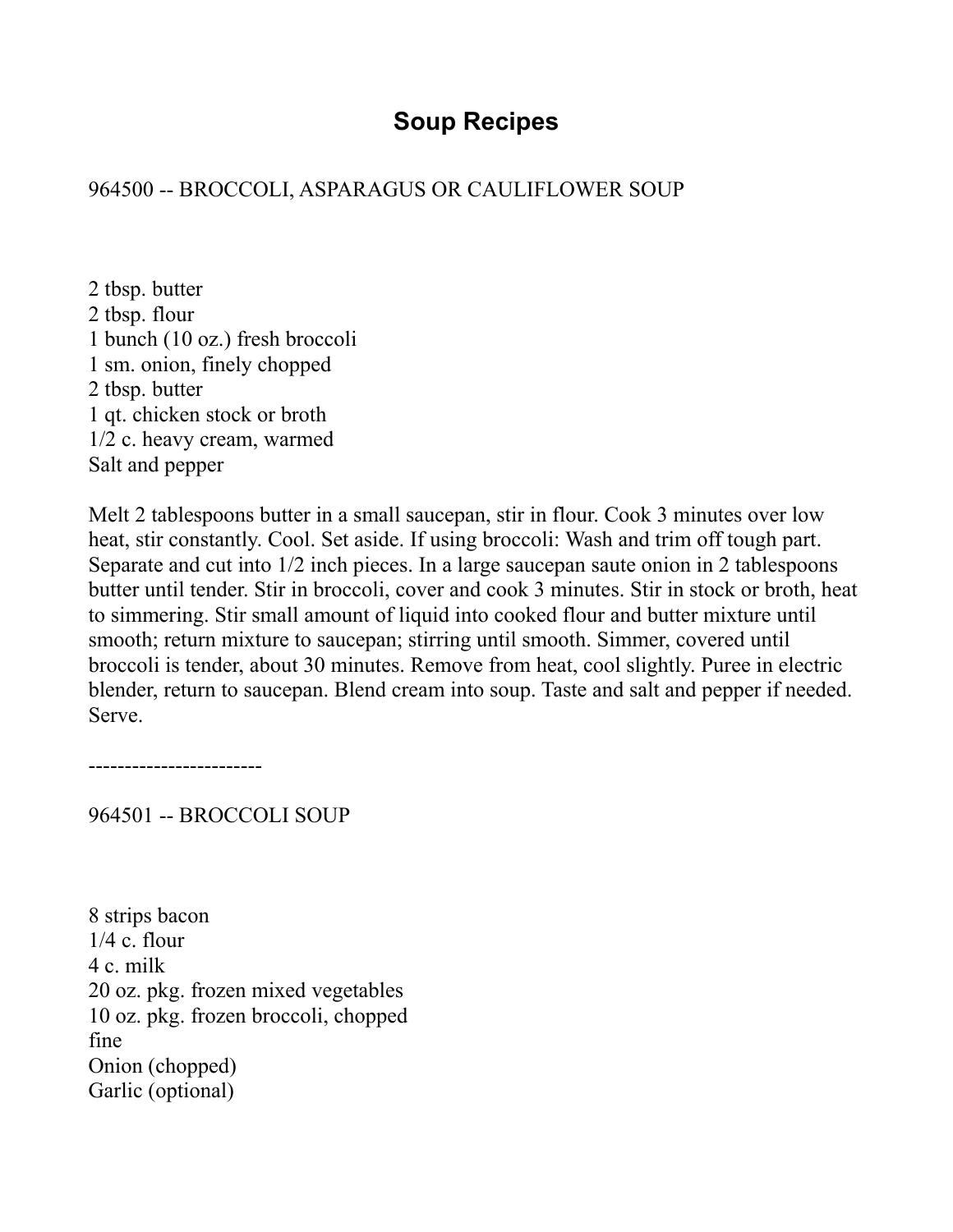# **Soup Recipes**

# 964500 -- BROCCOLI, ASPARAGUS OR CAULIFLOWER SOUP

2 tbsp. butter 2 tbsp. flour 1 bunch (10 oz.) fresh broccoli 1 sm. onion, finely chopped 2 tbsp. butter 1 qt. chicken stock or broth 1/2 c. heavy cream, warmed Salt and pepper

Melt 2 tablespoons butter in a small saucepan, stir in flour. Cook 3 minutes over low heat, stir constantly. Cool. Set aside. If using broccoli: Wash and trim off tough part. Separate and cut into 1/2 inch pieces. In a large saucepan saute onion in 2 tablespoons butter until tender. Stir in broccoli, cover and cook 3 minutes. Stir in stock or broth, heat to simmering. Stir small amount of liquid into cooked flour and butter mixture until smooth; return mixture to saucepan; stirring until smooth. Simmer, covered until broccoli is tender, about 30 minutes. Remove from heat, cool slightly. Puree in electric blender, return to saucepan. Blend cream into soup. Taste and salt and pepper if needed. Serve.

------------------------

964501 -- BROCCOLI SOUP

8 strips bacon  $1/4$  c. flour 4 c. milk 20 oz. pkg. frozen mixed vegetables 10 oz. pkg. frozen broccoli, chopped fine Onion (chopped) Garlic (optional)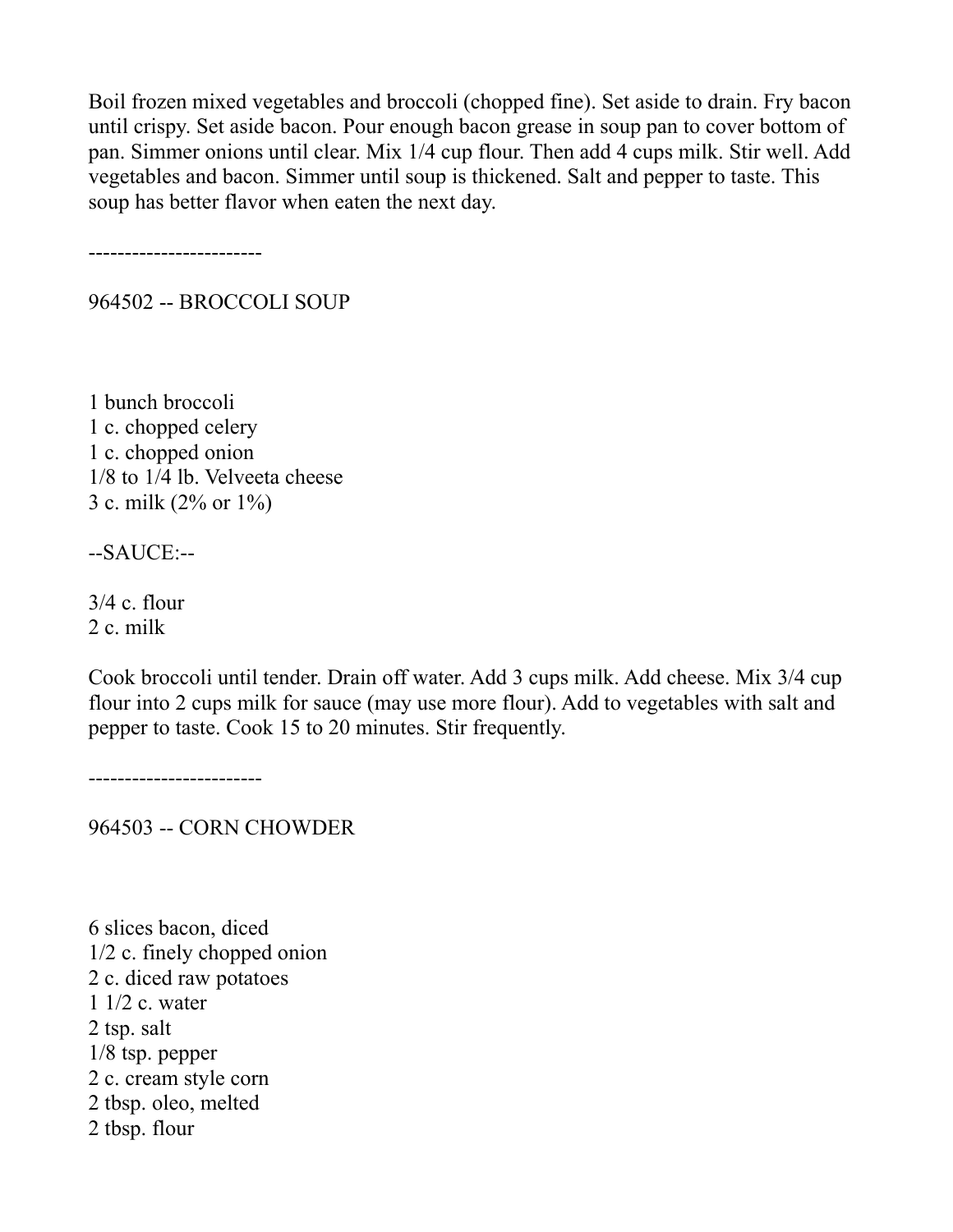Boil frozen mixed vegetables and broccoli (chopped fine). Set aside to drain. Fry bacon until crispy. Set aside bacon. Pour enough bacon grease in soup pan to cover bottom of pan. Simmer onions until clear. Mix 1/4 cup flour. Then add 4 cups milk. Stir well. Add vegetables and bacon. Simmer until soup is thickened. Salt and pepper to taste. This soup has better flavor when eaten the next day.

------------------------

964502 -- BROCCOLI SOUP

1 bunch broccoli 1 c. chopped celery 1 c. chopped onion 1/8 to 1/4 lb. Velveeta cheese 3 c. milk (2% or 1%)

--SAUCE:--

3/4 c. flour 2 c. milk

Cook broccoli until tender. Drain off water. Add 3 cups milk. Add cheese. Mix 3/4 cup flour into 2 cups milk for sauce (may use more flour). Add to vegetables with salt and pepper to taste. Cook 15 to 20 minutes. Stir frequently.

------------------------

964503 -- CORN CHOWDER

6 slices bacon, diced 1/2 c. finely chopped onion 2 c. diced raw potatoes 1 1/2 c. water 2 tsp. salt 1/8 tsp. pepper 2 c. cream style corn 2 tbsp. oleo, melted 2 tbsp. flour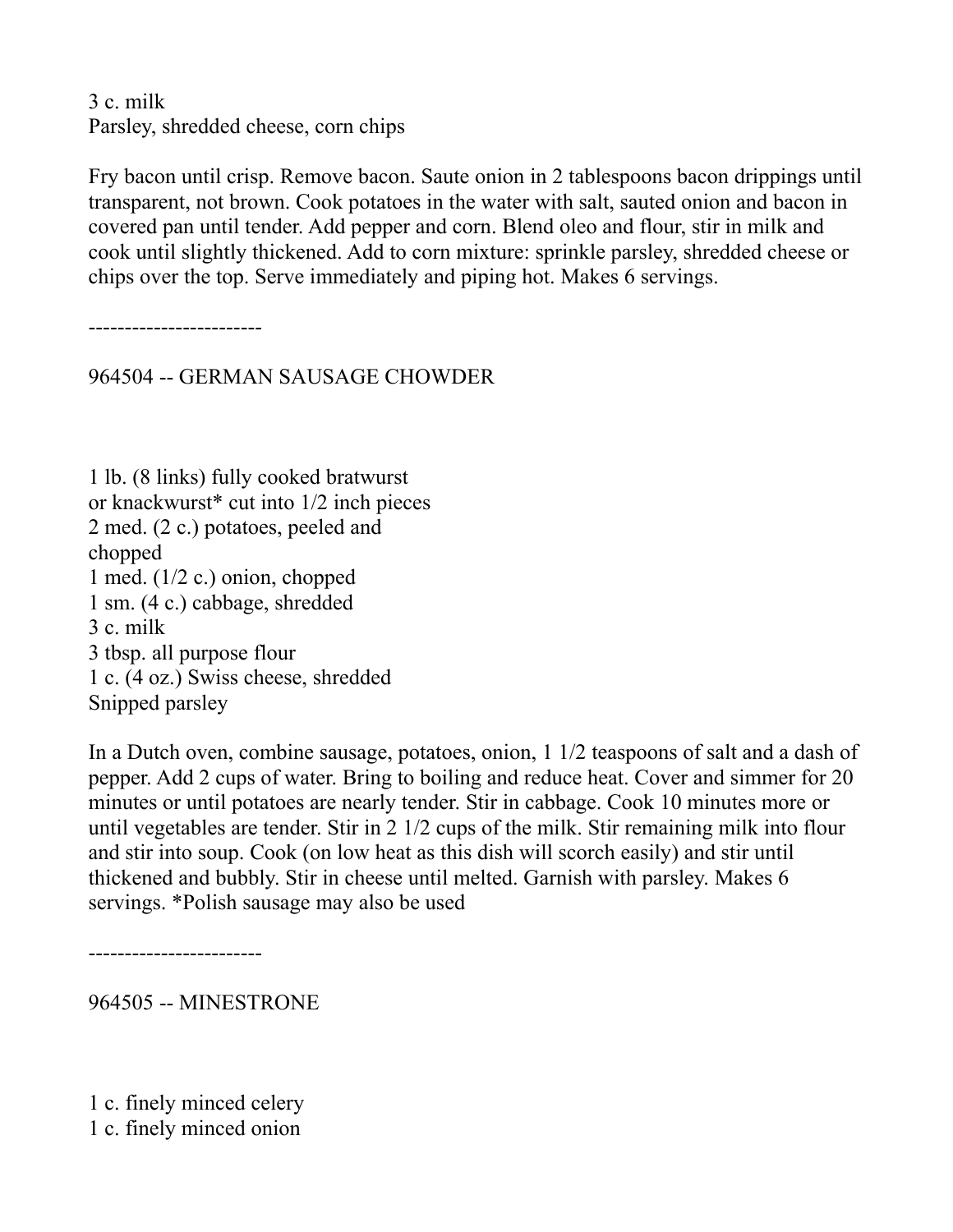3 c. milk Parsley, shredded cheese, corn chips

Fry bacon until crisp. Remove bacon. Saute onion in 2 tablespoons bacon drippings until transparent, not brown. Cook potatoes in the water with salt, sauted onion and bacon in covered pan until tender. Add pepper and corn. Blend oleo and flour, stir in milk and cook until slightly thickened. Add to corn mixture: sprinkle parsley, shredded cheese or chips over the top. Serve immediately and piping hot. Makes 6 servings.

------------------------

964504 -- GERMAN SAUSAGE CHOWDER

1 lb. (8 links) fully cooked bratwurst or knackwurst\* cut into 1/2 inch pieces 2 med. (2 c.) potatoes, peeled and chopped 1 med.  $(1/2$  c.) onion, chopped 1 sm. (4 c.) cabbage, shredded 3 c. milk 3 tbsp. all purpose flour 1 c. (4 oz.) Swiss cheese, shredded Snipped parsley

In a Dutch oven, combine sausage, potatoes, onion, 1 1/2 teaspoons of salt and a dash of pepper. Add 2 cups of water. Bring to boiling and reduce heat. Cover and simmer for 20 minutes or until potatoes are nearly tender. Stir in cabbage. Cook 10 minutes more or until vegetables are tender. Stir in 2 1/2 cups of the milk. Stir remaining milk into flour and stir into soup. Cook (on low heat as this dish will scorch easily) and stir until thickened and bubbly. Stir in cheese until melted. Garnish with parsley. Makes 6 servings. \*Polish sausage may also be used

------------------------

964505 -- MINESTRONE

1 c. finely minced celery 1 c. finely minced onion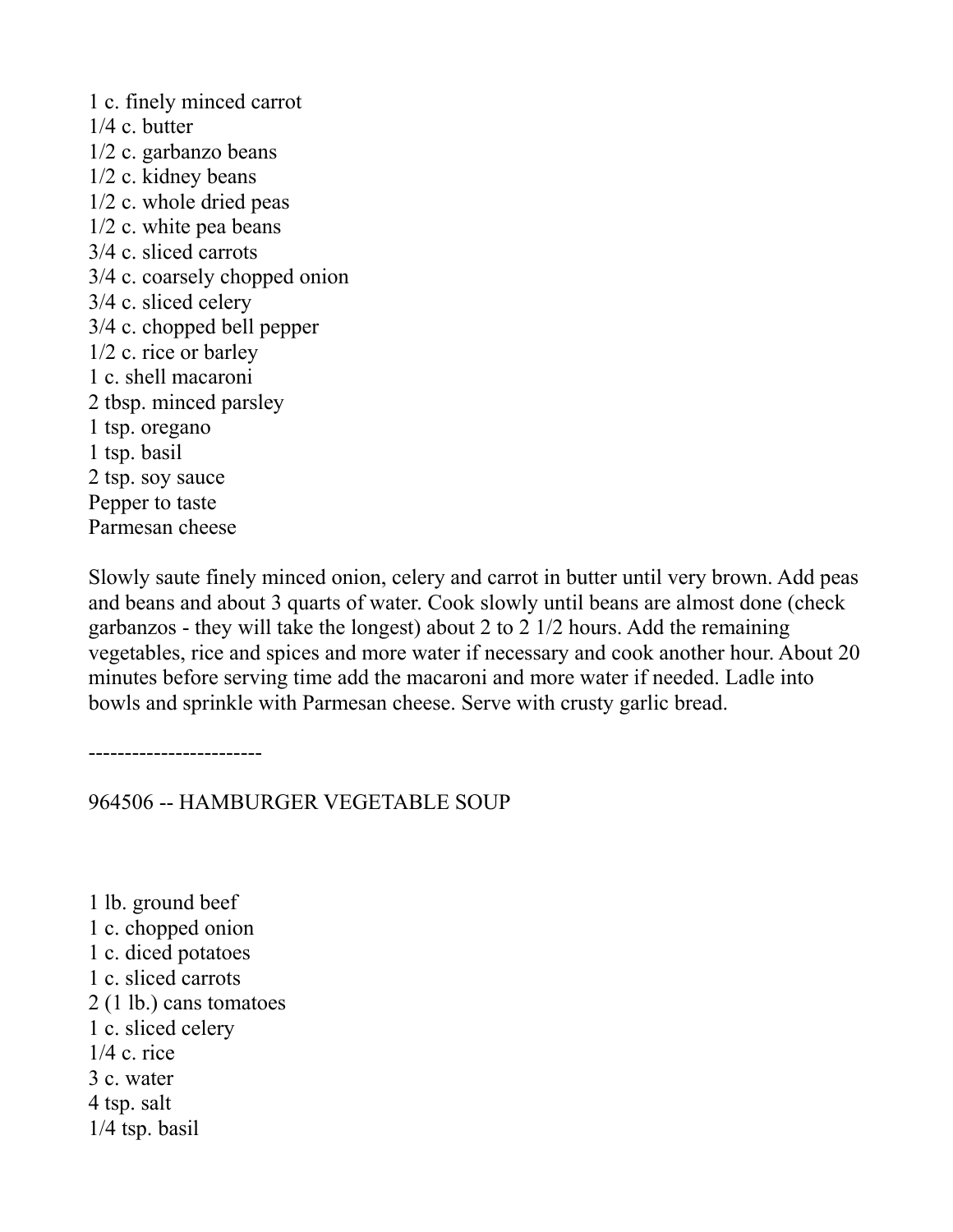1 c. finely minced carrot 1/4 c. butter 1/2 c. garbanzo beans 1/2 c. kidney beans 1/2 c. whole dried peas 1/2 c. white pea beans 3/4 c. sliced carrots 3/4 c. coarsely chopped onion 3/4 c. sliced celery 3/4 c. chopped bell pepper 1/2 c. rice or barley 1 c. shell macaroni 2 tbsp. minced parsley 1 tsp. oregano 1 tsp. basil 2 tsp. soy sauce Pepper to taste Parmesan cheese

Slowly saute finely minced onion, celery and carrot in butter until very brown. Add peas and beans and about 3 quarts of water. Cook slowly until beans are almost done (check garbanzos - they will take the longest) about 2 to 2 1/2 hours. Add the remaining vegetables, rice and spices and more water if necessary and cook another hour. About 20 minutes before serving time add the macaroni and more water if needed. Ladle into bowls and sprinkle with Parmesan cheese. Serve with crusty garlic bread.

------------------------

964506 -- HAMBURGER VEGETABLE SOUP

1 lb. ground beef 1 c. chopped onion 1 c. diced potatoes 1 c. sliced carrots 2 (1 lb.) cans tomatoes 1 c. sliced celery 1/4 c. rice 3 c. water 4 tsp. salt 1/4 tsp. basil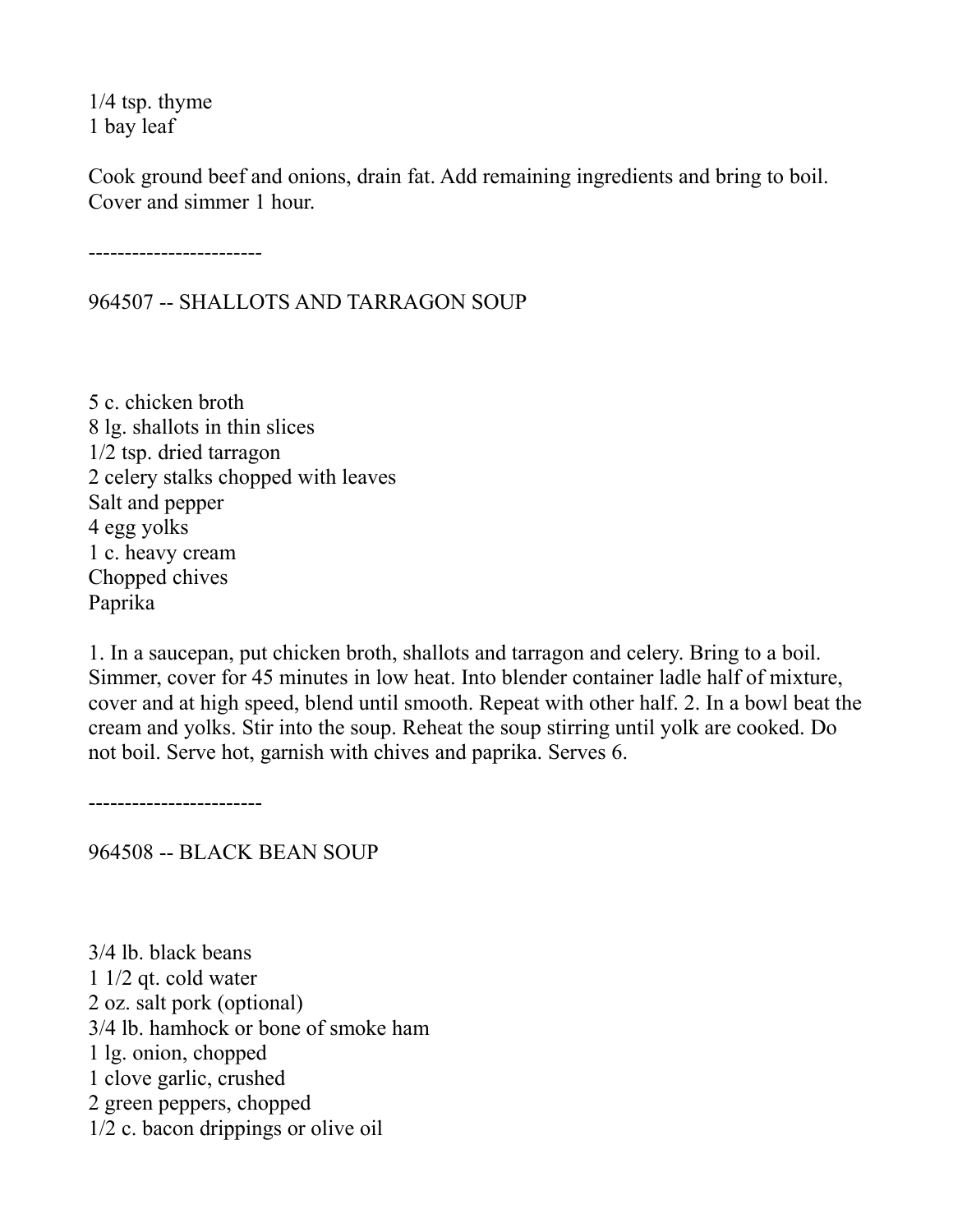1/4 tsp. thyme 1 bay leaf

Cook ground beef and onions, drain fat. Add remaining ingredients and bring to boil. Cover and simmer 1 hour.

------------------------

964507 -- SHALLOTS AND TARRAGON SOUP

5 c. chicken broth 8 lg. shallots in thin slices 1/2 tsp. dried tarragon 2 celery stalks chopped with leaves Salt and pepper 4 egg yolks 1 c. heavy cream Chopped chives Paprika

1. In a saucepan, put chicken broth, shallots and tarragon and celery. Bring to a boil. Simmer, cover for 45 minutes in low heat. Into blender container ladle half of mixture, cover and at high speed, blend until smooth. Repeat with other half. 2. In a bowl beat the cream and yolks. Stir into the soup. Reheat the soup stirring until yolk are cooked. Do not boil. Serve hot, garnish with chives and paprika. Serves 6.

------------------------

964508 -- BLACK BEAN SOUP

3/4 lb. black beans 1 1/2 qt. cold water 2 oz. salt pork (optional) 3/4 lb. hamhock or bone of smoke ham 1 lg. onion, chopped 1 clove garlic, crushed 2 green peppers, chopped 1/2 c. bacon drippings or olive oil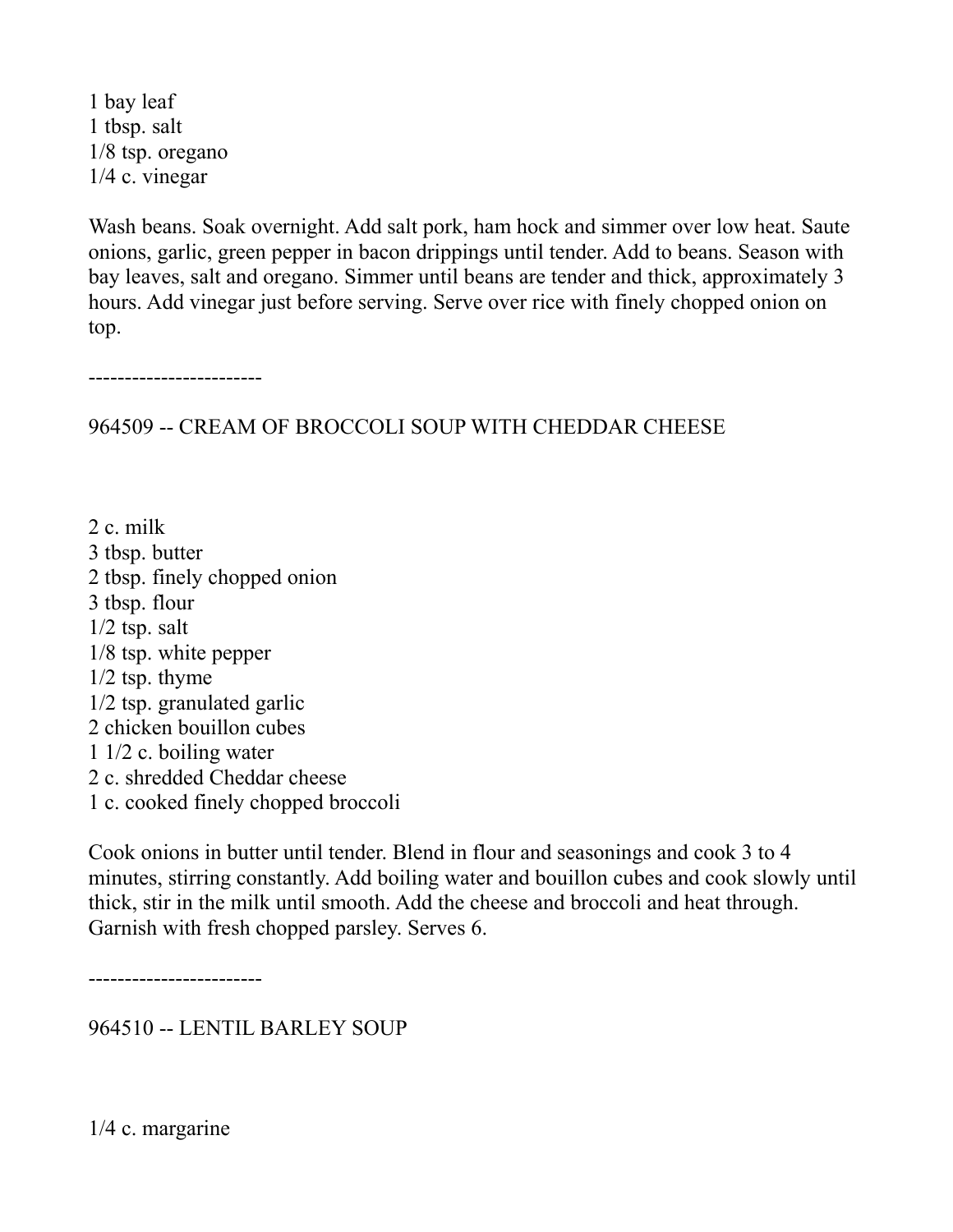1 bay leaf 1 tbsp. salt 1/8 tsp. oregano 1/4 c. vinegar

Wash beans. Soak overnight. Add salt pork, ham hock and simmer over low heat. Saute onions, garlic, green pepper in bacon drippings until tender. Add to beans. Season with bay leaves, salt and oregano. Simmer until beans are tender and thick, approximately 3 hours. Add vinegar just before serving. Serve over rice with finely chopped onion on top.

------------------------

964509 -- CREAM OF BROCCOLI SOUP WITH CHEDDAR CHEESE

2 c. milk 3 tbsp. butter 2 tbsp. finely chopped onion 3 tbsp. flour  $1/2$  tsp. salt 1/8 tsp. white pepper 1/2 tsp. thyme 1/2 tsp. granulated garlic 2 chicken bouillon cubes 1 1/2 c. boiling water 2 c. shredded Cheddar cheese 1 c. cooked finely chopped broccoli

Cook onions in butter until tender. Blend in flour and seasonings and cook 3 to 4 minutes, stirring constantly. Add boiling water and bouillon cubes and cook slowly until thick, stir in the milk until smooth. Add the cheese and broccoli and heat through. Garnish with fresh chopped parsley. Serves 6.

------------------------

964510 -- LENTIL BARLEY SOUP

1/4 c. margarine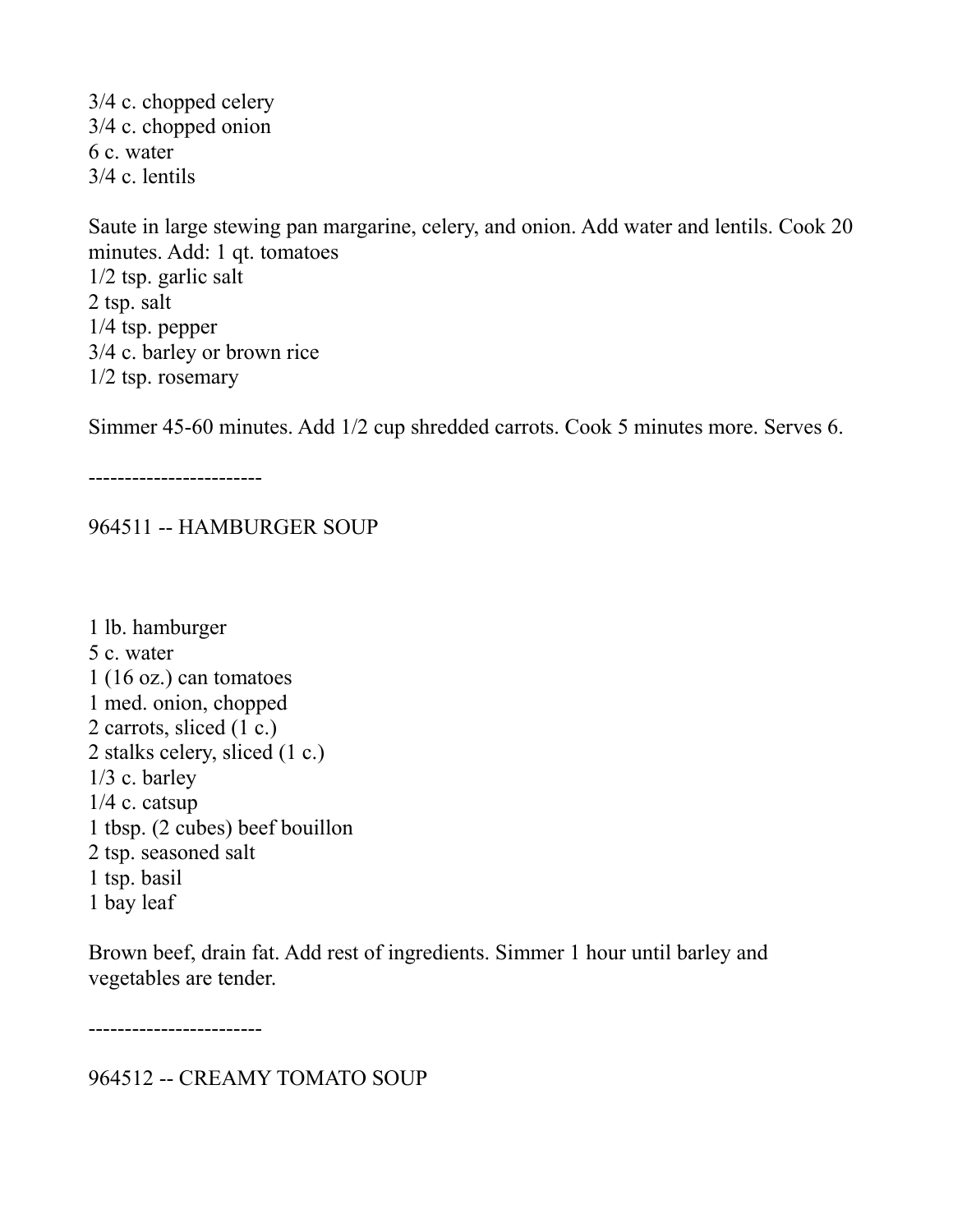3/4 c. chopped celery 3/4 c. chopped onion 6 c. water 3/4 c. lentils

Saute in large stewing pan margarine, celery, and onion. Add water and lentils. Cook 20 minutes. Add: 1 qt. tomatoes 1/2 tsp. garlic salt 2 tsp. salt 1/4 tsp. pepper 3/4 c. barley or brown rice 1/2 tsp. rosemary

Simmer 45-60 minutes. Add 1/2 cup shredded carrots. Cook 5 minutes more. Serves 6.

------------------------

964511 -- HAMBURGER SOUP

1 lb. hamburger 5 c. water 1 (16 oz.) can tomatoes 1 med. onion, chopped 2 carrots, sliced (1 c.) 2 stalks celery, sliced (1 c.)  $1/3$  c. barley  $1/4$  c. catsup 1 tbsp. (2 cubes) beef bouillon 2 tsp. seasoned salt 1 tsp. basil 1 bay leaf

Brown beef, drain fat. Add rest of ingredients. Simmer 1 hour until barley and vegetables are tender.

------------------------

964512 -- CREAMY TOMATO SOUP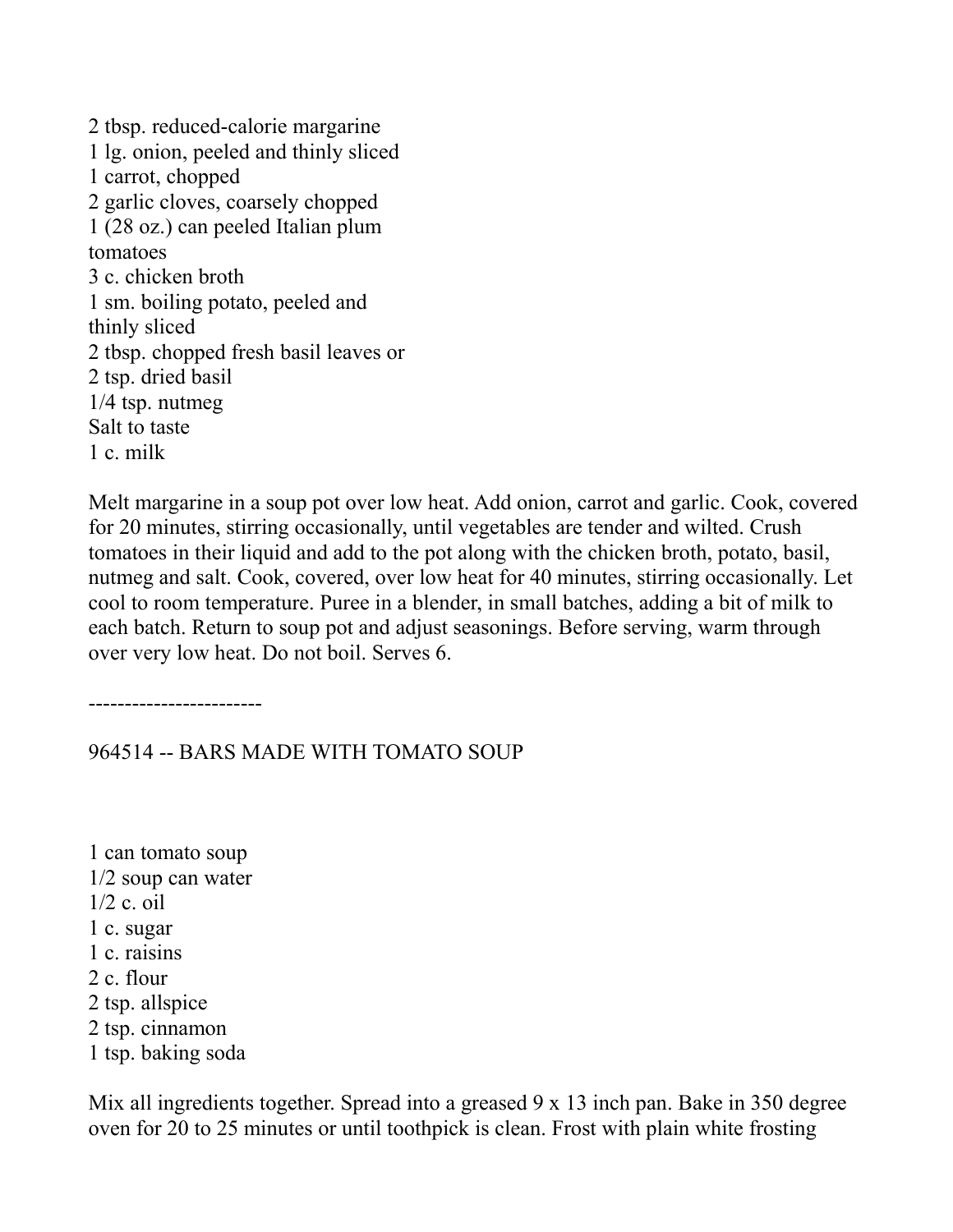2 tbsp. reduced-calorie margarine 1 lg. onion, peeled and thinly sliced 1 carrot, chopped 2 garlic cloves, coarsely chopped 1 (28 oz.) can peeled Italian plum tomatoes 3 c. chicken broth 1 sm. boiling potato, peeled and thinly sliced 2 tbsp. chopped fresh basil leaves or 2 tsp. dried basil 1/4 tsp. nutmeg Salt to taste 1 c. milk

Melt margarine in a soup pot over low heat. Add onion, carrot and garlic. Cook, covered for 20 minutes, stirring occasionally, until vegetables are tender and wilted. Crush tomatoes in their liquid and add to the pot along with the chicken broth, potato, basil, nutmeg and salt. Cook, covered, over low heat for 40 minutes, stirring occasionally. Let cool to room temperature. Puree in a blender, in small batches, adding a bit of milk to each batch. Return to soup pot and adjust seasonings. Before serving, warm through over very low heat. Do not boil. Serves 6.

------------------------

964514 -- BARS MADE WITH TOMATO SOUP

1 can tomato soup 1/2 soup can water 1/2 c. oil 1 c. sugar 1 c. raisins 2 c. flour 2 tsp. allspice 2 tsp. cinnamon 1 tsp. baking soda

Mix all ingredients together. Spread into a greased 9 x 13 inch pan. Bake in 350 degree oven for 20 to 25 minutes or until toothpick is clean. Frost with plain white frosting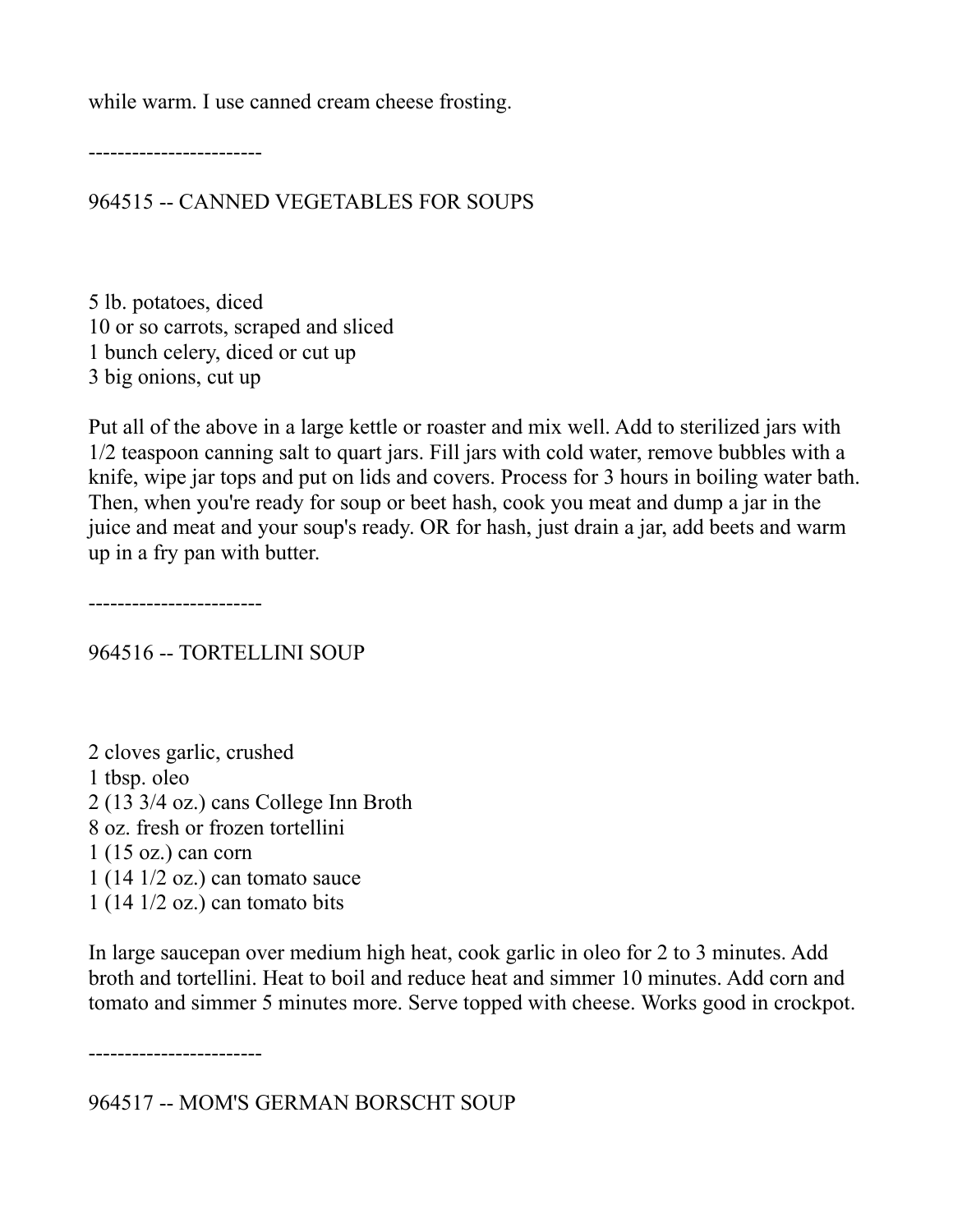while warm. I use canned cream cheese frosting.

------------------------

964515 -- CANNED VEGETABLES FOR SOUPS

5 lb. potatoes, diced 10 or so carrots, scraped and sliced 1 bunch celery, diced or cut up 3 big onions, cut up

Put all of the above in a large kettle or roaster and mix well. Add to sterilized jars with 1/2 teaspoon canning salt to quart jars. Fill jars with cold water, remove bubbles with a knife, wipe jar tops and put on lids and covers. Process for 3 hours in boiling water bath. Then, when you're ready for soup or beet hash, cook you meat and dump a jar in the juice and meat and your soup's ready. OR for hash, just drain a jar, add beets and warm up in a fry pan with butter.

------------------------

964516 -- TORTELLINI SOUP

2 cloves garlic, crushed 1 tbsp. oleo 2 (13 3/4 oz.) cans College Inn Broth 8 oz. fresh or frozen tortellini 1 (15 oz.) can corn  $1(141/2 \text{ oz.})$  can tomato sauce 1 (14 1/2 oz.) can tomato bits

In large saucepan over medium high heat, cook garlic in oleo for 2 to 3 minutes. Add broth and tortellini. Heat to boil and reduce heat and simmer 10 minutes. Add corn and tomato and simmer 5 minutes more. Serve topped with cheese. Works good in crockpot.

------------------------

964517 -- MOM'S GERMAN BORSCHT SOUP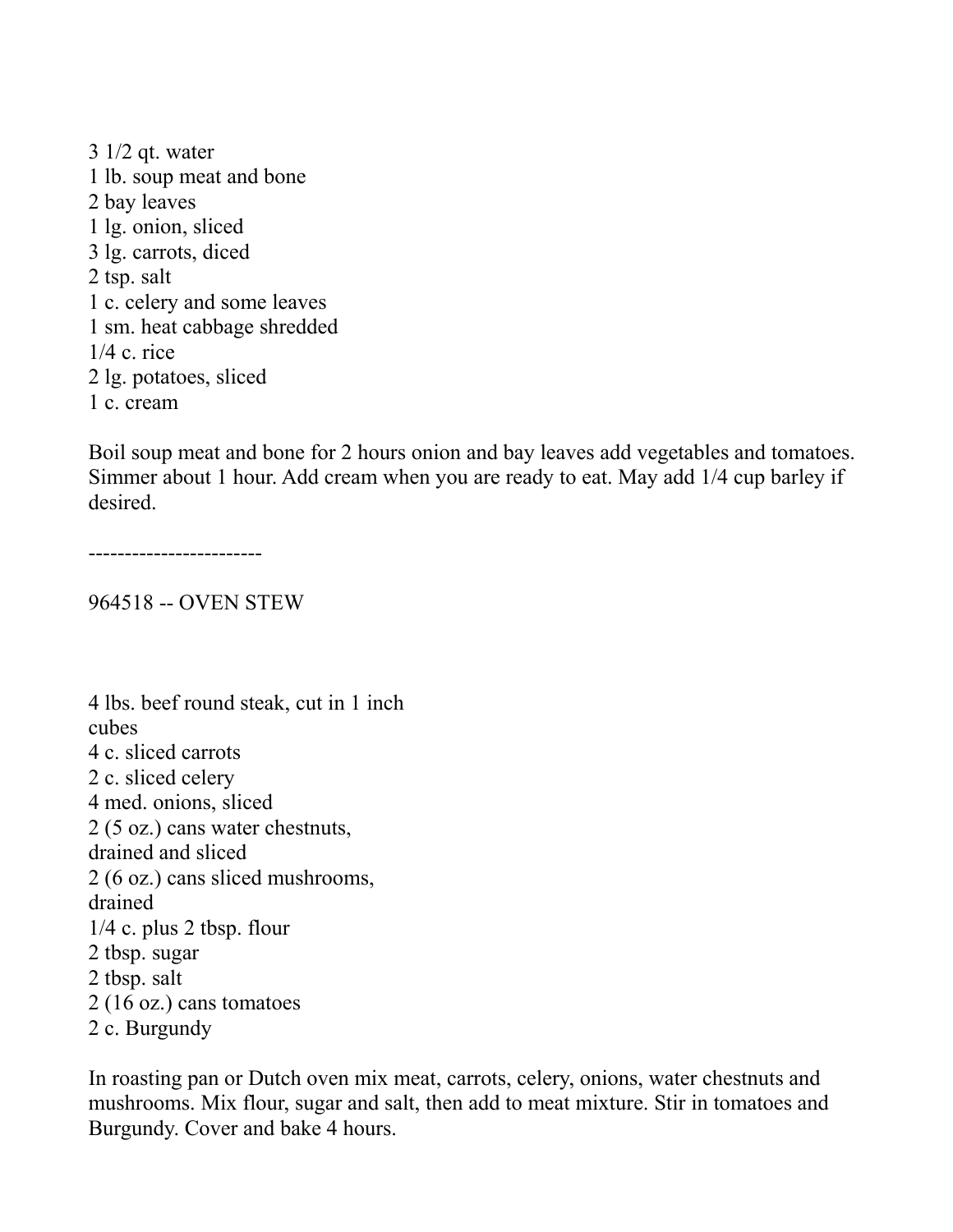3 1/2 qt. water 1 lb. soup meat and bone 2 bay leaves 1 lg. onion, sliced 3 lg. carrots, diced 2 tsp. salt 1 c. celery and some leaves 1 sm. heat cabbage shredded 1/4 c. rice 2 lg. potatoes, sliced 1 c. cream

Boil soup meat and bone for 2 hours onion and bay leaves add vegetables and tomatoes. Simmer about 1 hour. Add cream when you are ready to eat. May add 1/4 cup barley if desired.

------------------------

964518 -- OVEN STEW

4 lbs. beef round steak, cut in 1 inch cubes 4 c. sliced carrots 2 c. sliced celery 4 med. onions, sliced 2 (5 oz.) cans water chestnuts, drained and sliced 2 (6 oz.) cans sliced mushrooms, drained 1/4 c. plus 2 tbsp. flour 2 tbsp. sugar 2 tbsp. salt 2 (16 oz.) cans tomatoes 2 c. Burgundy

In roasting pan or Dutch oven mix meat, carrots, celery, onions, water chestnuts and mushrooms. Mix flour, sugar and salt, then add to meat mixture. Stir in tomatoes and Burgundy. Cover and bake 4 hours.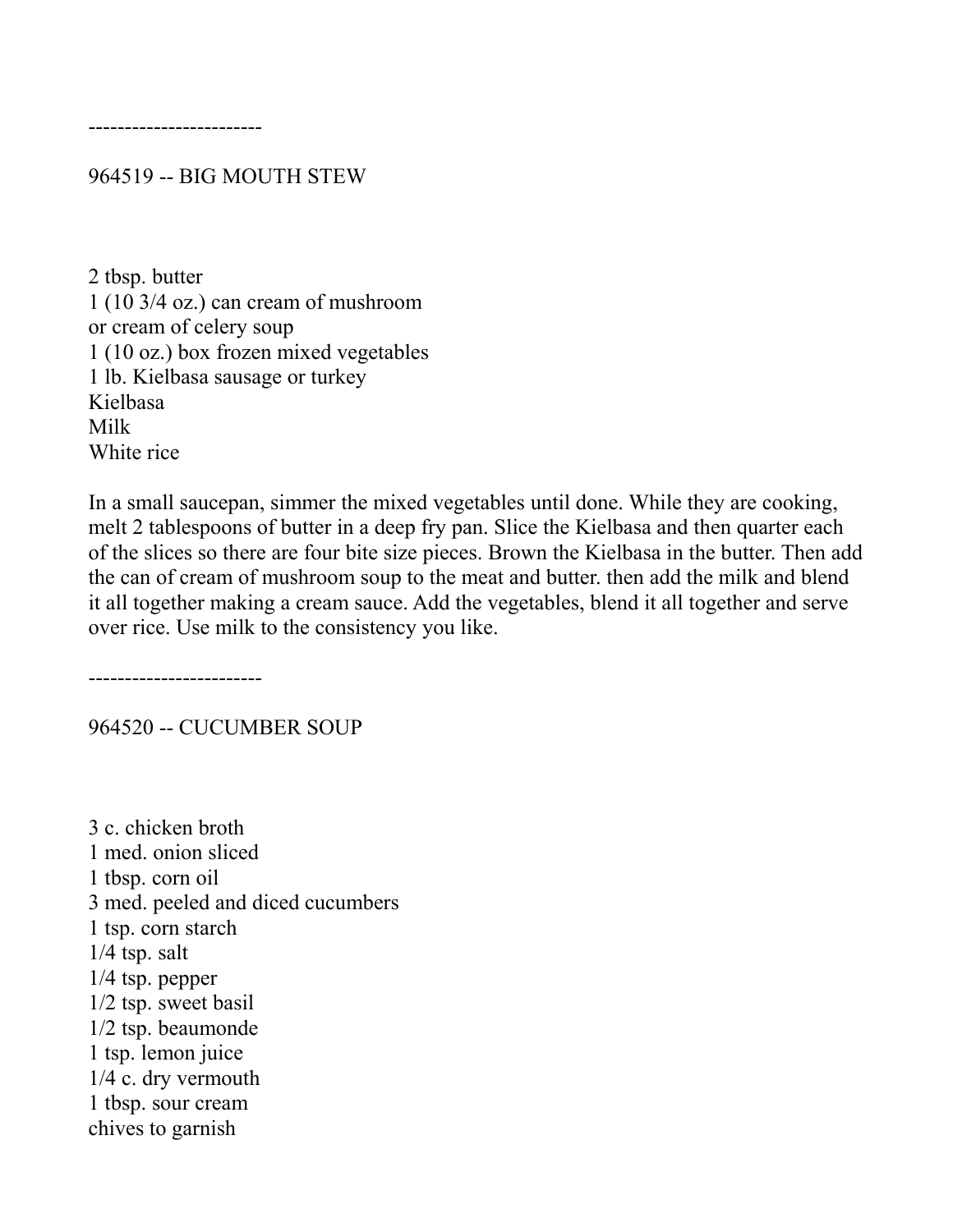------------------------

964519 -- BIG MOUTH STEW

2 tbsp. butter 1 (10 3/4 oz.) can cream of mushroom or cream of celery soup 1 (10 oz.) box frozen mixed vegetables 1 lb. Kielbasa sausage or turkey Kielbasa Milk White rice

In a small saucepan, simmer the mixed vegetables until done. While they are cooking, melt 2 tablespoons of butter in a deep fry pan. Slice the Kielbasa and then quarter each of the slices so there are four bite size pieces. Brown the Kielbasa in the butter. Then add the can of cream of mushroom soup to the meat and butter. then add the milk and blend it all together making a cream sauce. Add the vegetables, blend it all together and serve over rice. Use milk to the consistency you like.

------------------------

964520 -- CUCUMBER SOUP

3 c. chicken broth 1 med. onion sliced 1 tbsp. corn oil 3 med. peeled and diced cucumbers 1 tsp. corn starch 1/4 tsp. salt 1/4 tsp. pepper 1/2 tsp. sweet basil 1/2 tsp. beaumonde 1 tsp. lemon juice 1/4 c. dry vermouth 1 tbsp. sour cream chives to garnish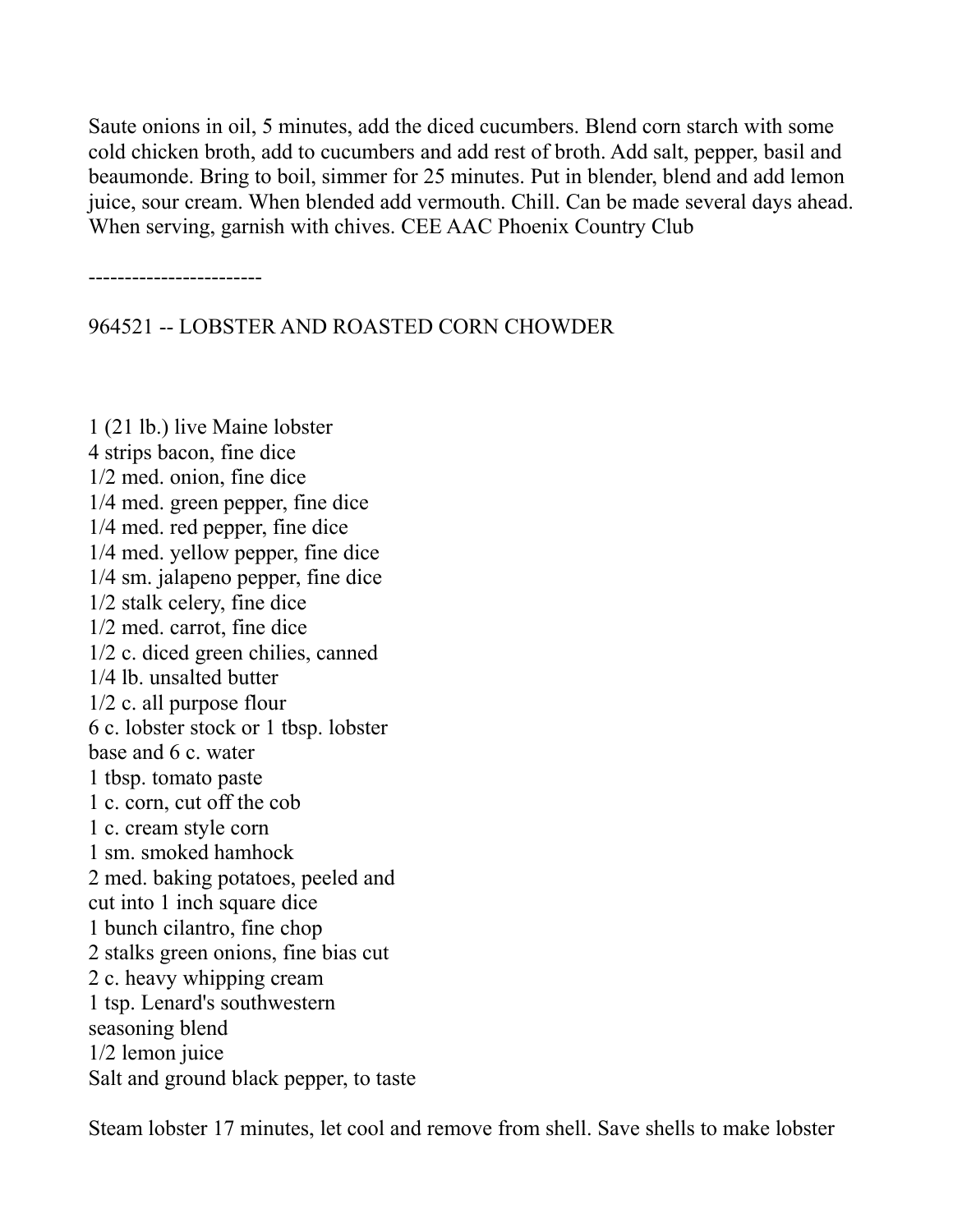Saute onions in oil, 5 minutes, add the diced cucumbers. Blend corn starch with some cold chicken broth, add to cucumbers and add rest of broth. Add salt, pepper, basil and beaumonde. Bring to boil, simmer for 25 minutes. Put in blender, blend and add lemon juice, sour cream. When blended add vermouth. Chill. Can be made several days ahead. When serving, garnish with chives. CEE AAC Phoenix Country Club

------------------------

964521 -- LOBSTER AND ROASTED CORN CHOWDER

1 (21 lb.) live Maine lobster 4 strips bacon, fine dice 1/2 med. onion, fine dice 1/4 med. green pepper, fine dice 1/4 med. red pepper, fine dice 1/4 med. yellow pepper, fine dice 1/4 sm. jalapeno pepper, fine dice 1/2 stalk celery, fine dice 1/2 med. carrot, fine dice 1/2 c. diced green chilies, canned 1/4 lb. unsalted butter 1/2 c. all purpose flour 6 c. lobster stock or 1 tbsp. lobster base and 6 c. water 1 tbsp. tomato paste 1 c. corn, cut off the cob 1 c. cream style corn 1 sm. smoked hamhock 2 med. baking potatoes, peeled and cut into 1 inch square dice 1 bunch cilantro, fine chop 2 stalks green onions, fine bias cut 2 c. heavy whipping cream 1 tsp. Lenard's southwestern seasoning blend 1/2 lemon juice Salt and ground black pepper, to taste

Steam lobster 17 minutes, let cool and remove from shell. Save shells to make lobster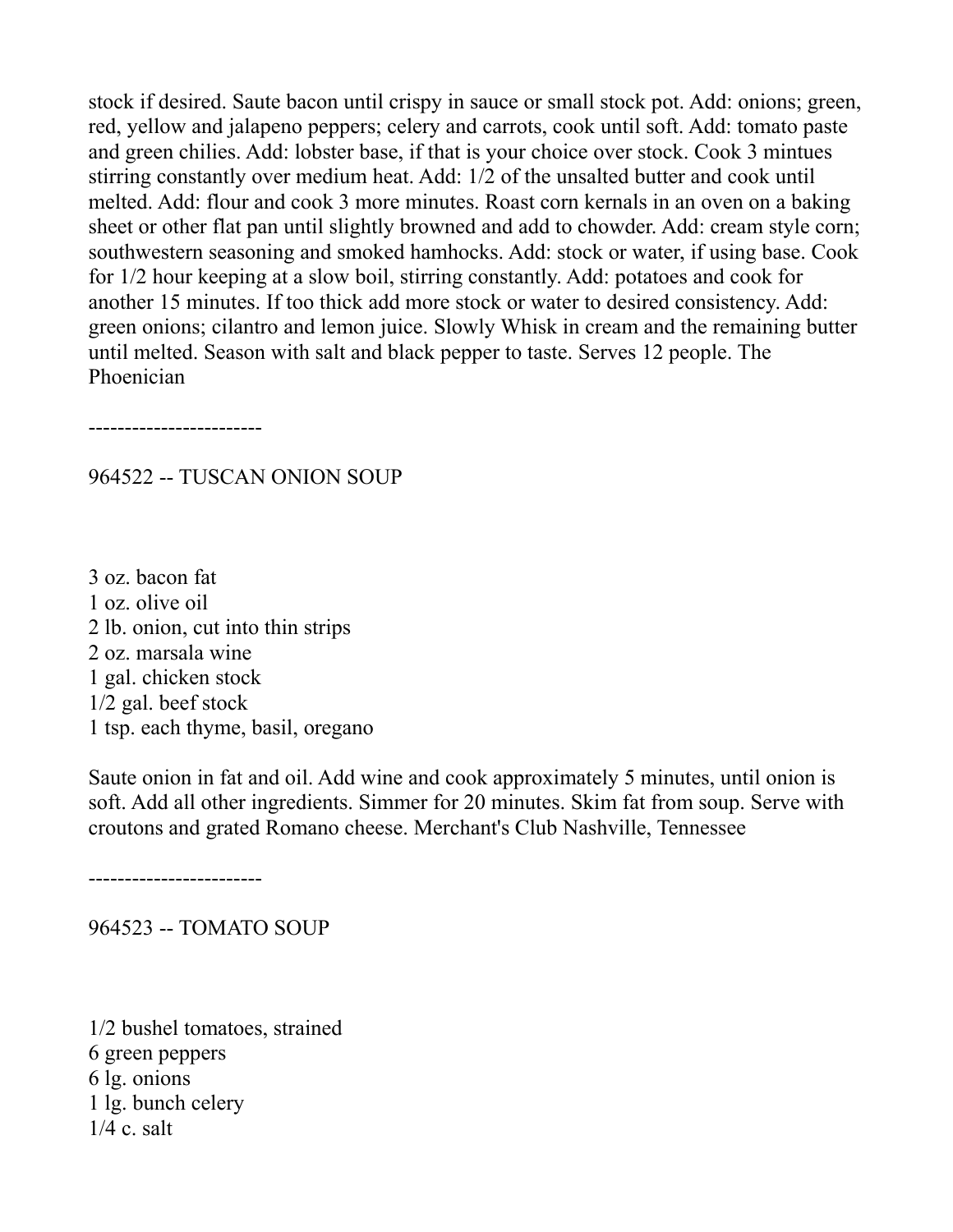stock if desired. Saute bacon until crispy in sauce or small stock pot. Add: onions; green, red, yellow and jalapeno peppers; celery and carrots, cook until soft. Add: tomato paste and green chilies. Add: lobster base, if that is your choice over stock. Cook 3 mintues stirring constantly over medium heat. Add: 1/2 of the unsalted butter and cook until melted. Add: flour and cook 3 more minutes. Roast corn kernals in an oven on a baking sheet or other flat pan until slightly browned and add to chowder. Add: cream style corn; southwestern seasoning and smoked hamhocks. Add: stock or water, if using base. Cook for 1/2 hour keeping at a slow boil, stirring constantly. Add: potatoes and cook for another 15 minutes. If too thick add more stock or water to desired consistency. Add: green onions; cilantro and lemon juice. Slowly Whisk in cream and the remaining butter until melted. Season with salt and black pepper to taste. Serves 12 people. The Phoenician

------------------------

#### 964522 -- TUSCAN ONION SOUP

3 oz. bacon fat 1 oz. olive oil 2 lb. onion, cut into thin strips 2 oz. marsala wine 1 gal. chicken stock 1/2 gal. beef stock 1 tsp. each thyme, basil, oregano

Saute onion in fat and oil. Add wine and cook approximately 5 minutes, until onion is soft. Add all other ingredients. Simmer for 20 minutes. Skim fat from soup. Serve with croutons and grated Romano cheese. Merchant's Club Nashville, Tennessee

------------------------

964523 -- TOMATO SOUP

1/2 bushel tomatoes, strained 6 green peppers 6 lg. onions 1 lg. bunch celery 1/4 c. salt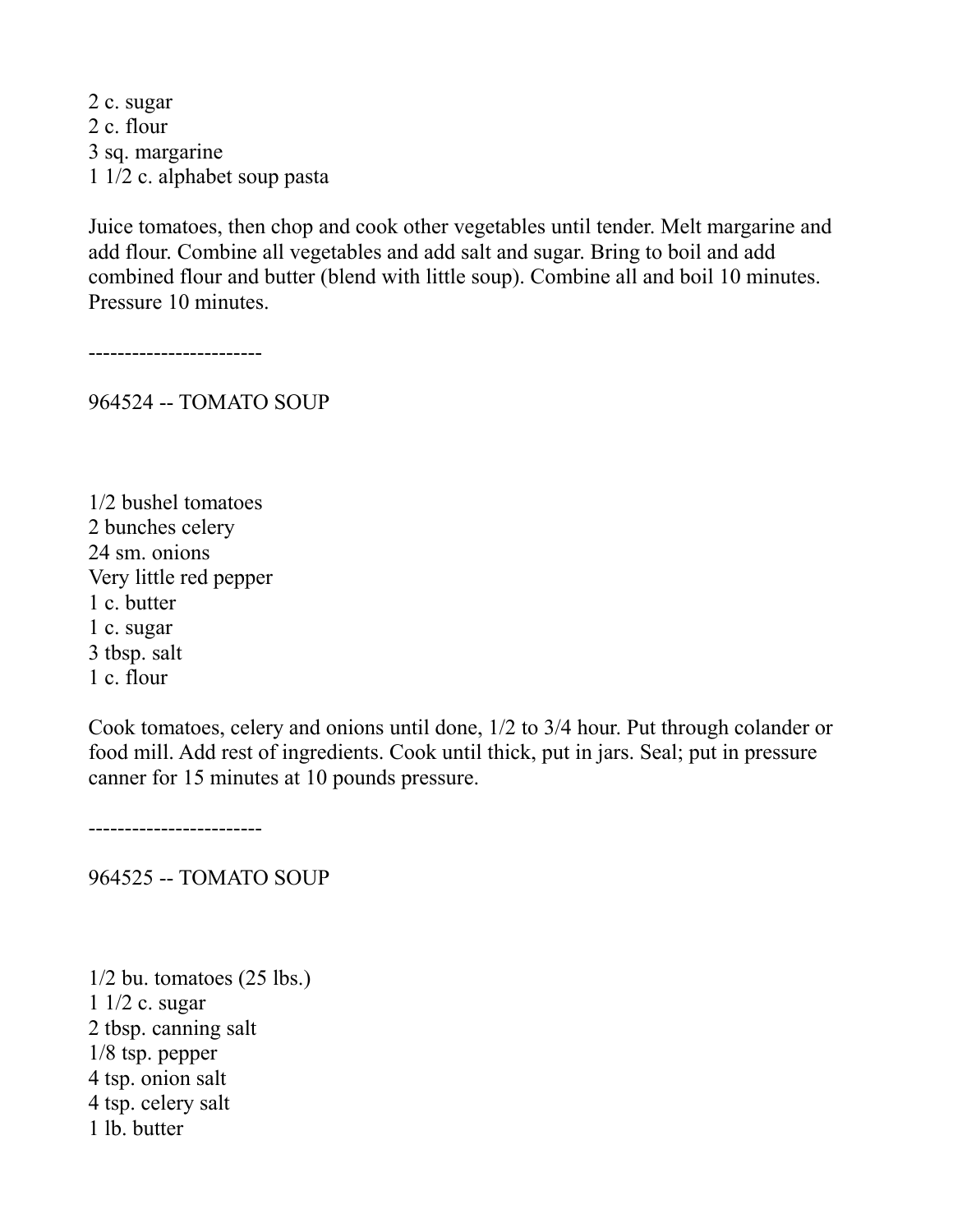2 c. sugar 2 c. flour 3 sq. margarine 1 1/2 c. alphabet soup pasta

Juice tomatoes, then chop and cook other vegetables until tender. Melt margarine and add flour. Combine all vegetables and add salt and sugar. Bring to boil and add combined flour and butter (blend with little soup). Combine all and boil 10 minutes. Pressure 10 minutes.

------------------------

964524 -- TOMATO SOUP

1/2 bushel tomatoes 2 bunches celery 24 sm. onions Very little red pepper 1 c. butter 1 c. sugar 3 tbsp. salt 1 c. flour

Cook tomatoes, celery and onions until done, 1/2 to 3/4 hour. Put through colander or food mill. Add rest of ingredients. Cook until thick, put in jars. Seal; put in pressure canner for 15 minutes at 10 pounds pressure.

------------------------

964525 -- TOMATO SOUP

 $1/2$  bu. tomatoes  $(25$  lbs.) 1 1/2 c. sugar 2 tbsp. canning salt 1/8 tsp. pepper 4 tsp. onion salt 4 tsp. celery salt 1 lb. butter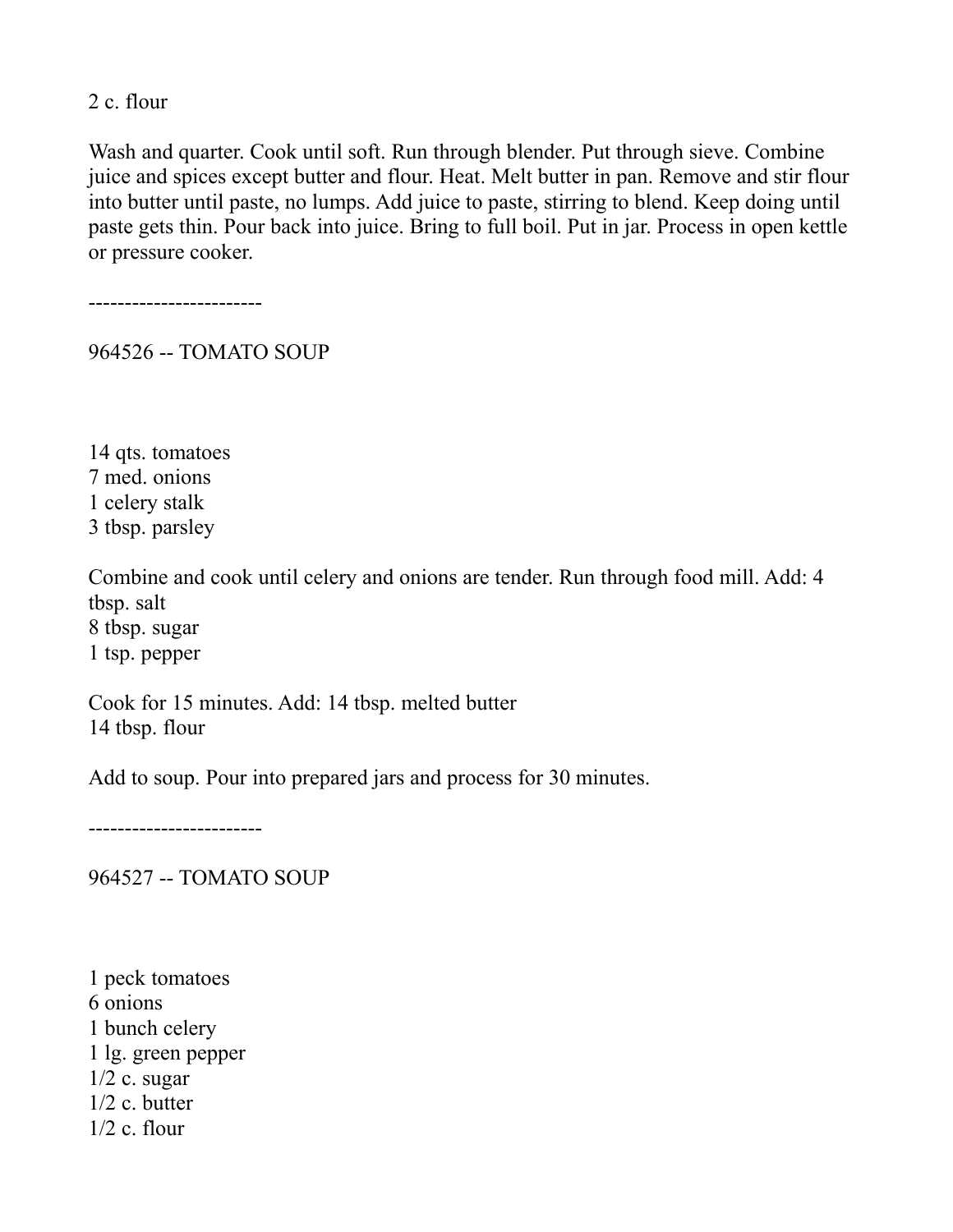2 c. flour

Wash and quarter. Cook until soft. Run through blender. Put through sieve. Combine juice and spices except butter and flour. Heat. Melt butter in pan. Remove and stir flour into butter until paste, no lumps. Add juice to paste, stirring to blend. Keep doing until paste gets thin. Pour back into juice. Bring to full boil. Put in jar. Process in open kettle or pressure cooker.

------------------------

964526 -- TOMATO SOUP

14 qts. tomatoes 7 med. onions 1 celery stalk 3 tbsp. parsley

Combine and cook until celery and onions are tender. Run through food mill. Add: 4 tbsp. salt 8 tbsp. sugar 1 tsp. pepper

Cook for 15 minutes. Add: 14 tbsp. melted butter 14 tbsp. flour

Add to soup. Pour into prepared jars and process for 30 minutes.

------------------------

964527 -- TOMATO SOUP

1 peck tomatoes 6 onions 1 bunch celery 1 lg. green pepper  $1/2$  c. sugar 1/2 c. butter  $1/2$  c. flour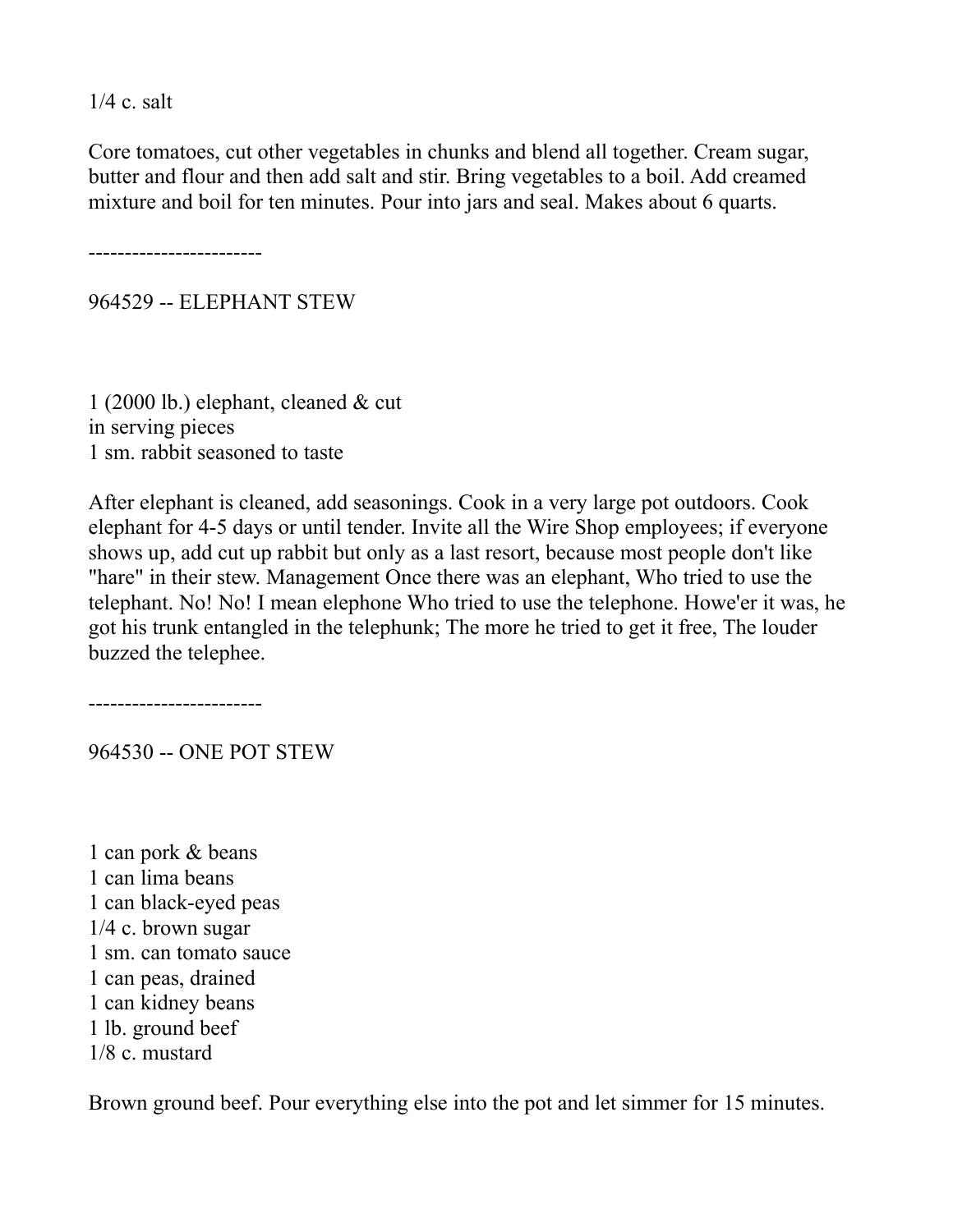1/4 c. salt

Core tomatoes, cut other vegetables in chunks and blend all together. Cream sugar, butter and flour and then add salt and stir. Bring vegetables to a boil. Add creamed mixture and boil for ten minutes. Pour into jars and seal. Makes about 6 quarts.

------------------------

964529 -- ELEPHANT STEW

1 (2000 lb.) elephant, cleaned & cut in serving pieces 1 sm. rabbit seasoned to taste

After elephant is cleaned, add seasonings. Cook in a very large pot outdoors. Cook elephant for 4-5 days or until tender. Invite all the Wire Shop employees; if everyone shows up, add cut up rabbit but only as a last resort, because most people don't like "hare" in their stew. Management Once there was an elephant, Who tried to use the telephant. No! No! I mean elephone Who tried to use the telephone. Howe'er it was, he got his trunk entangled in the telephunk; The more he tried to get it free, The louder buzzed the telephee.

------------------------

964530 -- ONE POT STEW

1 can pork & beans 1 can lima beans 1 can black-eyed peas 1/4 c. brown sugar 1 sm. can tomato sauce 1 can peas, drained 1 can kidney beans 1 lb. ground beef 1/8 c. mustard

Brown ground beef. Pour everything else into the pot and let simmer for 15 minutes.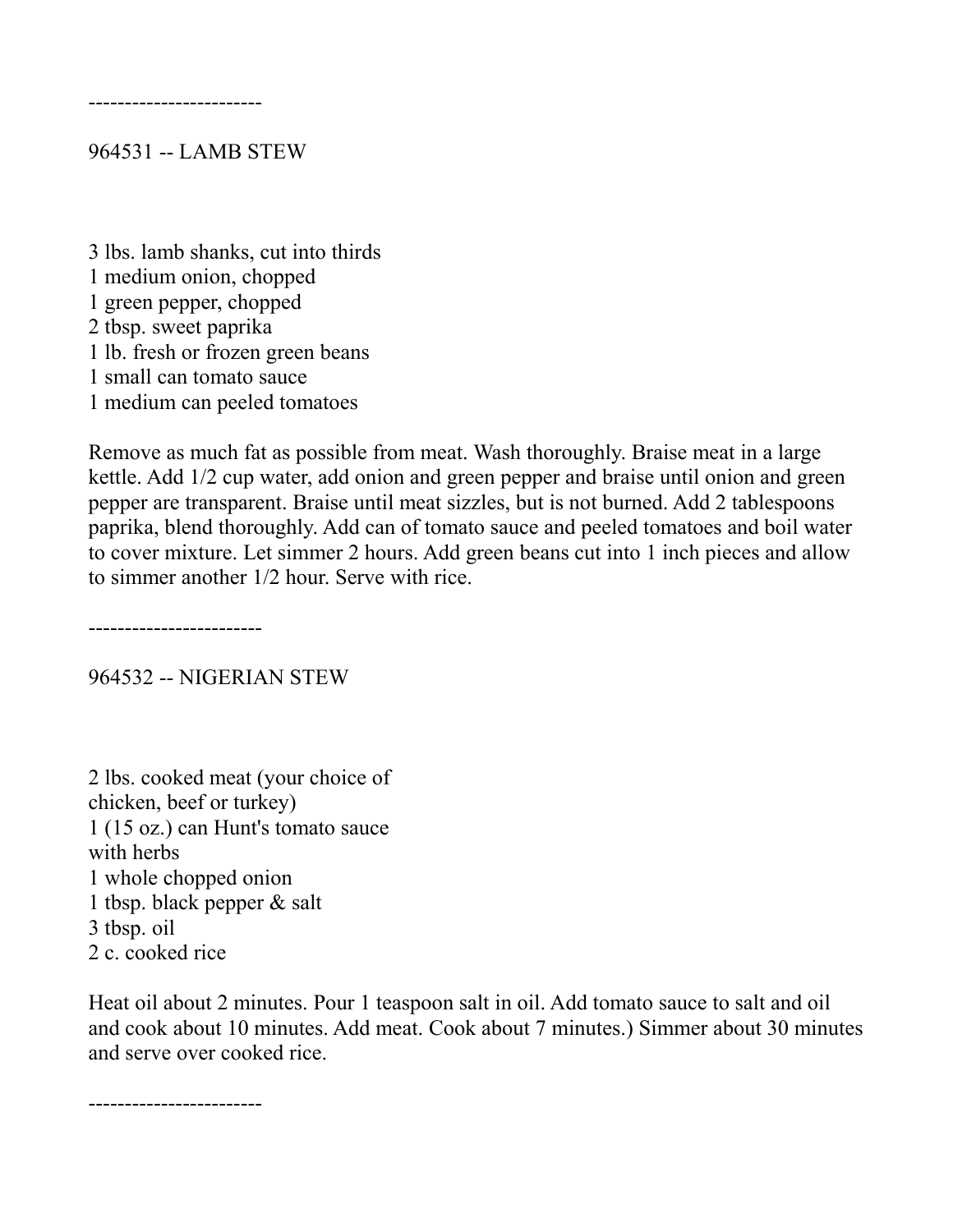------------------------

#### 964531 -- LAMB STEW

3 lbs. lamb shanks, cut into thirds 1 medium onion, chopped 1 green pepper, chopped 2 tbsp. sweet paprika 1 lb. fresh or frozen green beans 1 small can tomato sauce 1 medium can peeled tomatoes

Remove as much fat as possible from meat. Wash thoroughly. Braise meat in a large kettle. Add 1/2 cup water, add onion and green pepper and braise until onion and green pepper are transparent. Braise until meat sizzles, but is not burned. Add 2 tablespoons paprika, blend thoroughly. Add can of tomato sauce and peeled tomatoes and boil water to cover mixture. Let simmer 2 hours. Add green beans cut into 1 inch pieces and allow to simmer another 1/2 hour. Serve with rice.

------------------------

964532 -- NIGERIAN STEW

2 lbs. cooked meat (your choice of chicken, beef or turkey) 1 (15 oz.) can Hunt's tomato sauce with herbs 1 whole chopped onion 1 tbsp. black pepper & salt 3 tbsp. oil 2 c. cooked rice

Heat oil about 2 minutes. Pour 1 teaspoon salt in oil. Add tomato sauce to salt and oil and cook about 10 minutes. Add meat. Cook about 7 minutes.) Simmer about 30 minutes and serve over cooked rice.

------------------------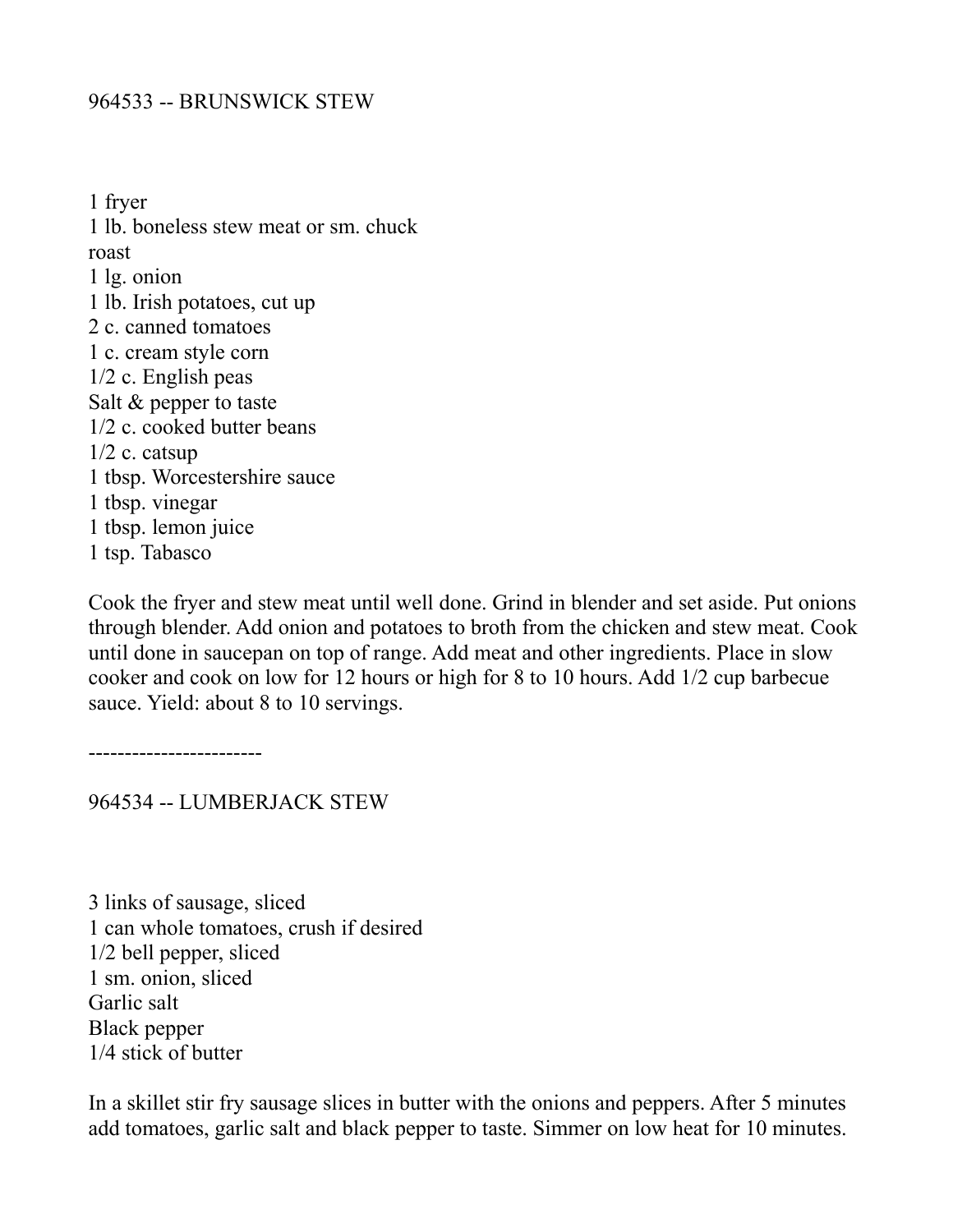## 964533 -- BRUNSWICK STEW

1 fryer 1 lb. boneless stew meat or sm. chuck roast 1 lg. onion 1 lb. Irish potatoes, cut up 2 c. canned tomatoes 1 c. cream style corn 1/2 c. English peas Salt & pepper to taste 1/2 c. cooked butter beans  $1/2$  c. catsup 1 tbsp. Worcestershire sauce 1 tbsp. vinegar 1 tbsp. lemon juice 1 tsp. Tabasco

Cook the fryer and stew meat until well done. Grind in blender and set aside. Put onions through blender. Add onion and potatoes to broth from the chicken and stew meat. Cook until done in saucepan on top of range. Add meat and other ingredients. Place in slow cooker and cook on low for 12 hours or high for 8 to 10 hours. Add 1/2 cup barbecue sauce. Yield: about 8 to 10 servings.

------------------------

964534 -- LUMBERJACK STEW

3 links of sausage, sliced 1 can whole tomatoes, crush if desired 1/2 bell pepper, sliced 1 sm. onion, sliced Garlic salt Black pepper 1/4 stick of butter

In a skillet stir fry sausage slices in butter with the onions and peppers. After 5 minutes add tomatoes, garlic salt and black pepper to taste. Simmer on low heat for 10 minutes.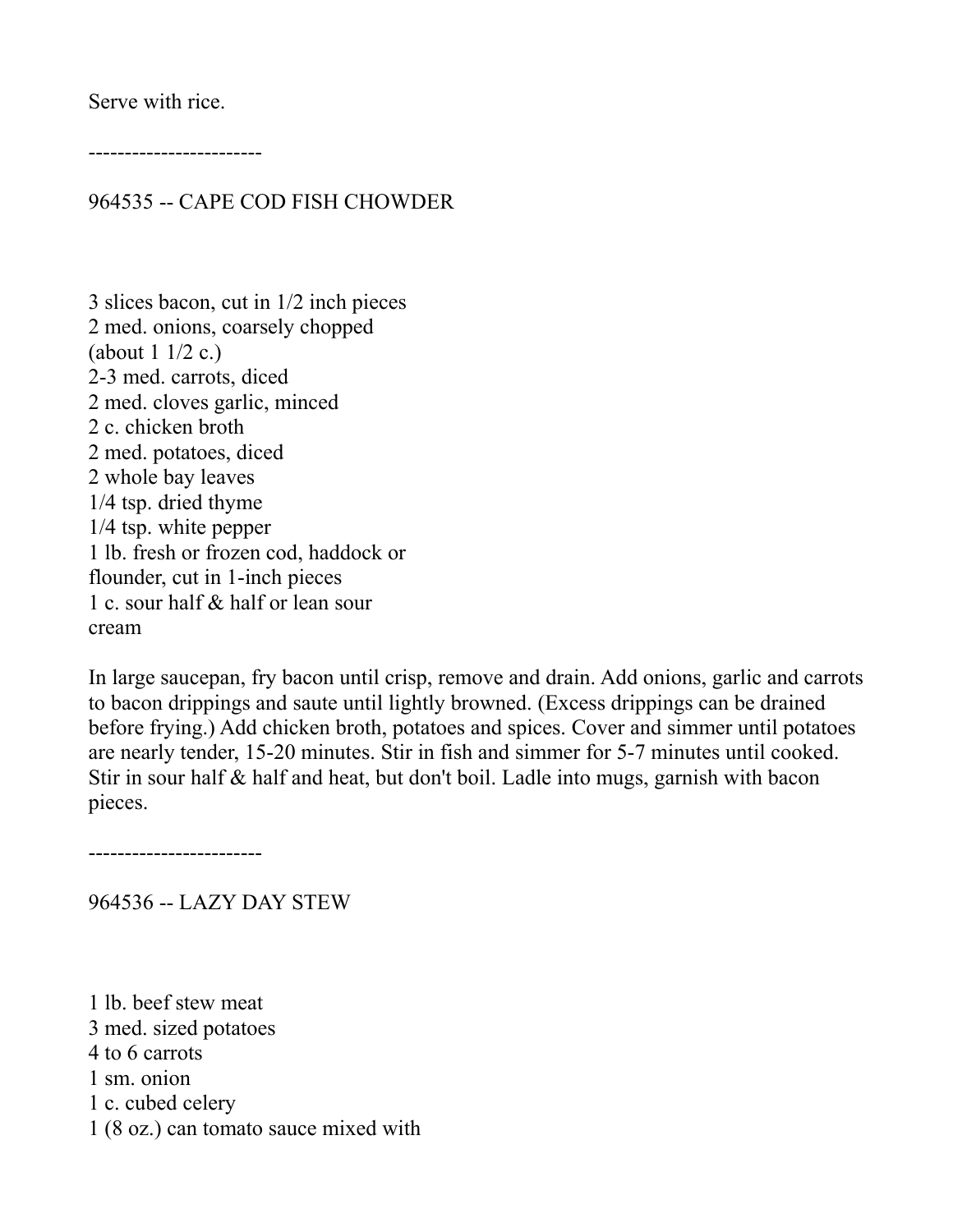Serve with rice.

------------------------

## 964535 -- CAPE COD FISH CHOWDER

3 slices bacon, cut in 1/2 inch pieces 2 med. onions, coarsely chopped (about  $1 \frac{1}{2}$  c.) 2-3 med. carrots, diced 2 med. cloves garlic, minced 2 c. chicken broth 2 med. potatoes, diced 2 whole bay leaves 1/4 tsp. dried thyme 1/4 tsp. white pepper 1 lb. fresh or frozen cod, haddock or flounder, cut in 1-inch pieces 1 c. sour half & half or lean sour cream

In large saucepan, fry bacon until crisp, remove and drain. Add onions, garlic and carrots to bacon drippings and saute until lightly browned. (Excess drippings can be drained before frying.) Add chicken broth, potatoes and spices. Cover and simmer until potatoes are nearly tender, 15-20 minutes. Stir in fish and simmer for 5-7 minutes until cooked. Stir in sour half & half and heat, but don't boil. Ladle into mugs, garnish with bacon pieces.

------------------------

964536 -- LAZY DAY STEW

1 lb. beef stew meat 3 med. sized potatoes 4 to 6 carrots 1 sm. onion 1 c. cubed celery 1 (8 oz.) can tomato sauce mixed with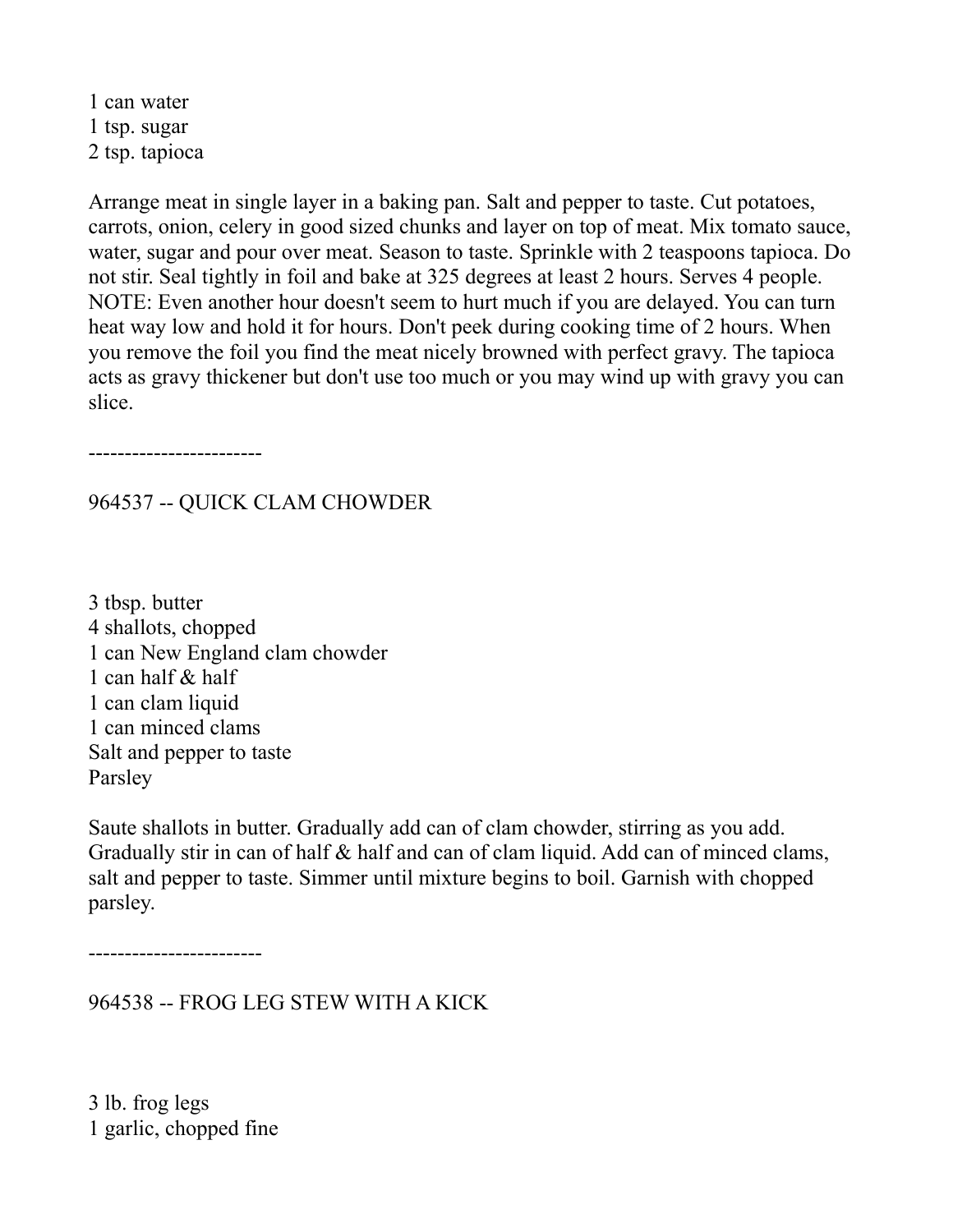1 can water 1 tsp. sugar 2 tsp. tapioca

Arrange meat in single layer in a baking pan. Salt and pepper to taste. Cut potatoes, carrots, onion, celery in good sized chunks and layer on top of meat. Mix tomato sauce, water, sugar and pour over meat. Season to taste. Sprinkle with 2 teaspoons tapioca. Do not stir. Seal tightly in foil and bake at 325 degrees at least 2 hours. Serves 4 people. NOTE: Even another hour doesn't seem to hurt much if you are delayed. You can turn heat way low and hold it for hours. Don't peek during cooking time of 2 hours. When you remove the foil you find the meat nicely browned with perfect gravy. The tapioca acts as gravy thickener but don't use too much or you may wind up with gravy you can slice.

------------------------

# 964537 -- QUICK CLAM CHOWDER

3 tbsp. butter 4 shallots, chopped 1 can New England clam chowder 1 can half & half 1 can clam liquid 1 can minced clams Salt and pepper to taste Parsley

Saute shallots in butter. Gradually add can of clam chowder, stirring as you add. Gradually stir in can of half & half and can of clam liquid. Add can of minced clams, salt and pepper to taste. Simmer until mixture begins to boil. Garnish with chopped parsley.

------------------------

964538 -- FROG LEG STEW WITH A KICK

3 lb. frog legs 1 garlic, chopped fine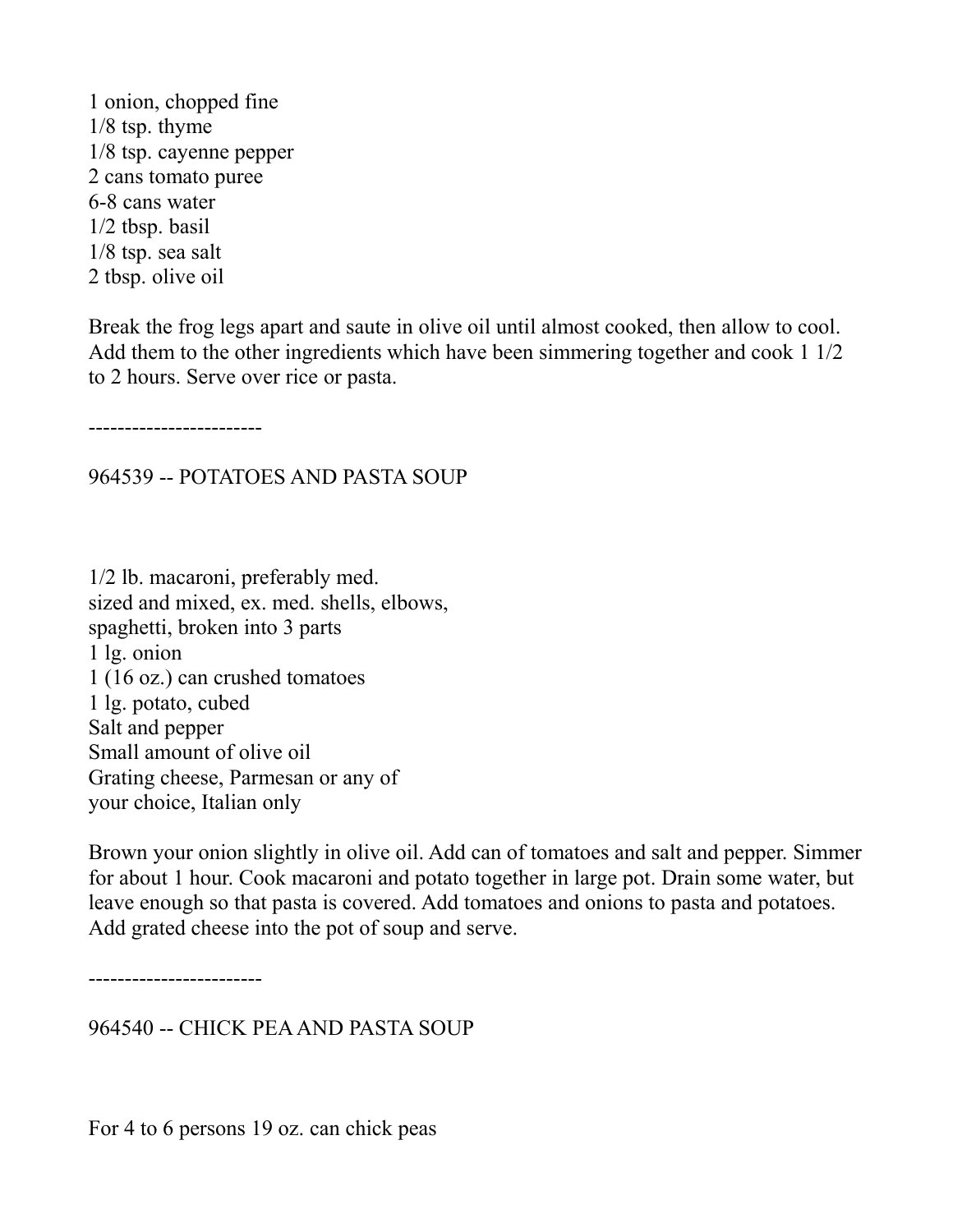1 onion, chopped fine 1/8 tsp. thyme 1/8 tsp. cayenne pepper 2 cans tomato puree 6-8 cans water 1/2 tbsp. basil 1/8 tsp. sea salt 2 tbsp. olive oil

Break the frog legs apart and saute in olive oil until almost cooked, then allow to cool. Add them to the other ingredients which have been simmering together and cook 1 1/2 to 2 hours. Serve over rice or pasta.

------------------------

964539 -- POTATOES AND PASTA SOUP

1/2 lb. macaroni, preferably med. sized and mixed, ex. med. shells, elbows, spaghetti, broken into 3 parts 1 lg. onion 1 (16 oz.) can crushed tomatoes 1 lg. potato, cubed Salt and pepper Small amount of olive oil Grating cheese, Parmesan or any of your choice, Italian only

Brown your onion slightly in olive oil. Add can of tomatoes and salt and pepper. Simmer for about 1 hour. Cook macaroni and potato together in large pot. Drain some water, but leave enough so that pasta is covered. Add tomatoes and onions to pasta and potatoes. Add grated cheese into the pot of soup and serve.

------------------------

964540 -- CHICK PEA AND PASTA SOUP

For 4 to 6 persons 19 oz. can chick peas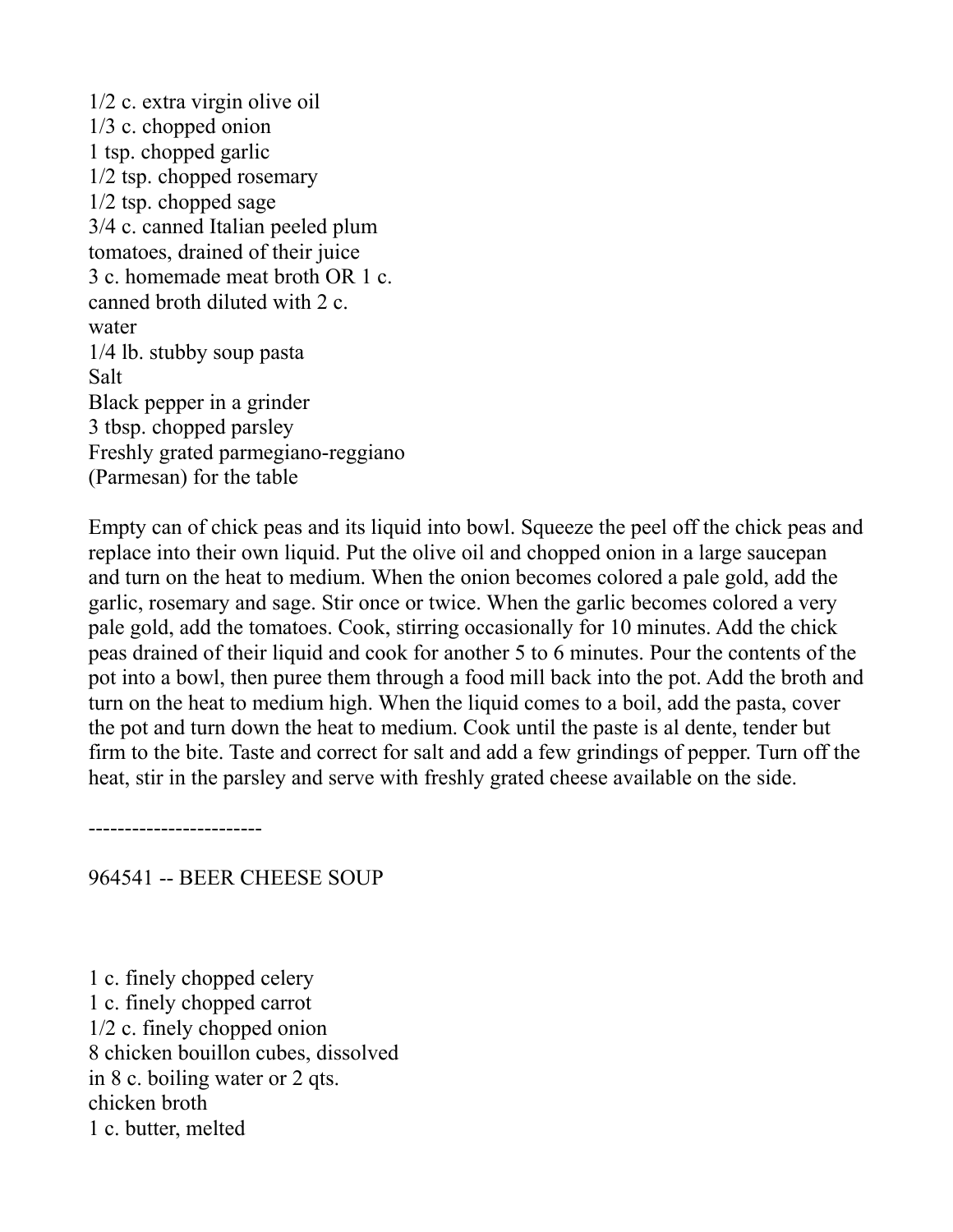1/2 c. extra virgin olive oil 1/3 c. chopped onion 1 tsp. chopped garlic 1/2 tsp. chopped rosemary 1/2 tsp. chopped sage 3/4 c. canned Italian peeled plum tomatoes, drained of their juice 3 c. homemade meat broth OR 1 c. canned broth diluted with 2 c. water 1/4 lb. stubby soup pasta Salt Black pepper in a grinder 3 tbsp. chopped parsley Freshly grated parmegiano-reggiano (Parmesan) for the table

Empty can of chick peas and its liquid into bowl. Squeeze the peel off the chick peas and replace into their own liquid. Put the olive oil and chopped onion in a large saucepan and turn on the heat to medium. When the onion becomes colored a pale gold, add the garlic, rosemary and sage. Stir once or twice. When the garlic becomes colored a very pale gold, add the tomatoes. Cook, stirring occasionally for 10 minutes. Add the chick peas drained of their liquid and cook for another 5 to 6 minutes. Pour the contents of the pot into a bowl, then puree them through a food mill back into the pot. Add the broth and turn on the heat to medium high. When the liquid comes to a boil, add the pasta, cover the pot and turn down the heat to medium. Cook until the paste is al dente, tender but firm to the bite. Taste and correct for salt and add a few grindings of pepper. Turn off the heat, stir in the parsley and serve with freshly grated cheese available on the side.

------------------------

964541 -- BEER CHEESE SOUP

1 c. finely chopped celery 1 c. finely chopped carrot 1/2 c. finely chopped onion 8 chicken bouillon cubes, dissolved in 8 c. boiling water or 2 qts. chicken broth 1 c. butter, melted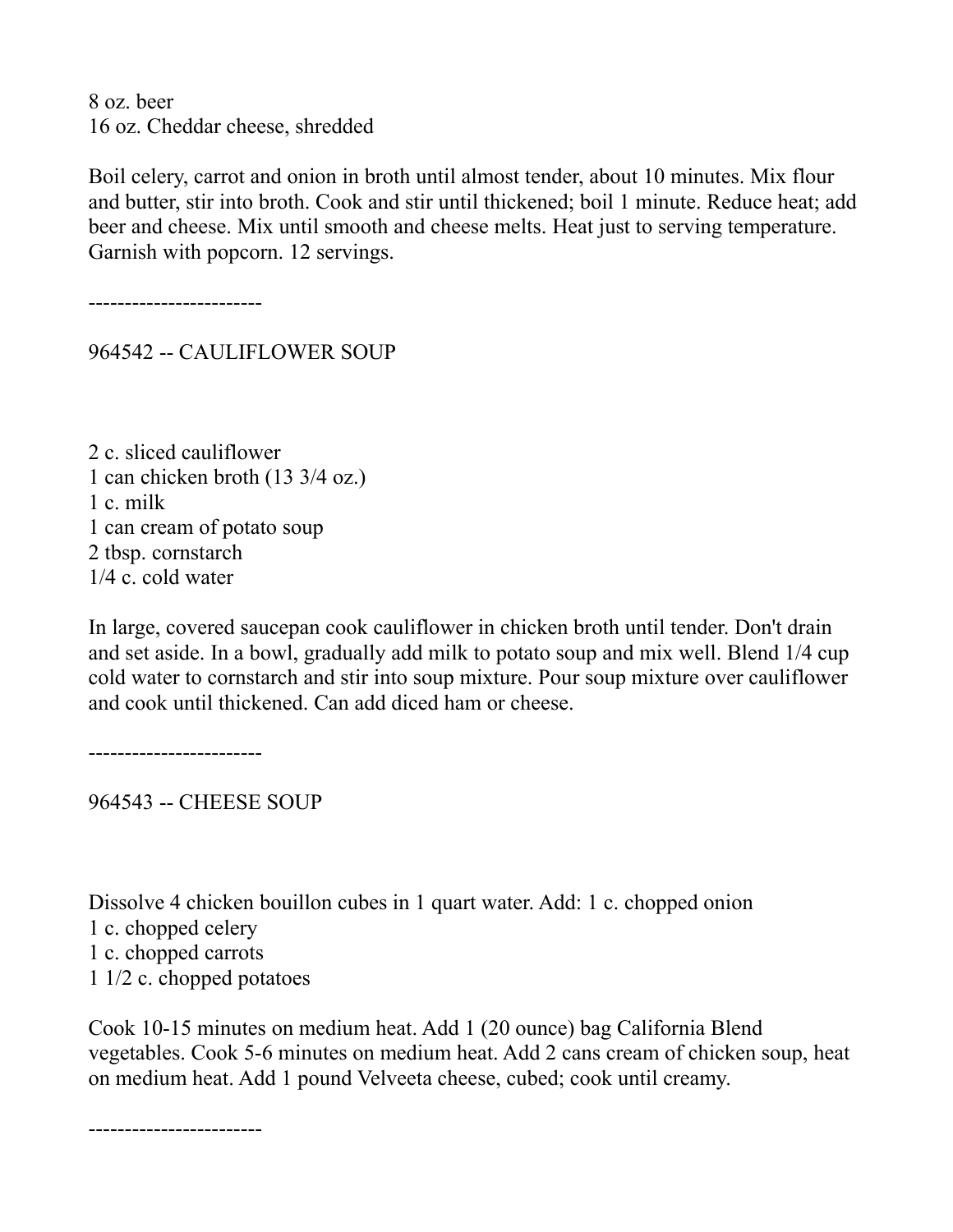8 oz. beer 16 oz. Cheddar cheese, shredded

Boil celery, carrot and onion in broth until almost tender, about 10 minutes. Mix flour and butter, stir into broth. Cook and stir until thickened; boil 1 minute. Reduce heat; add beer and cheese. Mix until smooth and cheese melts. Heat just to serving temperature. Garnish with popcorn. 12 servings.

------------------------

964542 -- CAULIFLOWER SOUP

2 c. sliced cauliflower 1 can chicken broth (13 3/4 oz.) 1 c. milk 1 can cream of potato soup 2 tbsp. cornstarch 1/4 c. cold water

In large, covered saucepan cook cauliflower in chicken broth until tender. Don't drain and set aside. In a bowl, gradually add milk to potato soup and mix well. Blend 1/4 cup cold water to cornstarch and stir into soup mixture. Pour soup mixture over cauliflower and cook until thickened. Can add diced ham or cheese.

------------------------

964543 -- CHEESE SOUP

Dissolve 4 chicken bouillon cubes in 1 quart water. Add: 1 c. chopped onion 1 c. chopped celery 1 c. chopped carrots 1 1/2 c. chopped potatoes

Cook 10-15 minutes on medium heat. Add 1 (20 ounce) bag California Blend vegetables. Cook 5-6 minutes on medium heat. Add 2 cans cream of chicken soup, heat on medium heat. Add 1 pound Velveeta cheese, cubed; cook until creamy.

------------------------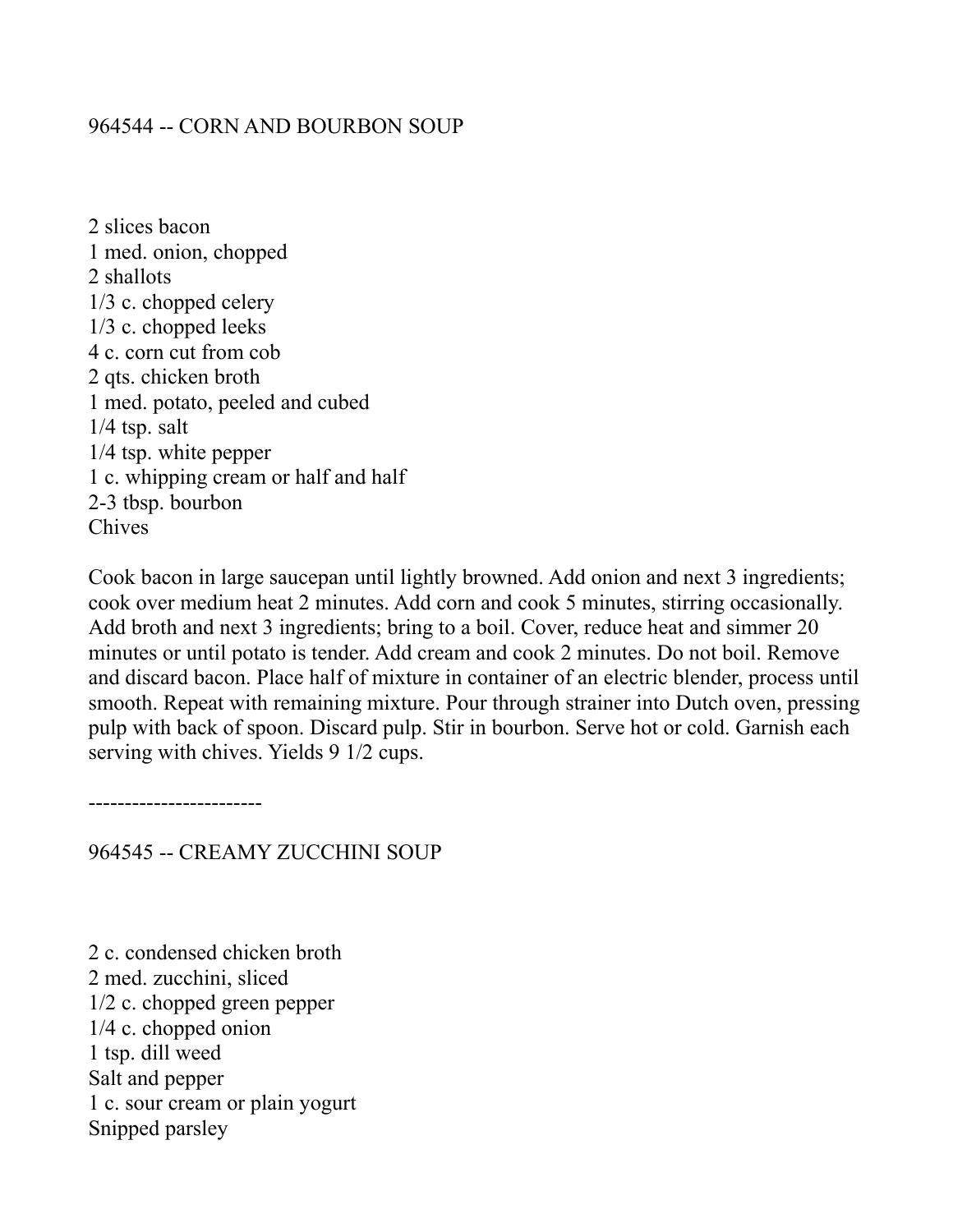# 964544 -- CORN AND BOURBON SOUP

2 slices bacon 1 med. onion, chopped 2 shallots 1/3 c. chopped celery 1/3 c. chopped leeks 4 c. corn cut from cob 2 qts. chicken broth 1 med. potato, peeled and cubed  $1/4$  tsp. salt 1/4 tsp. white pepper 1 c. whipping cream or half and half 2-3 tbsp. bourbon Chives

Cook bacon in large saucepan until lightly browned. Add onion and next 3 ingredients; cook over medium heat 2 minutes. Add corn and cook 5 minutes, stirring occasionally. Add broth and next 3 ingredients; bring to a boil. Cover, reduce heat and simmer 20 minutes or until potato is tender. Add cream and cook 2 minutes. Do not boil. Remove and discard bacon. Place half of mixture in container of an electric blender, process until smooth. Repeat with remaining mixture. Pour through strainer into Dutch oven, pressing pulp with back of spoon. Discard pulp. Stir in bourbon. Serve hot or cold. Garnish each serving with chives. Yields 9 1/2 cups.

------------------------

964545 -- CREAMY ZUCCHINI SOUP

2 c. condensed chicken broth 2 med. zucchini, sliced 1/2 c. chopped green pepper 1/4 c. chopped onion 1 tsp. dill weed Salt and pepper 1 c. sour cream or plain yogurt Snipped parsley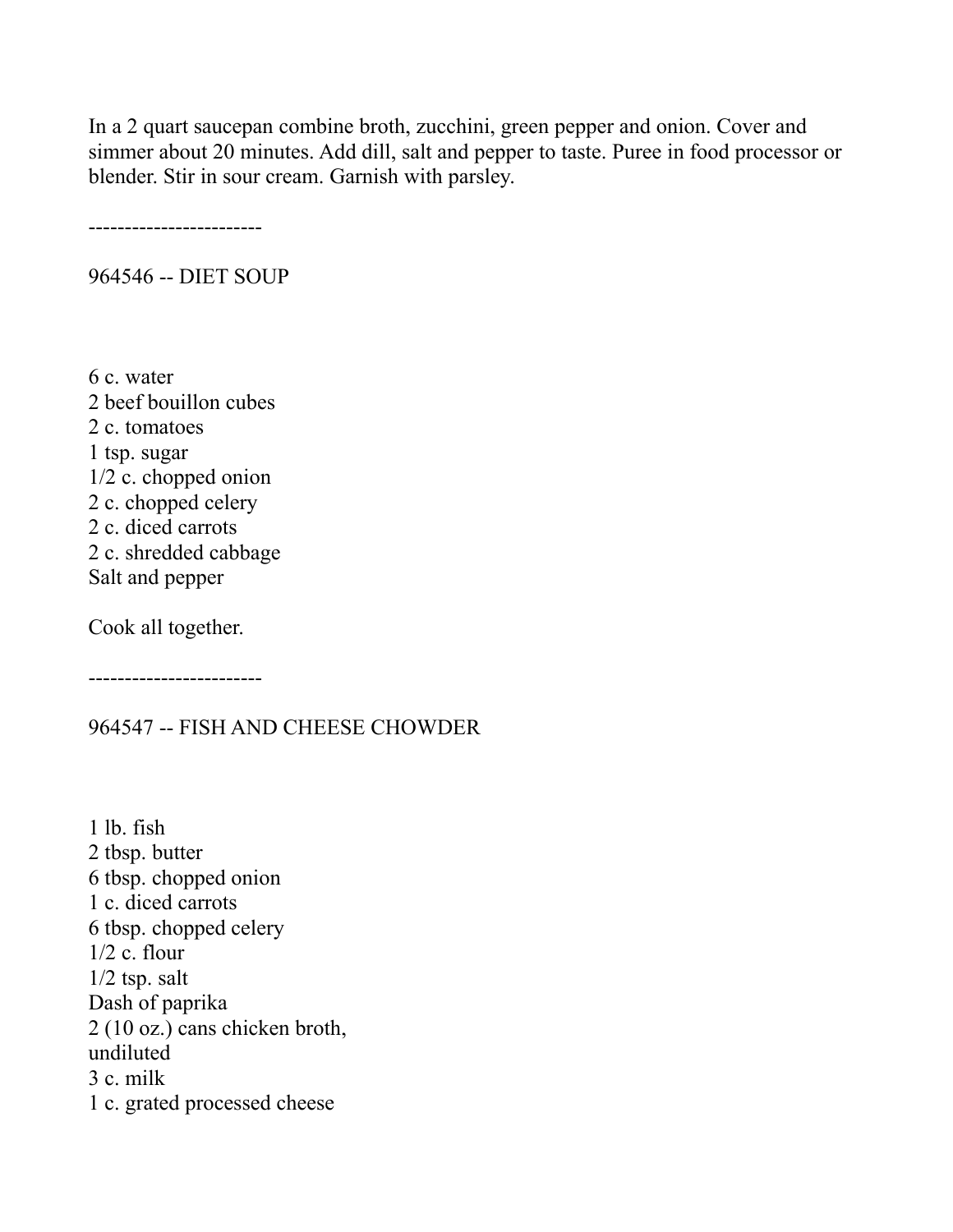In a 2 quart saucepan combine broth, zucchini, green pepper and onion. Cover and simmer about 20 minutes. Add dill, salt and pepper to taste. Puree in food processor or blender. Stir in sour cream. Garnish with parsley.

------------------------

964546 -- DIET SOUP

6 c. water 2 beef bouillon cubes 2 c. tomatoes 1 tsp. sugar 1/2 c. chopped onion 2 c. chopped celery 2 c. diced carrots 2 c. shredded cabbage Salt and pepper

Cook all together.

------------------------

#### 964547 -- FISH AND CHEESE CHOWDER

1 lb. fish 2 tbsp. butter 6 tbsp. chopped onion 1 c. diced carrots 6 tbsp. chopped celery  $1/2$  c. flour 1/2 tsp. salt Dash of paprika 2 (10 oz.) cans chicken broth, undiluted 3 c. milk 1 c. grated processed cheese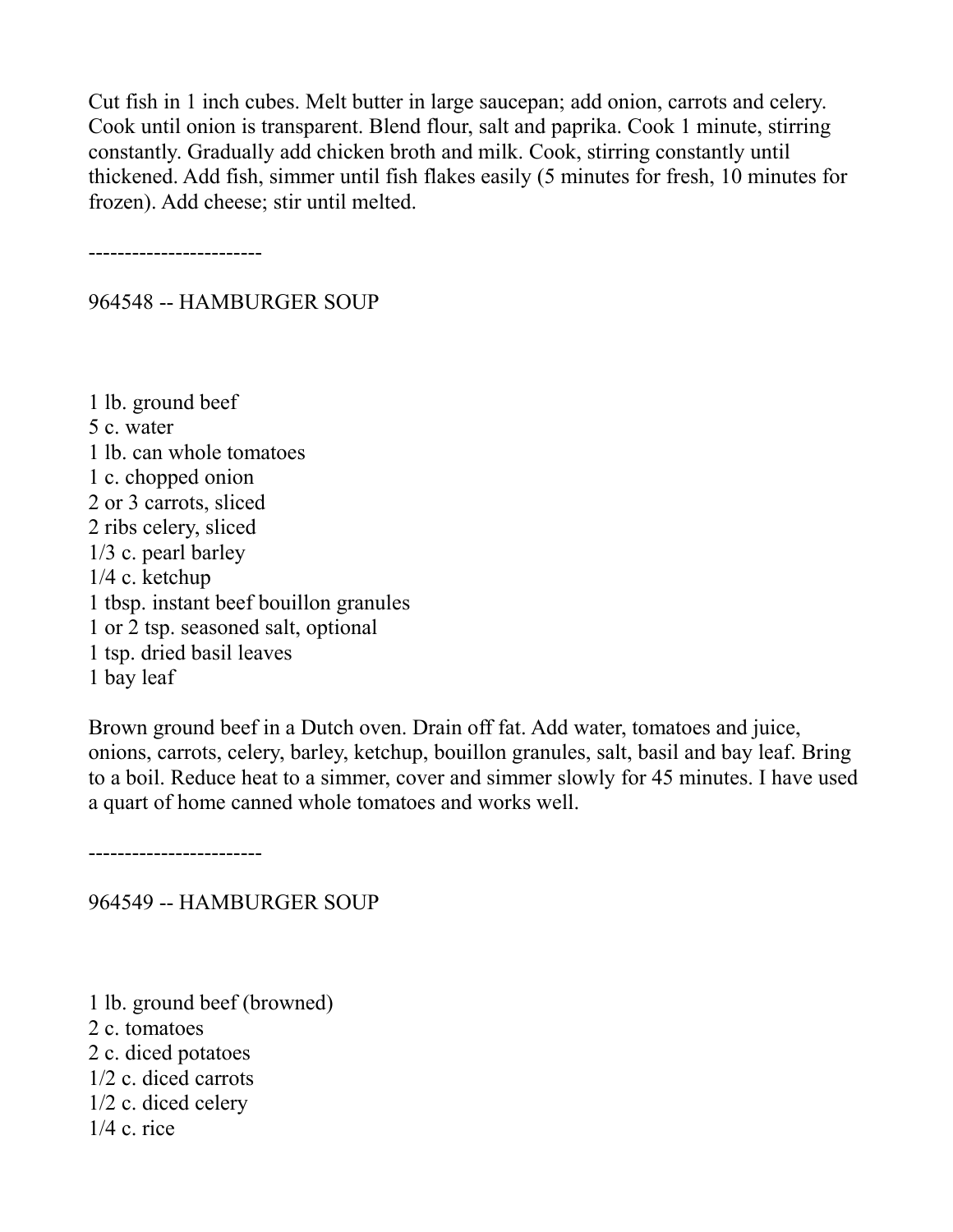Cut fish in 1 inch cubes. Melt butter in large saucepan; add onion, carrots and celery. Cook until onion is transparent. Blend flour, salt and paprika. Cook 1 minute, stirring constantly. Gradually add chicken broth and milk. Cook, stirring constantly until thickened. Add fish, simmer until fish flakes easily (5 minutes for fresh, 10 minutes for frozen). Add cheese; stir until melted.

------------------------

### 964548 -- HAMBURGER SOUP

1 lb. ground beef 5 c. water 1 lb. can whole tomatoes 1 c. chopped onion 2 or 3 carrots, sliced 2 ribs celery, sliced 1/3 c. pearl barley 1/4 c. ketchup 1 tbsp. instant beef bouillon granules 1 or 2 tsp. seasoned salt, optional 1 tsp. dried basil leaves 1 bay leaf

Brown ground beef in a Dutch oven. Drain off fat. Add water, tomatoes and juice, onions, carrots, celery, barley, ketchup, bouillon granules, salt, basil and bay leaf. Bring to a boil. Reduce heat to a simmer, cover and simmer slowly for 45 minutes. I have used a quart of home canned whole tomatoes and works well.

------------------------

964549 -- HAMBURGER SOUP

1 lb. ground beef (browned) 2 c. tomatoes 2 c. diced potatoes 1/2 c. diced carrots 1/2 c. diced celery 1/4 c. rice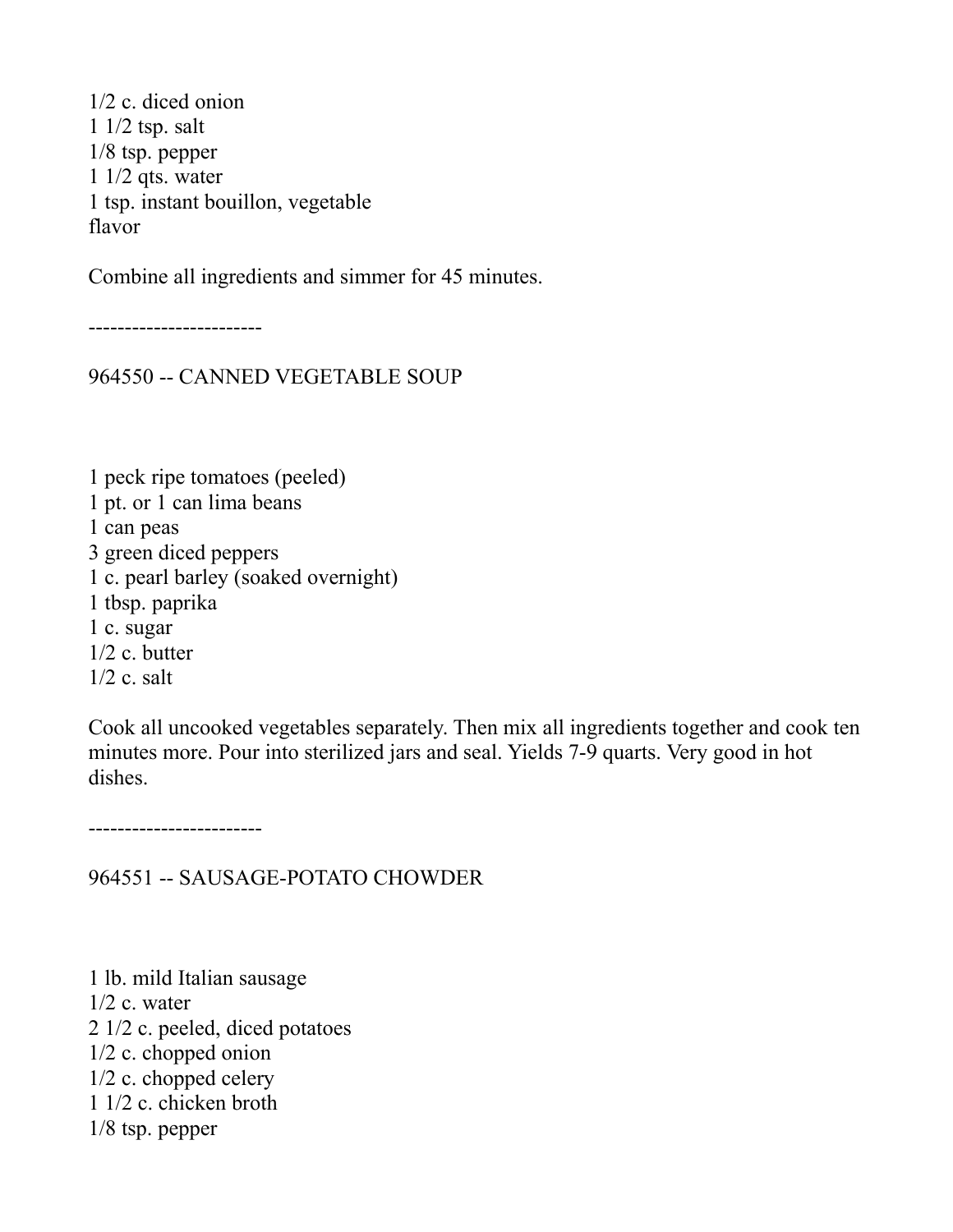1/2 c. diced onion 1 1/2 tsp. salt 1/8 tsp. pepper 1 1/2 qts. water 1 tsp. instant bouillon, vegetable flavor

Combine all ingredients and simmer for 45 minutes.

------------------------

964550 -- CANNED VEGETABLE SOUP

1 peck ripe tomatoes (peeled) 1 pt. or 1 can lima beans 1 can peas 3 green diced peppers 1 c. pearl barley (soaked overnight) 1 tbsp. paprika 1 c. sugar 1/2 c. butter 1/2 c. salt

Cook all uncooked vegetables separately. Then mix all ingredients together and cook ten minutes more. Pour into sterilized jars and seal. Yields 7-9 quarts. Very good in hot dishes.

------------------------

964551 -- SAUSAGE-POTATO CHOWDER

1 lb. mild Italian sausage  $1/2$  c. water 2 1/2 c. peeled, diced potatoes 1/2 c. chopped onion 1/2 c. chopped celery 1 1/2 c. chicken broth 1/8 tsp. pepper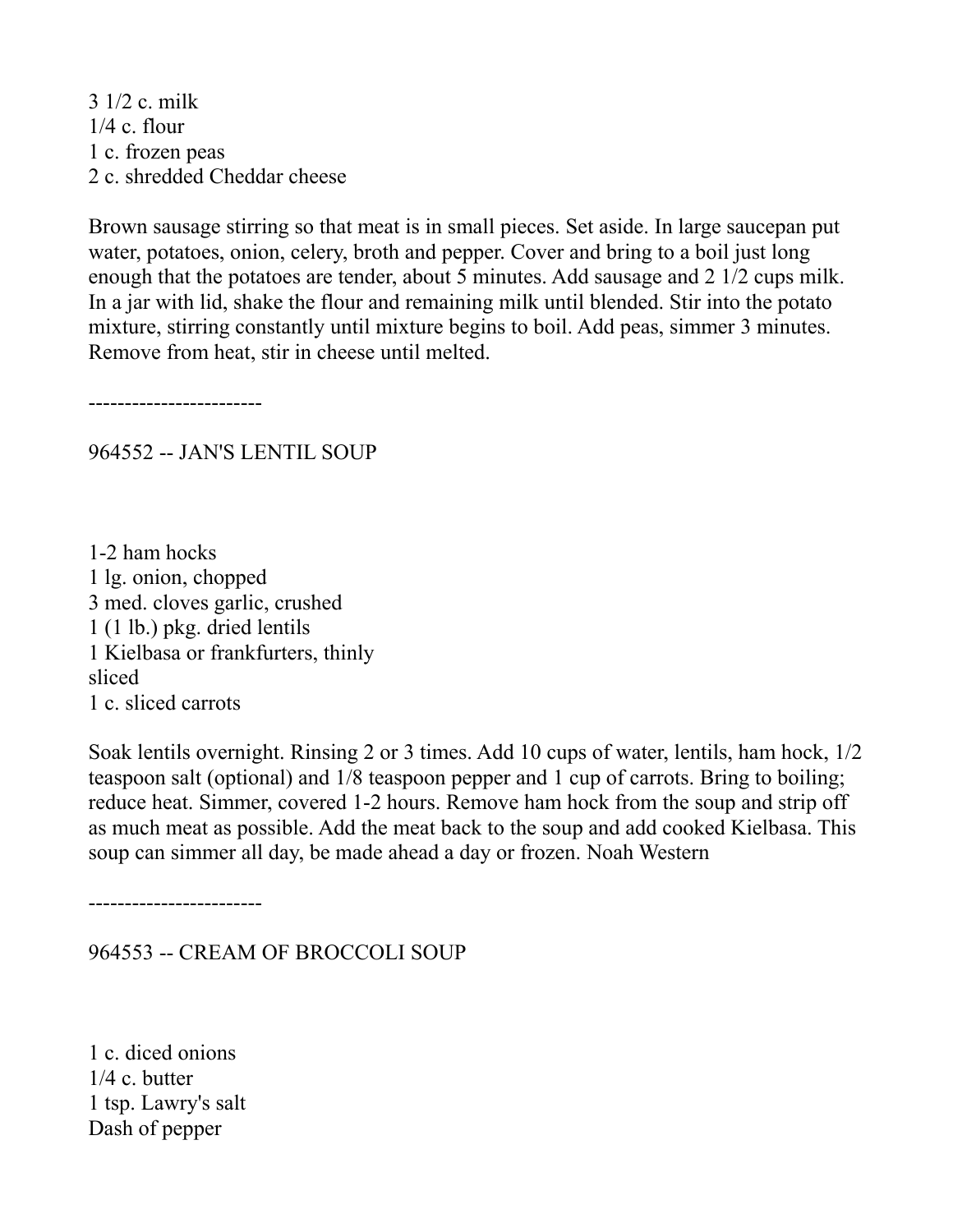3 1/2 c. milk 1/4 c. flour 1 c. frozen peas 2 c. shredded Cheddar cheese

Brown sausage stirring so that meat is in small pieces. Set aside. In large saucepan put water, potatoes, onion, celery, broth and pepper. Cover and bring to a boil just long enough that the potatoes are tender, about 5 minutes. Add sausage and 2 1/2 cups milk. In a jar with lid, shake the flour and remaining milk until blended. Stir into the potato mixture, stirring constantly until mixture begins to boil. Add peas, simmer 3 minutes. Remove from heat, stir in cheese until melted.

------------------------

964552 -- JAN'S LENTIL SOUP

1-2 ham hocks 1 lg. onion, chopped 3 med. cloves garlic, crushed 1 (1 lb.) pkg. dried lentils 1 Kielbasa or frankfurters, thinly sliced 1 c. sliced carrots

Soak lentils overnight. Rinsing 2 or 3 times. Add 10 cups of water, lentils, ham hock, 1/2 teaspoon salt (optional) and 1/8 teaspoon pepper and 1 cup of carrots. Bring to boiling; reduce heat. Simmer, covered 1-2 hours. Remove ham hock from the soup and strip off as much meat as possible. Add the meat back to the soup and add cooked Kielbasa. This soup can simmer all day, be made ahead a day or frozen. Noah Western

------------------------

964553 -- CREAM OF BROCCOLI SOUP

1 c. diced onions 1/4 c. butter 1 tsp. Lawry's salt Dash of pepper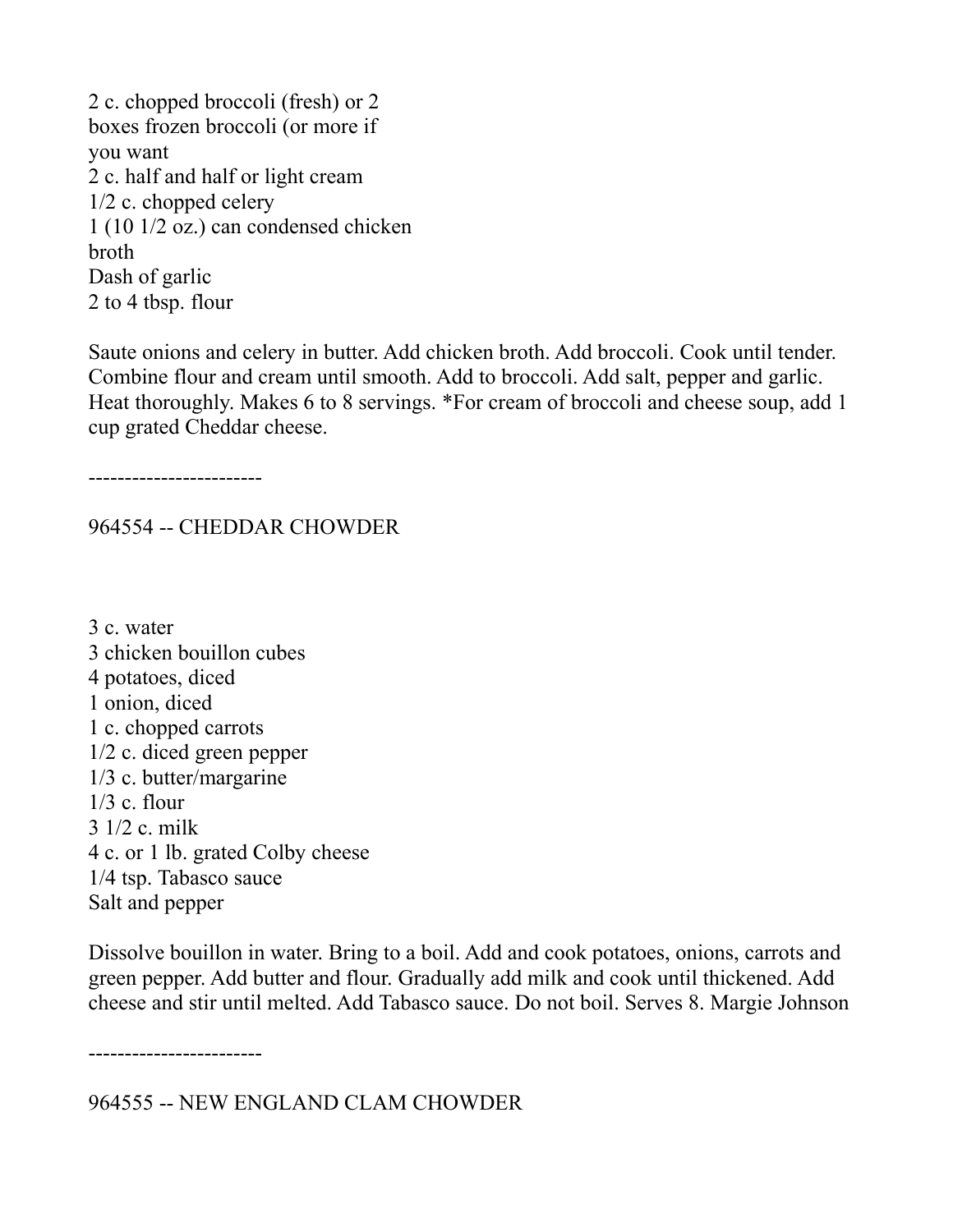2 c. chopped broccoli (fresh) or 2 boxes frozen broccoli (or more if you want 2 c. half and half or light cream 1/2 c. chopped celery 1 (10 1/2 oz.) can condensed chicken broth Dash of garlic 2 to 4 tbsp. flour

Saute onions and celery in butter. Add chicken broth. Add broccoli. Cook until tender. Combine flour and cream until smooth. Add to broccoli. Add salt, pepper and garlic. Heat thoroughly. Makes 6 to 8 servings. \*For cream of broccoli and cheese soup, add 1 cup grated Cheddar cheese.

------------------------

## 964554 -- CHEDDAR CHOWDER

3 c. water 3 chicken bouillon cubes 4 potatoes, diced 1 onion, diced 1 c. chopped carrots 1/2 c. diced green pepper 1/3 c. butter/margarine 1/3 c. flour 3 1/2 c. milk 4 c. or 1 lb. grated Colby cheese 1/4 tsp. Tabasco sauce Salt and pepper

Dissolve bouillon in water. Bring to a boil. Add and cook potatoes, onions, carrots and green pepper. Add butter and flour. Gradually add milk and cook until thickened. Add cheese and stir until melted. Add Tabasco sauce. Do not boil. Serves 8. Margie Johnson

------------------------

964555 -- NEW ENGLAND CLAM CHOWDER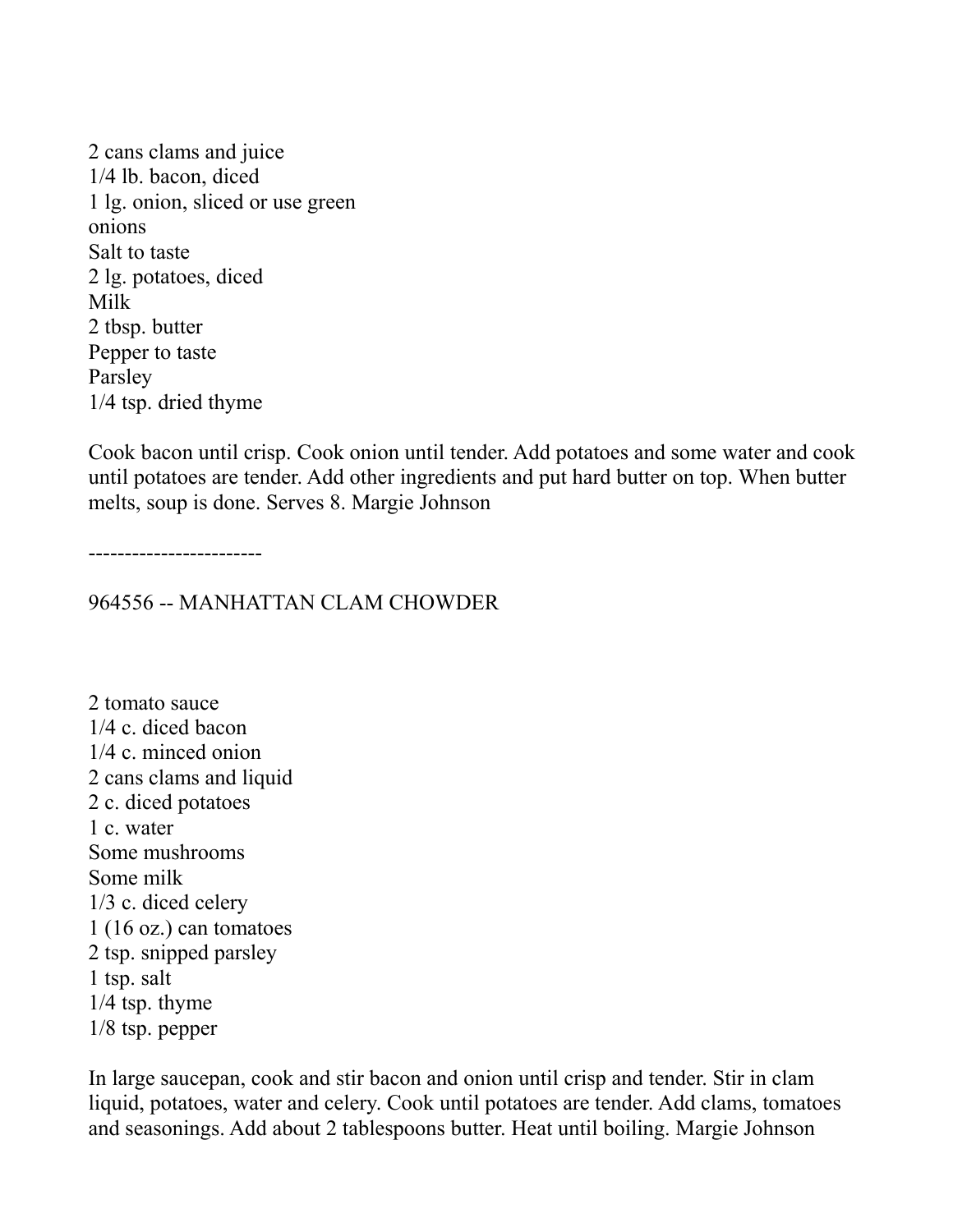2 cans clams and juice 1/4 lb. bacon, diced 1 lg. onion, sliced or use green onions Salt to taste 2 lg. potatoes, diced Milk 2 tbsp. butter Pepper to taste Parsley 1/4 tsp. dried thyme

Cook bacon until crisp. Cook onion until tender. Add potatoes and some water and cook until potatoes are tender. Add other ingredients and put hard butter on top. When butter melts, soup is done. Serves 8. Margie Johnson

------------------------

964556 -- MANHATTAN CLAM CHOWDER

2 tomato sauce 1/4 c. diced bacon 1/4 c. minced onion 2 cans clams and liquid 2 c. diced potatoes 1 c. water Some mushrooms Some milk 1/3 c. diced celery 1 (16 oz.) can tomatoes 2 tsp. snipped parsley 1 tsp. salt 1/4 tsp. thyme 1/8 tsp. pepper

In large saucepan, cook and stir bacon and onion until crisp and tender. Stir in clam liquid, potatoes, water and celery. Cook until potatoes are tender. Add clams, tomatoes and seasonings. Add about 2 tablespoons butter. Heat until boiling. Margie Johnson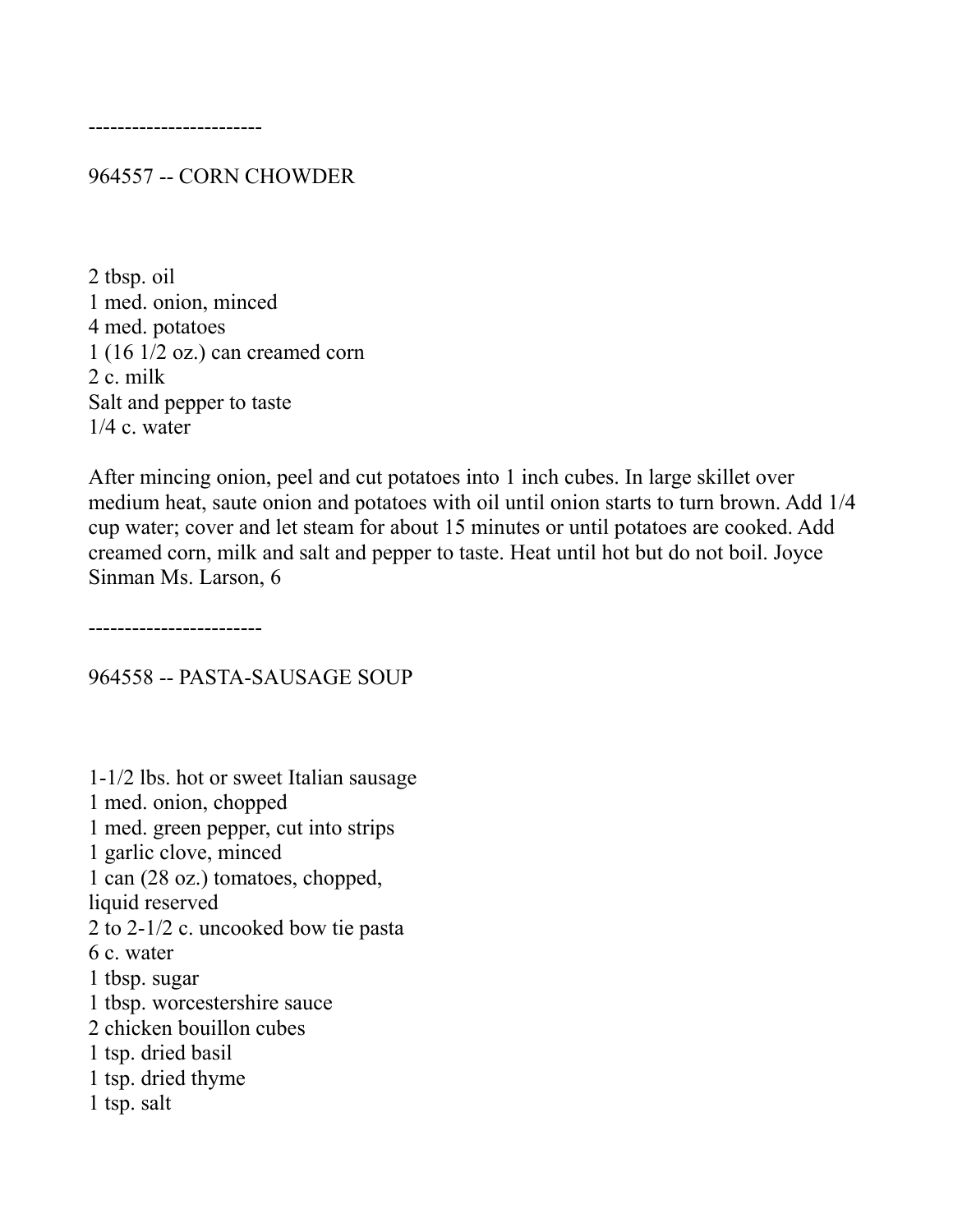------------------------

964557 -- CORN CHOWDER

2 tbsp. oil 1 med. onion, minced 4 med. potatoes 1 (16 1/2 oz.) can creamed corn 2 c. milk Salt and pepper to taste 1/4 c. water

After mincing onion, peel and cut potatoes into 1 inch cubes. In large skillet over medium heat, saute onion and potatoes with oil until onion starts to turn brown. Add 1/4 cup water; cover and let steam for about 15 minutes or until potatoes are cooked. Add creamed corn, milk and salt and pepper to taste. Heat until hot but do not boil. Joyce Sinman Ms. Larson, 6

------------------------

964558 -- PASTA-SAUSAGE SOUP

1-1/2 lbs. hot or sweet Italian sausage 1 med. onion, chopped 1 med. green pepper, cut into strips 1 garlic clove, minced 1 can (28 oz.) tomatoes, chopped, liquid reserved 2 to 2-1/2 c. uncooked bow tie pasta 6 c. water 1 tbsp. sugar 1 tbsp. worcestershire sauce 2 chicken bouillon cubes 1 tsp. dried basil 1 tsp. dried thyme 1 tsp. salt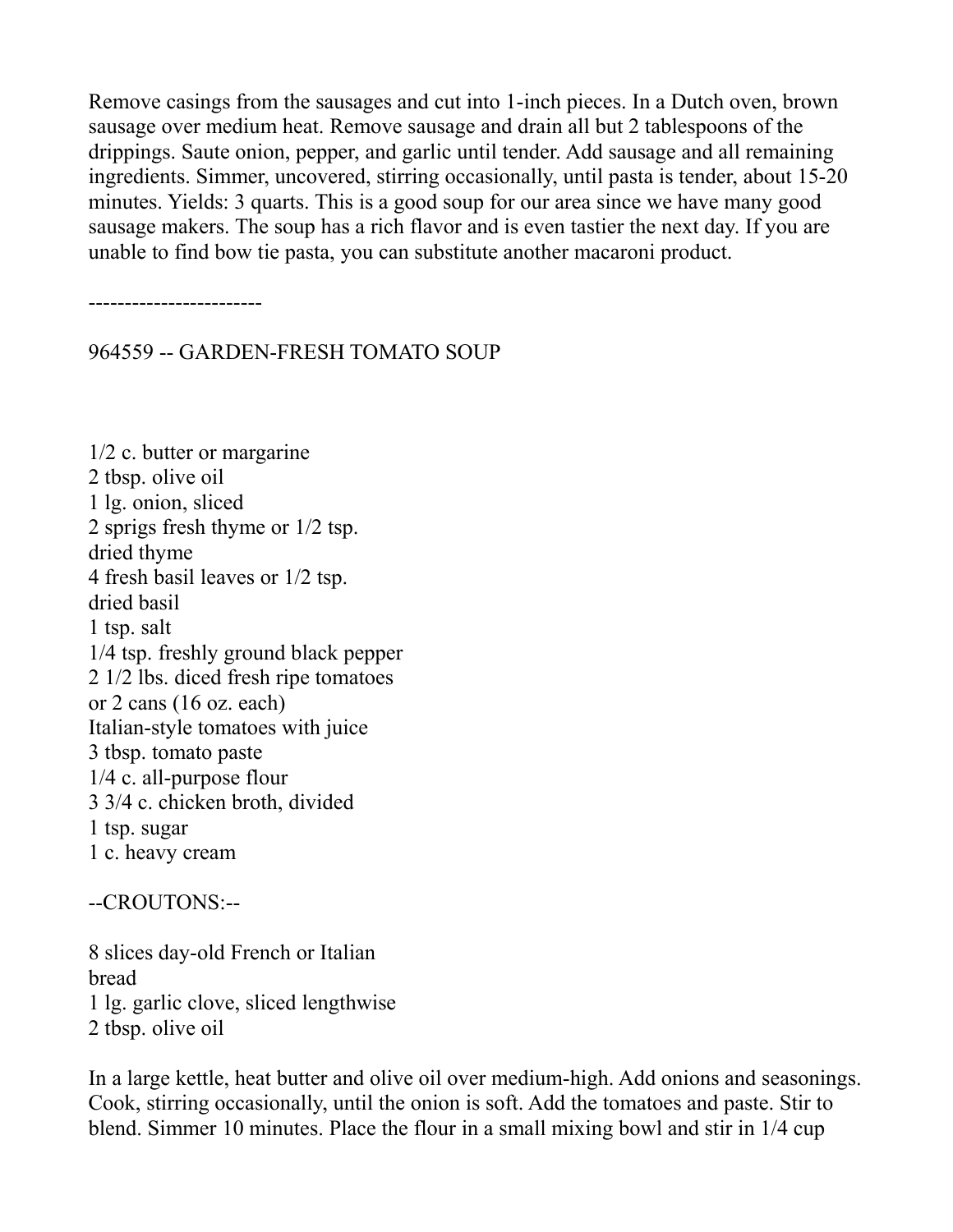Remove casings from the sausages and cut into 1-inch pieces. In a Dutch oven, brown sausage over medium heat. Remove sausage and drain all but 2 tablespoons of the drippings. Saute onion, pepper, and garlic until tender. Add sausage and all remaining ingredients. Simmer, uncovered, stirring occasionally, until pasta is tender, about 15-20 minutes. Yields: 3 quarts. This is a good soup for our area since we have many good sausage makers. The soup has a rich flavor and is even tastier the next day. If you are unable to find bow tie pasta, you can substitute another macaroni product.

------------------------

964559 -- GARDEN-FRESH TOMATO SOUP

1/2 c. butter or margarine 2 tbsp. olive oil 1 lg. onion, sliced 2 sprigs fresh thyme or 1/2 tsp. dried thyme 4 fresh basil leaves or 1/2 tsp. dried basil 1 tsp. salt 1/4 tsp. freshly ground black pepper 2 1/2 lbs. diced fresh ripe tomatoes or 2 cans (16 oz. each) Italian-style tomatoes with juice 3 tbsp. tomato paste 1/4 c. all-purpose flour 3 3/4 c. chicken broth, divided 1 tsp. sugar 1 c. heavy cream

--CROUTONS:--

8 slices day-old French or Italian bread 1 lg. garlic clove, sliced lengthwise 2 tbsp. olive oil

In a large kettle, heat butter and olive oil over medium-high. Add onions and seasonings. Cook, stirring occasionally, until the onion is soft. Add the tomatoes and paste. Stir to blend. Simmer 10 minutes. Place the flour in a small mixing bowl and stir in 1/4 cup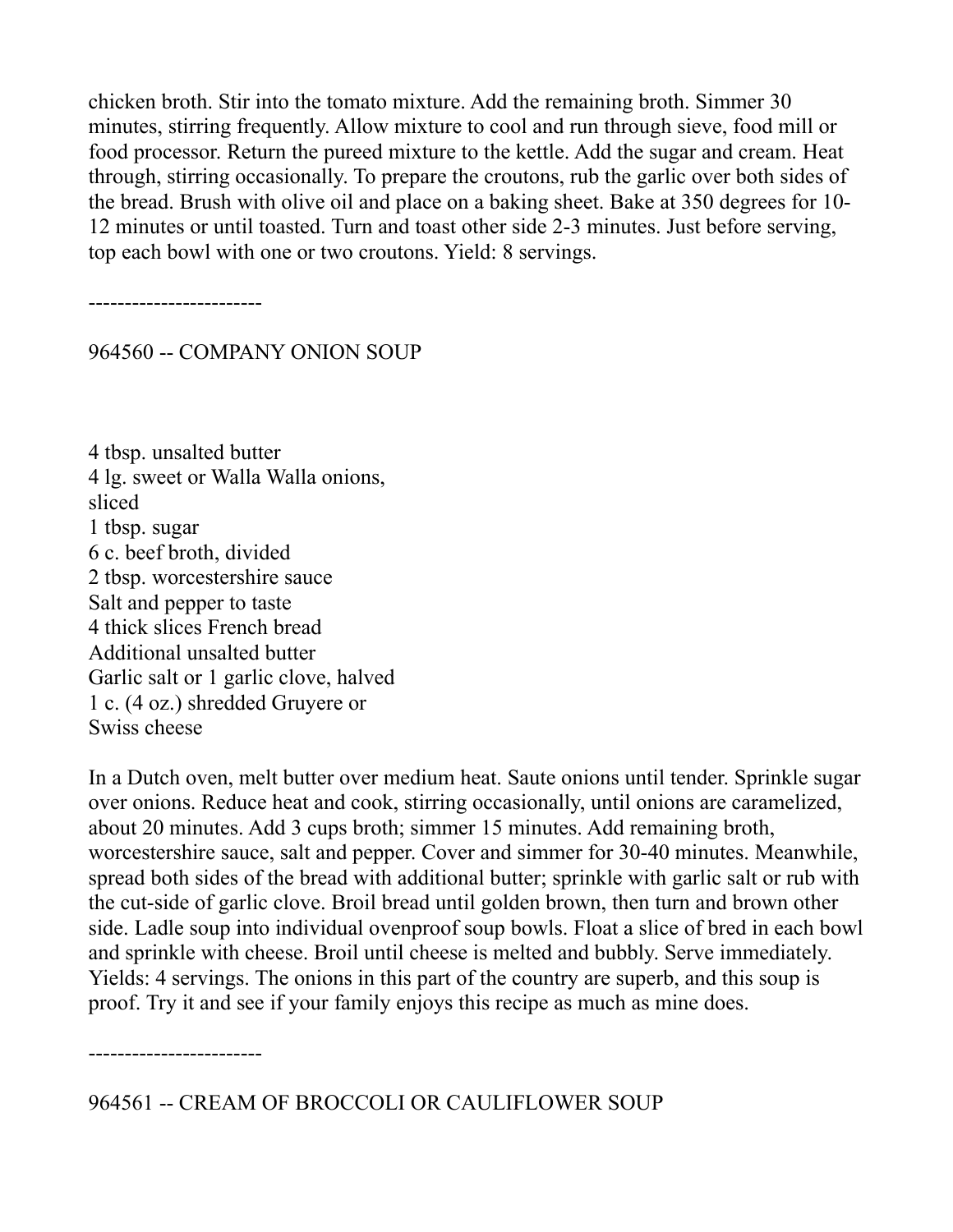chicken broth. Stir into the tomato mixture. Add the remaining broth. Simmer 30 minutes, stirring frequently. Allow mixture to cool and run through sieve, food mill or food processor. Return the pureed mixture to the kettle. Add the sugar and cream. Heat through, stirring occasionally. To prepare the croutons, rub the garlic over both sides of the bread. Brush with olive oil and place on a baking sheet. Bake at 350 degrees for 10- 12 minutes or until toasted. Turn and toast other side 2-3 minutes. Just before serving, top each bowl with one or two croutons. Yield: 8 servings.

------------------------

964560 -- COMPANY ONION SOUP

4 tbsp. unsalted butter 4 lg. sweet or Walla Walla onions, sliced 1 tbsp. sugar 6 c. beef broth, divided 2 tbsp. worcestershire sauce Salt and pepper to taste 4 thick slices French bread Additional unsalted butter Garlic salt or 1 garlic clove, halved 1 c. (4 oz.) shredded Gruyere or Swiss cheese

In a Dutch oven, melt butter over medium heat. Saute onions until tender. Sprinkle sugar over onions. Reduce heat and cook, stirring occasionally, until onions are caramelized, about 20 minutes. Add 3 cups broth; simmer 15 minutes. Add remaining broth, worcestershire sauce, salt and pepper. Cover and simmer for 30-40 minutes. Meanwhile, spread both sides of the bread with additional butter; sprinkle with garlic salt or rub with the cut-side of garlic clove. Broil bread until golden brown, then turn and brown other side. Ladle soup into individual ovenproof soup bowls. Float a slice of bred in each bowl and sprinkle with cheese. Broil until cheese is melted and bubbly. Serve immediately. Yields: 4 servings. The onions in this part of the country are superb, and this soup is proof. Try it and see if your family enjoys this recipe as much as mine does.

------------------------

964561 -- CREAM OF BROCCOLI OR CAULIFLOWER SOUP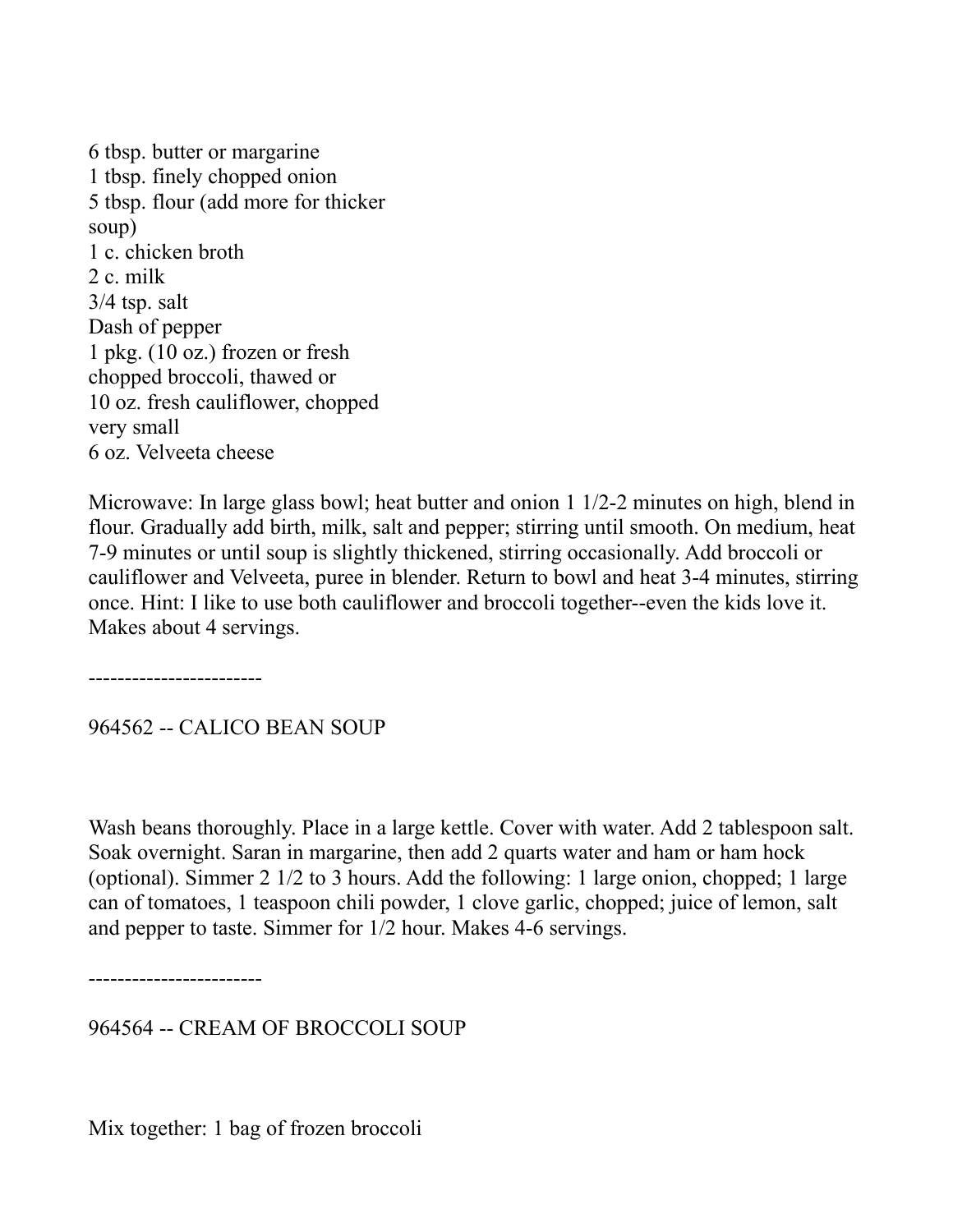6 tbsp. butter or margarine 1 tbsp. finely chopped onion 5 tbsp. flour (add more for thicker soup) 1 c. chicken broth 2 c. milk 3/4 tsp. salt Dash of pepper 1 pkg. (10 oz.) frozen or fresh chopped broccoli, thawed or 10 oz. fresh cauliflower, chopped very small 6 oz. Velveeta cheese

Microwave: In large glass bowl; heat butter and onion 1 1/2-2 minutes on high, blend in flour. Gradually add birth, milk, salt and pepper; stirring until smooth. On medium, heat 7-9 minutes or until soup is slightly thickened, stirring occasionally. Add broccoli or cauliflower and Velveeta, puree in blender. Return to bowl and heat 3-4 minutes, stirring once. Hint: I like to use both cauliflower and broccoli together--even the kids love it. Makes about 4 servings.

------------------------

964562 -- CALICO BEAN SOUP

Wash beans thoroughly. Place in a large kettle. Cover with water. Add 2 tablespoon salt. Soak overnight. Saran in margarine, then add 2 quarts water and ham or ham hock (optional). Simmer 2 1/2 to 3 hours. Add the following: 1 large onion, chopped; 1 large can of tomatoes, 1 teaspoon chili powder, 1 clove garlic, chopped; juice of lemon, salt and pepper to taste. Simmer for 1/2 hour. Makes 4-6 servings.

------------------------

964564 -- CREAM OF BROCCOLI SOUP

Mix together: 1 bag of frozen broccoli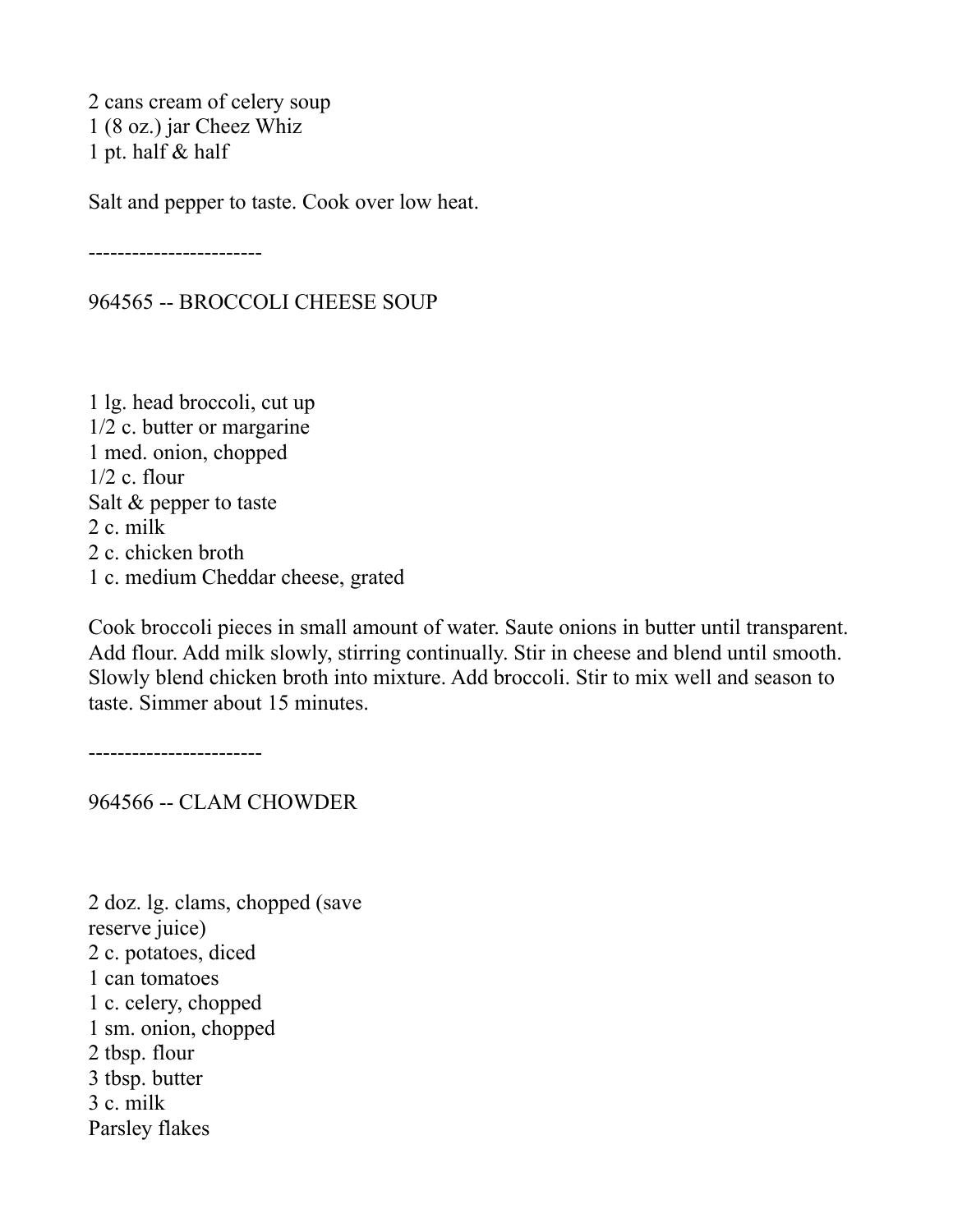2 cans cream of celery soup 1 (8 oz.) jar Cheez Whiz 1 pt. half & half

Salt and pepper to taste. Cook over low heat.

------------------------

964565 -- BROCCOLI CHEESE SOUP

1 lg. head broccoli, cut up 1/2 c. butter or margarine 1 med. onion, chopped 1/2 c. flour Salt & pepper to taste 2 c. milk 2 c. chicken broth 1 c. medium Cheddar cheese, grated

Cook broccoli pieces in small amount of water. Saute onions in butter until transparent. Add flour. Add milk slowly, stirring continually. Stir in cheese and blend until smooth. Slowly blend chicken broth into mixture. Add broccoli. Stir to mix well and season to taste. Simmer about 15 minutes.

------------------------

964566 -- CLAM CHOWDER

2 doz. lg. clams, chopped (save reserve juice) 2 c. potatoes, diced 1 can tomatoes 1 c. celery, chopped 1 sm. onion, chopped 2 tbsp. flour 3 tbsp. butter 3 c. milk Parsley flakes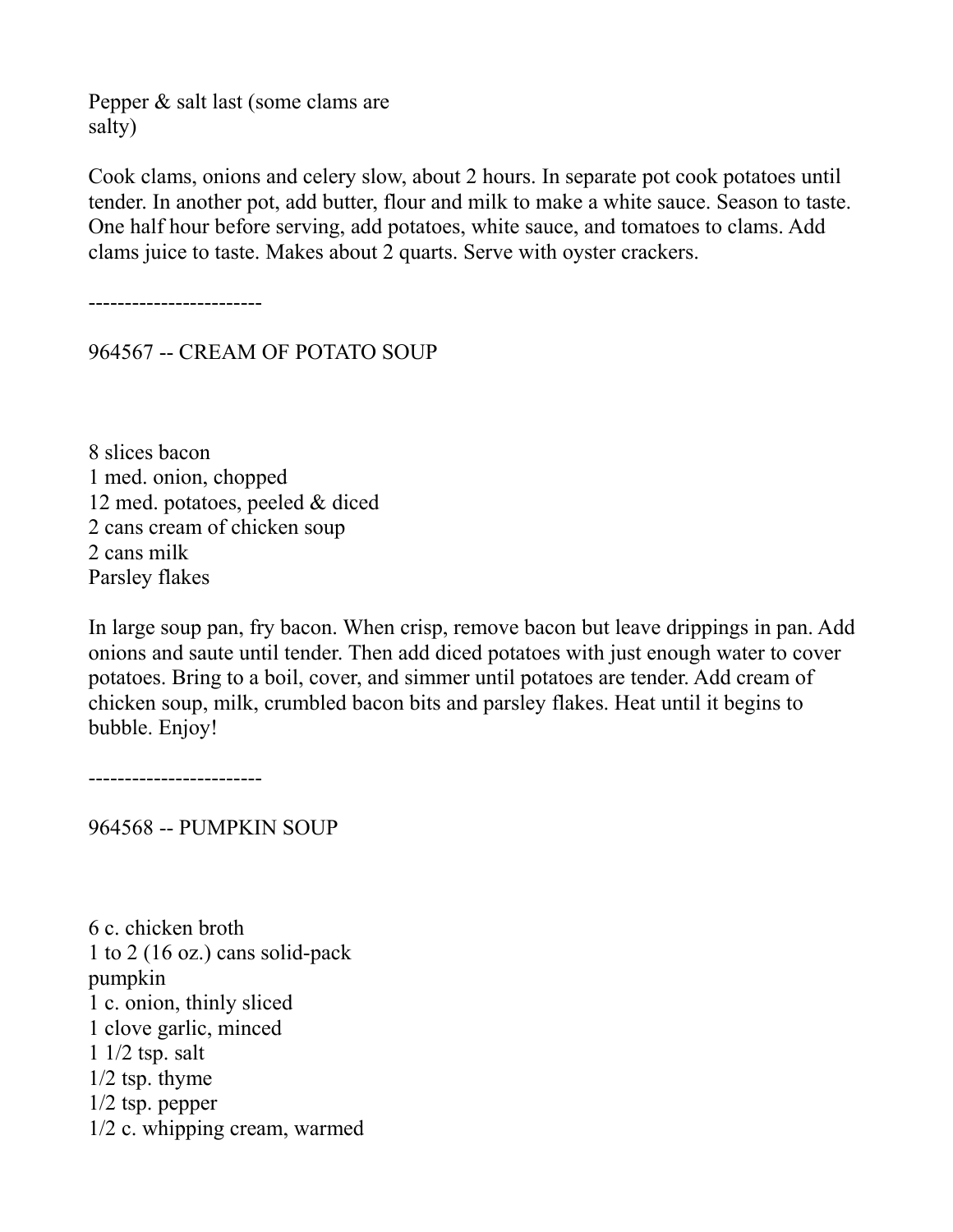Pepper & salt last (some clams are salty)

Cook clams, onions and celery slow, about 2 hours. In separate pot cook potatoes until tender. In another pot, add butter, flour and milk to make a white sauce. Season to taste. One half hour before serving, add potatoes, white sauce, and tomatoes to clams. Add clams juice to taste. Makes about 2 quarts. Serve with oyster crackers.

------------------------

964567 -- CREAM OF POTATO SOUP

8 slices bacon 1 med. onion, chopped 12 med. potatoes, peeled & diced 2 cans cream of chicken soup 2 cans milk Parsley flakes

In large soup pan, fry bacon. When crisp, remove bacon but leave drippings in pan. Add onions and saute until tender. Then add diced potatoes with just enough water to cover potatoes. Bring to a boil, cover, and simmer until potatoes are tender. Add cream of chicken soup, milk, crumbled bacon bits and parsley flakes. Heat until it begins to bubble. Enjoy!

------------------------

964568 -- PUMPKIN SOUP

6 c. chicken broth 1 to 2 (16 oz.) cans solid-pack pumpkin 1 c. onion, thinly sliced 1 clove garlic, minced 1 1/2 tsp. salt 1/2 tsp. thyme 1/2 tsp. pepper 1/2 c. whipping cream, warmed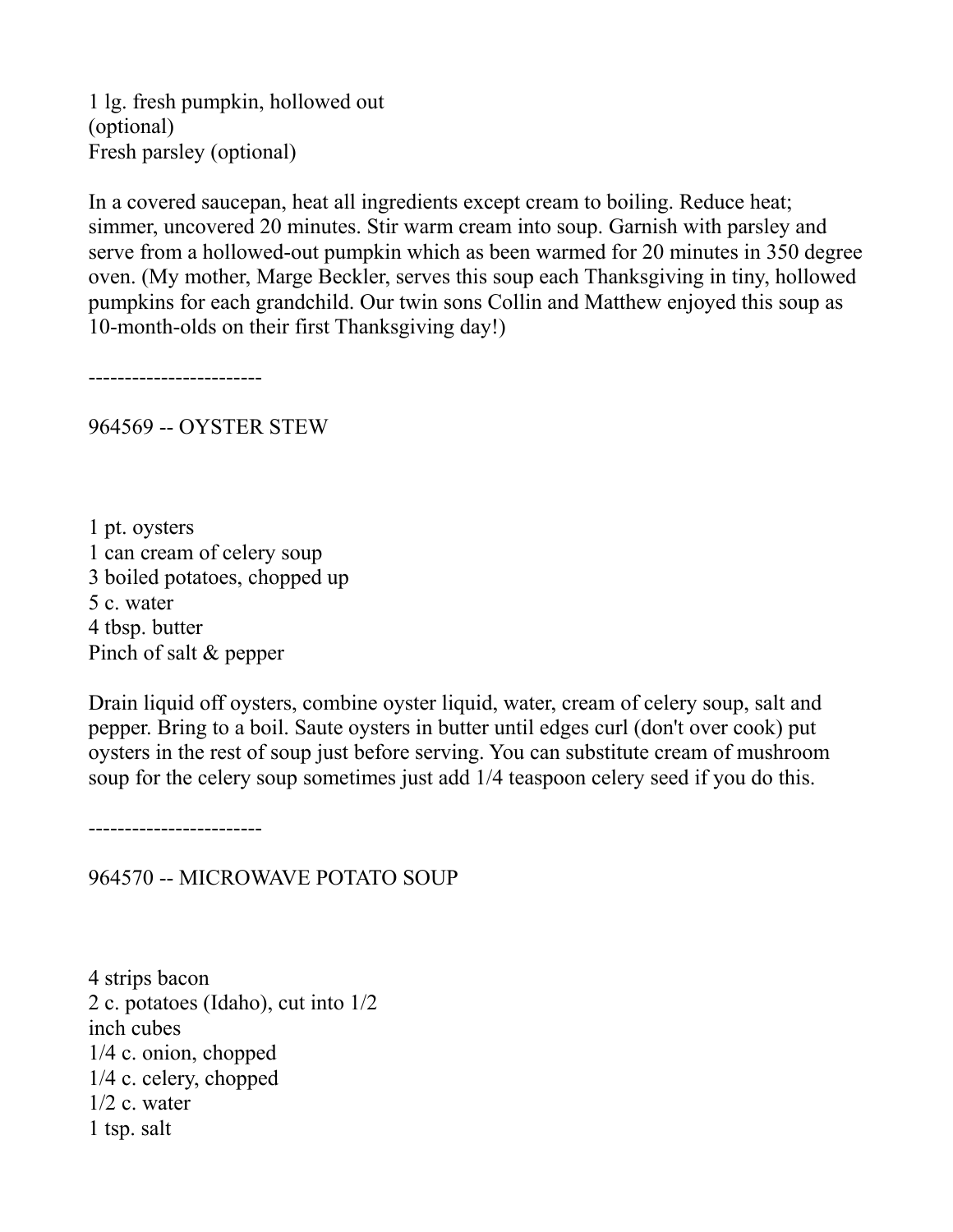1 lg. fresh pumpkin, hollowed out (optional) Fresh parsley (optional)

In a covered saucepan, heat all ingredients except cream to boiling. Reduce heat; simmer, uncovered 20 minutes. Stir warm cream into soup. Garnish with parsley and serve from a hollowed-out pumpkin which as been warmed for 20 minutes in 350 degree oven. (My mother, Marge Beckler, serves this soup each Thanksgiving in tiny, hollowed pumpkins for each grandchild. Our twin sons Collin and Matthew enjoyed this soup as 10-month-olds on their first Thanksgiving day!)

------------------------

964569 -- OYSTER STEW

1 pt. oysters 1 can cream of celery soup 3 boiled potatoes, chopped up 5 c. water 4 tbsp. butter Pinch of salt & pepper

Drain liquid off oysters, combine oyster liquid, water, cream of celery soup, salt and pepper. Bring to a boil. Saute oysters in butter until edges curl (don't over cook) put oysters in the rest of soup just before serving. You can substitute cream of mushroom soup for the celery soup sometimes just add 1/4 teaspoon celery seed if you do this.

------------------------

964570 -- MICROWAVE POTATO SOUP

4 strips bacon 2 c. potatoes (Idaho), cut into 1/2 inch cubes 1/4 c. onion, chopped 1/4 c. celery, chopped  $1/2$  c. water 1 tsp. salt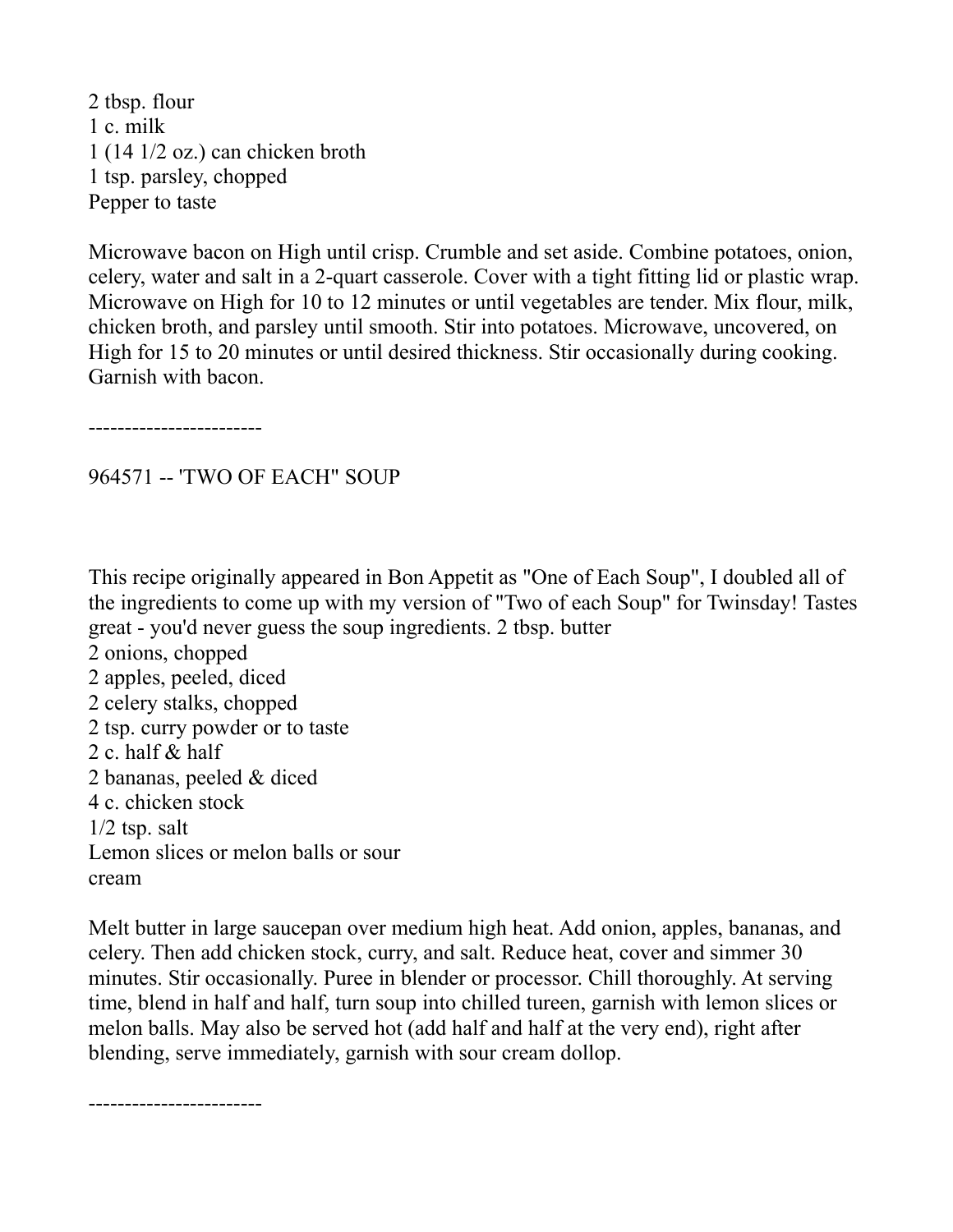2 tbsp. flour 1 c. milk 1 (14 1/2 oz.) can chicken broth 1 tsp. parsley, chopped Pepper to taste

Microwave bacon on High until crisp. Crumble and set aside. Combine potatoes, onion, celery, water and salt in a 2-quart casserole. Cover with a tight fitting lid or plastic wrap. Microwave on High for 10 to 12 minutes or until vegetables are tender. Mix flour, milk, chicken broth, and parsley until smooth. Stir into potatoes. Microwave, uncovered, on High for 15 to 20 minutes or until desired thickness. Stir occasionally during cooking. Garnish with bacon.

------------------------

# 964571 -- 'TWO OF EACH" SOUP

This recipe originally appeared in Bon Appetit as "One of Each Soup", I doubled all of the ingredients to come up with my version of "Two of each Soup" for Twinsday! Tastes great - you'd never guess the soup ingredients. 2 tbsp. butter 2 onions, chopped 2 apples, peeled, diced 2 celery stalks, chopped 2 tsp. curry powder or to taste 2 c. half & half 2 bananas, peeled & diced 4 c. chicken stock  $1/2$  tsp. salt Lemon slices or melon balls or sour cream

Melt butter in large saucepan over medium high heat. Add onion, apples, bananas, and celery. Then add chicken stock, curry, and salt. Reduce heat, cover and simmer 30 minutes. Stir occasionally. Puree in blender or processor. Chill thoroughly. At serving time, blend in half and half, turn soup into chilled tureen, garnish with lemon slices or melon balls. May also be served hot (add half and half at the very end), right after blending, serve immediately, garnish with sour cream dollop.

------------------------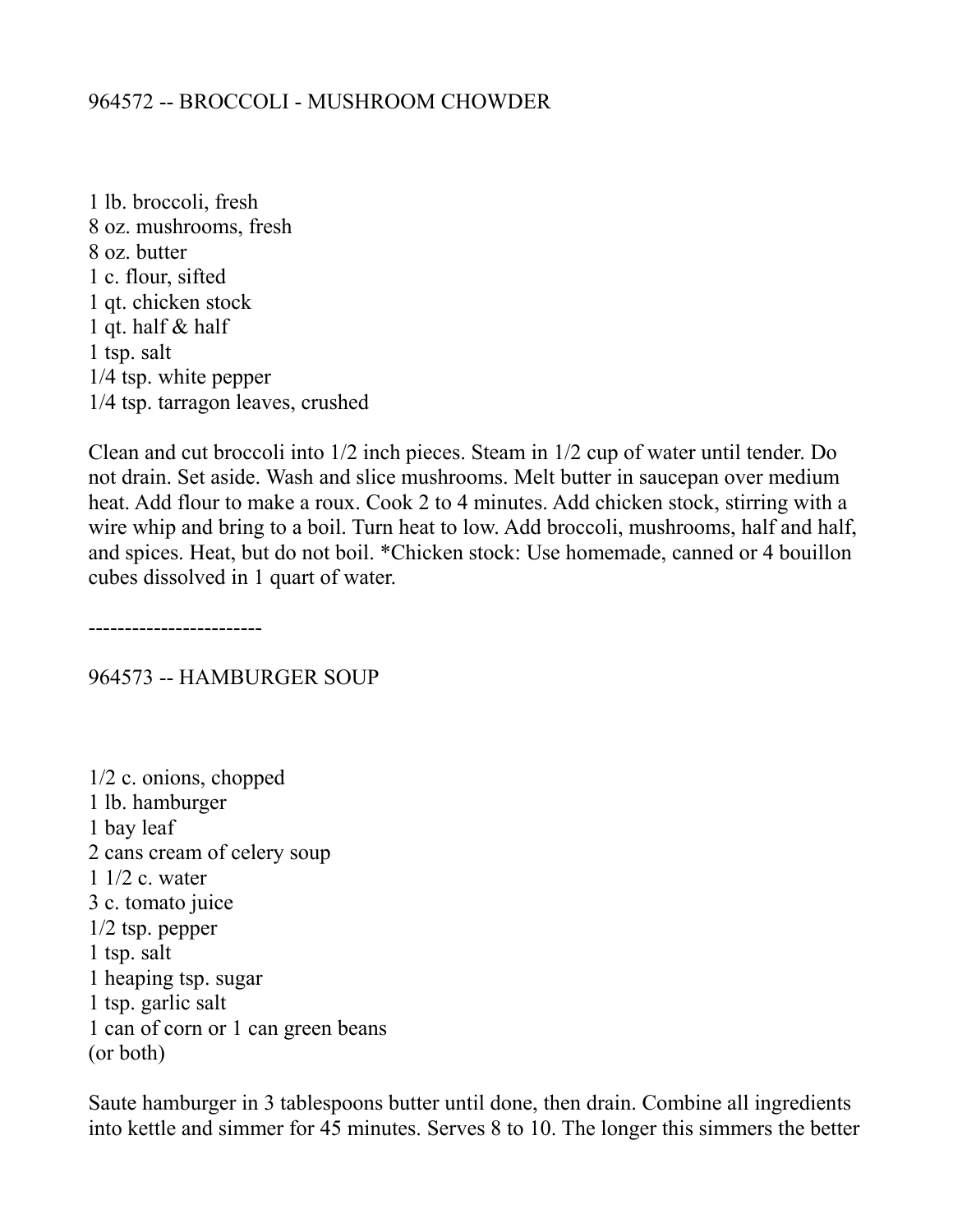## 964572 -- BROCCOLI - MUSHROOM CHOWDER

1 lb. broccoli, fresh 8 oz. mushrooms, fresh 8 oz. butter 1 c. flour, sifted 1 qt. chicken stock 1 qt. half & half 1 tsp. salt 1/4 tsp. white pepper 1/4 tsp. tarragon leaves, crushed

Clean and cut broccoli into 1/2 inch pieces. Steam in 1/2 cup of water until tender. Do not drain. Set aside. Wash and slice mushrooms. Melt butter in saucepan over medium heat. Add flour to make a roux. Cook 2 to 4 minutes. Add chicken stock, stirring with a wire whip and bring to a boil. Turn heat to low. Add broccoli, mushrooms, half and half, and spices. Heat, but do not boil. \*Chicken stock: Use homemade, canned or 4 bouillon cubes dissolved in 1 quart of water.

------------------------

964573 -- HAMBURGER SOUP

1/2 c. onions, chopped 1 lb. hamburger 1 bay leaf 2 cans cream of celery soup 1 1/2 c. water 3 c. tomato juice 1/2 tsp. pepper 1 tsp. salt 1 heaping tsp. sugar 1 tsp. garlic salt 1 can of corn or 1 can green beans (or both)

Saute hamburger in 3 tablespoons butter until done, then drain. Combine all ingredients into kettle and simmer for 45 minutes. Serves 8 to 10. The longer this simmers the better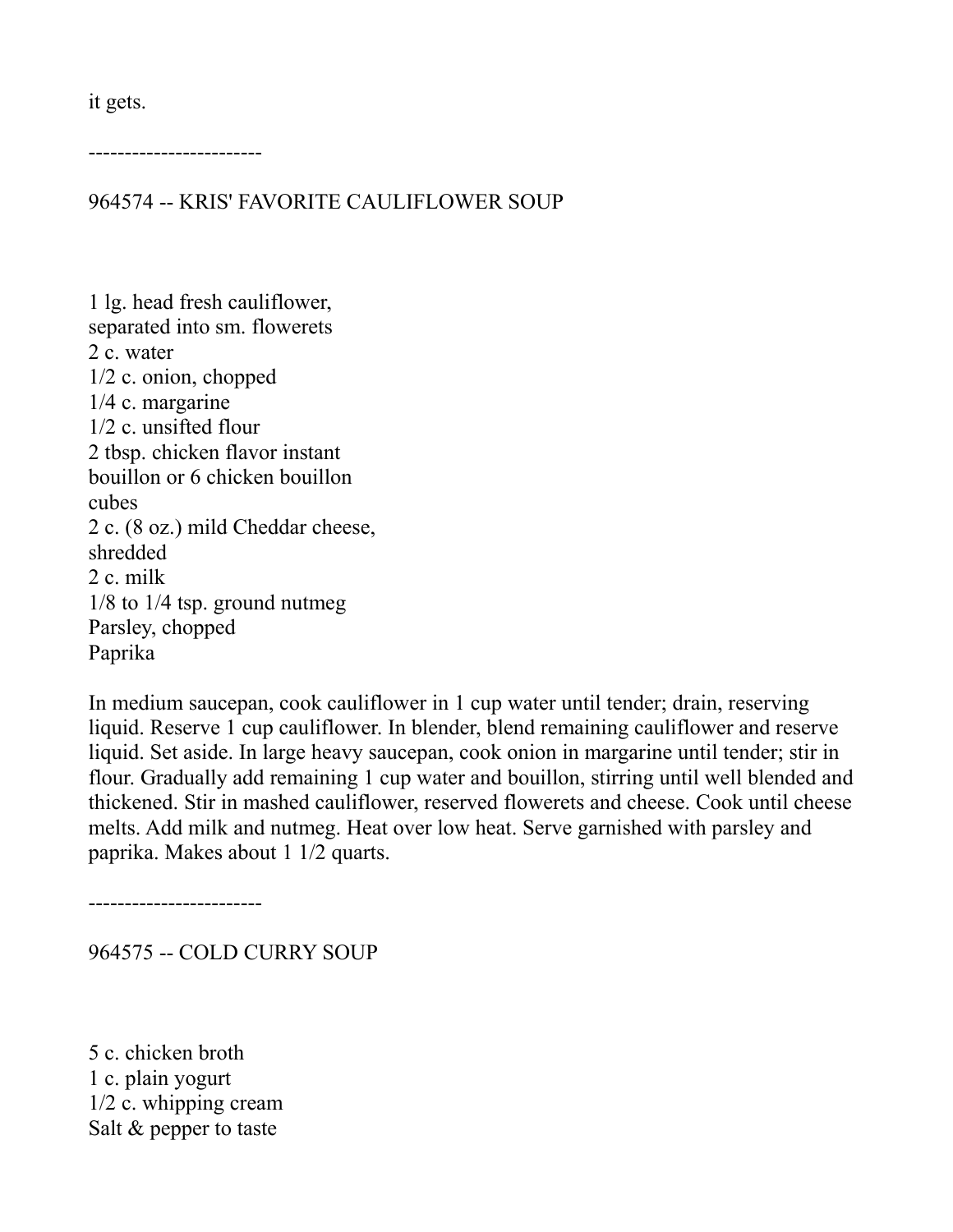it gets.

------------------------

964574 -- KRIS' FAVORITE CAULIFLOWER SOUP

1 lg. head fresh cauliflower, separated into sm. flowerets 2 c. water 1/2 c. onion, chopped 1/4 c. margarine 1/2 c. unsifted flour 2 tbsp. chicken flavor instant bouillon or 6 chicken bouillon cubes 2 c. (8 oz.) mild Cheddar cheese, shredded 2 c. milk 1/8 to 1/4 tsp. ground nutmeg Parsley, chopped Paprika

In medium saucepan, cook cauliflower in 1 cup water until tender; drain, reserving liquid. Reserve 1 cup cauliflower. In blender, blend remaining cauliflower and reserve liquid. Set aside. In large heavy saucepan, cook onion in margarine until tender; stir in flour. Gradually add remaining 1 cup water and bouillon, stirring until well blended and thickened. Stir in mashed cauliflower, reserved flowerets and cheese. Cook until cheese melts. Add milk and nutmeg. Heat over low heat. Serve garnished with parsley and paprika. Makes about 1 1/2 quarts.

------------------------

964575 -- COLD CURRY SOUP

5 c. chicken broth 1 c. plain yogurt 1/2 c. whipping cream Salt & pepper to taste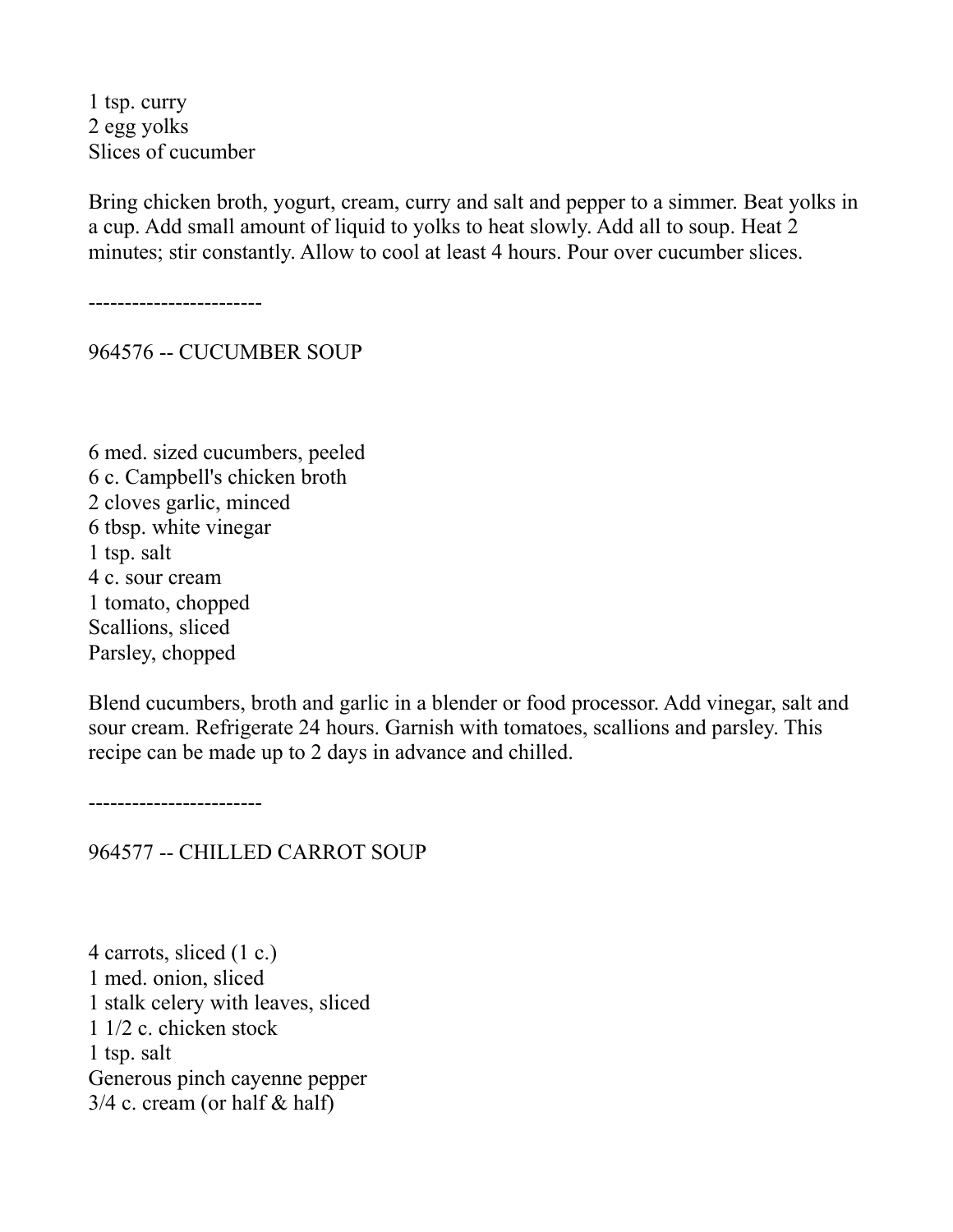1 tsp. curry 2 egg yolks Slices of cucumber

Bring chicken broth, yogurt, cream, curry and salt and pepper to a simmer. Beat yolks in a cup. Add small amount of liquid to yolks to heat slowly. Add all to soup. Heat 2 minutes; stir constantly. Allow to cool at least 4 hours. Pour over cucumber slices.

------------------------

964576 -- CUCUMBER SOUP

6 med. sized cucumbers, peeled 6 c. Campbell's chicken broth 2 cloves garlic, minced 6 tbsp. white vinegar 1 tsp. salt 4 c. sour cream 1 tomato, chopped Scallions, sliced Parsley, chopped

Blend cucumbers, broth and garlic in a blender or food processor. Add vinegar, salt and sour cream. Refrigerate 24 hours. Garnish with tomatoes, scallions and parsley. This recipe can be made up to 2 days in advance and chilled.

------------------------

964577 -- CHILLED CARROT SOUP

4 carrots, sliced (1 c.) 1 med. onion, sliced 1 stalk celery with leaves, sliced 1 1/2 c. chicken stock 1 tsp. salt Generous pinch cayenne pepper  $3/4$  c. cream (or half & half)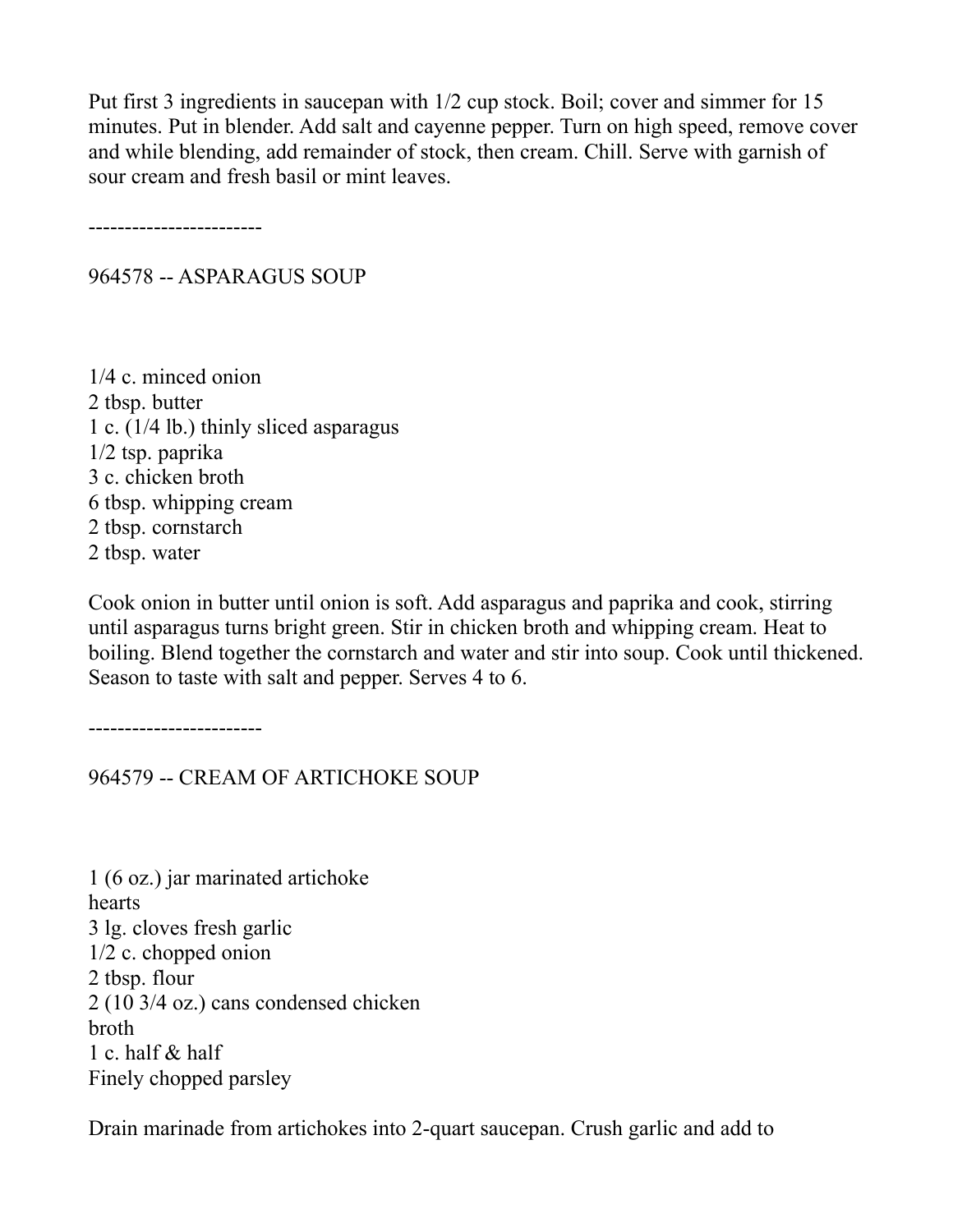Put first 3 ingredients in saucepan with 1/2 cup stock. Boil; cover and simmer for 15 minutes. Put in blender. Add salt and cayenne pepper. Turn on high speed, remove cover and while blending, add remainder of stock, then cream. Chill. Serve with garnish of sour cream and fresh basil or mint leaves.

------------------------

964578 -- ASPARAGUS SOUP

1/4 c. minced onion 2 tbsp. butter 1 c. (1/4 lb.) thinly sliced asparagus 1/2 tsp. paprika 3 c. chicken broth 6 tbsp. whipping cream 2 tbsp. cornstarch 2 tbsp. water

Cook onion in butter until onion is soft. Add asparagus and paprika and cook, stirring until asparagus turns bright green. Stir in chicken broth and whipping cream. Heat to boiling. Blend together the cornstarch and water and stir into soup. Cook until thickened. Season to taste with salt and pepper. Serves 4 to 6.

------------------------

964579 -- CREAM OF ARTICHOKE SOUP

1 (6 oz.) jar marinated artichoke hearts 3 lg. cloves fresh garlic 1/2 c. chopped onion 2 tbsp. flour 2 (10 3/4 oz.) cans condensed chicken broth 1 c. half & half Finely chopped parsley

Drain marinade from artichokes into 2-quart saucepan. Crush garlic and add to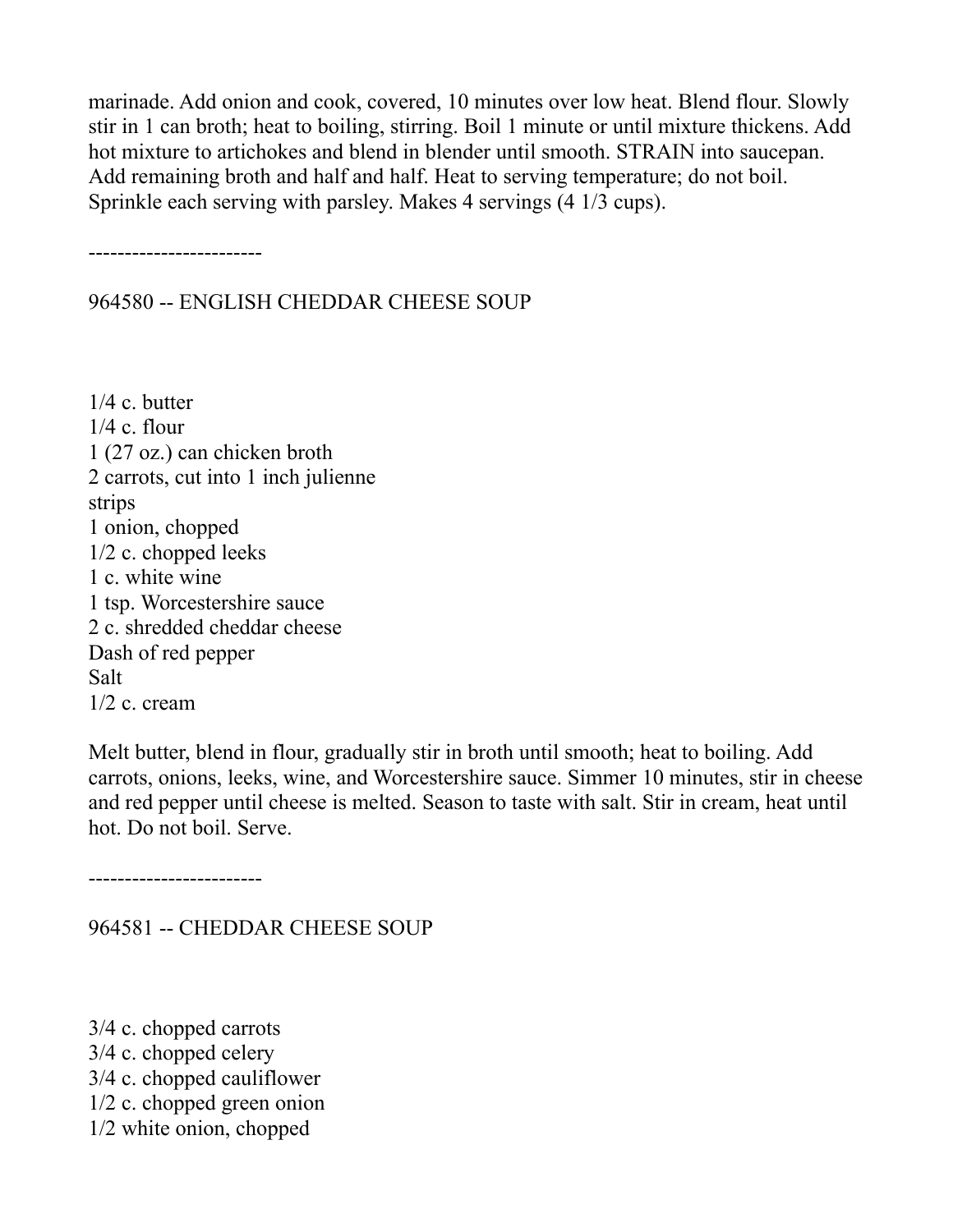marinade. Add onion and cook, covered, 10 minutes over low heat. Blend flour. Slowly stir in 1 can broth; heat to boiling, stirring. Boil 1 minute or until mixture thickens. Add hot mixture to artichokes and blend in blender until smooth. STRAIN into saucepan. Add remaining broth and half and half. Heat to serving temperature; do not boil. Sprinkle each serving with parsley. Makes 4 servings (4 1/3 cups).

------------------------

964580 -- ENGLISH CHEDDAR CHEESE SOUP

1/4 c. butter 1/4 c. flour 1 (27 oz.) can chicken broth 2 carrots, cut into 1 inch julienne strips 1 onion, chopped 1/2 c. chopped leeks 1 c. white wine 1 tsp. Worcestershire sauce 2 c. shredded cheddar cheese Dash of red pepper Salt 1/2 c. cream

Melt butter, blend in flour, gradually stir in broth until smooth; heat to boiling. Add carrots, onions, leeks, wine, and Worcestershire sauce. Simmer 10 minutes, stir in cheese and red pepper until cheese is melted. Season to taste with salt. Stir in cream, heat until hot. Do not boil. Serve.

------------------------

#### 964581 -- CHEDDAR CHEESE SOUP

3/4 c. chopped carrots 3/4 c. chopped celery 3/4 c. chopped cauliflower 1/2 c. chopped green onion 1/2 white onion, chopped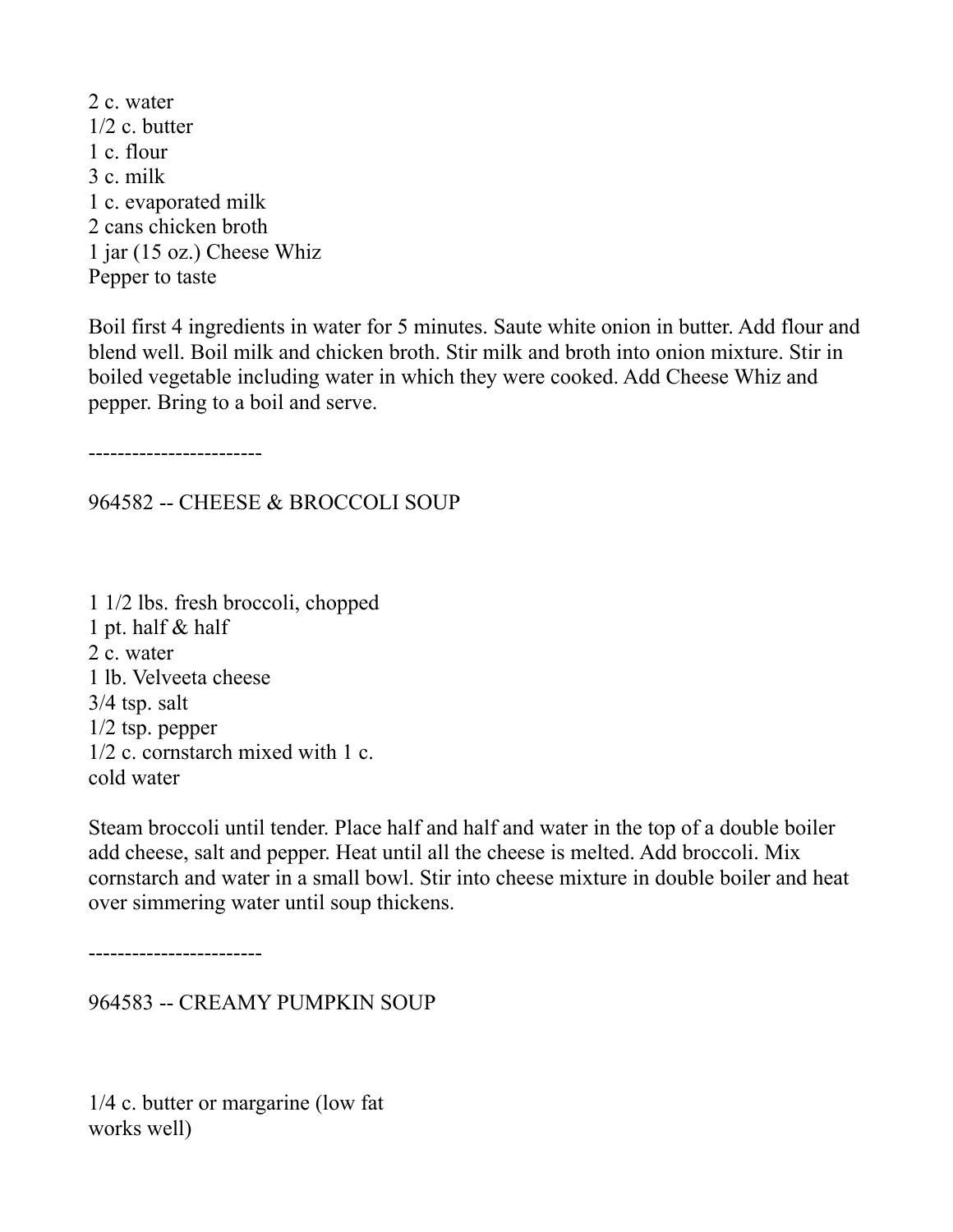2 c. water 1/2 c. butter 1 c. flour 3 c. milk 1 c. evaporated milk 2 cans chicken broth 1 jar (15 oz.) Cheese Whiz Pepper to taste

Boil first 4 ingredients in water for 5 minutes. Saute white onion in butter. Add flour and blend well. Boil milk and chicken broth. Stir milk and broth into onion mixture. Stir in boiled vegetable including water in which they were cooked. Add Cheese Whiz and pepper. Bring to a boil and serve.

------------------------

964582 -- CHEESE & BROCCOLI SOUP

1 1/2 lbs. fresh broccoli, chopped 1 pt. half & half 2 c. water 1 lb. Velveeta cheese 3/4 tsp. salt 1/2 tsp. pepper 1/2 c. cornstarch mixed with 1 c. cold water

Steam broccoli until tender. Place half and half and water in the top of a double boiler add cheese, salt and pepper. Heat until all the cheese is melted. Add broccoli. Mix cornstarch and water in a small bowl. Stir into cheese mixture in double boiler and heat over simmering water until soup thickens.

------------------------

964583 -- CREAMY PUMPKIN SOUP

1/4 c. butter or margarine (low fat works well)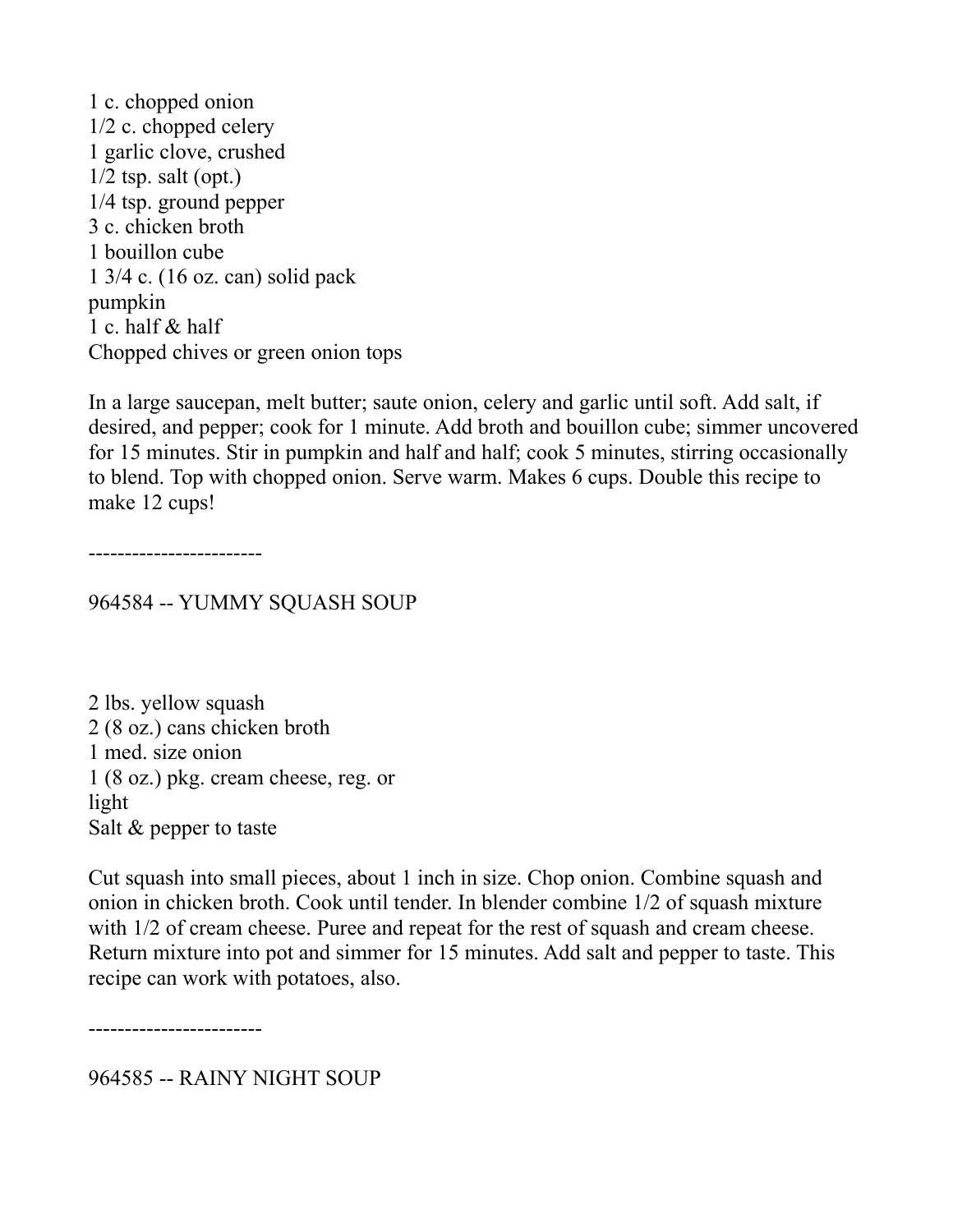1 c. chopped onion 1/2 c. chopped celery 1 garlic clove, crushed  $1/2$  tsp. salt (opt.) 1/4 tsp. ground pepper 3 c. chicken broth 1 bouillon cube 1 3/4 c. (16 oz. can) solid pack pumpkin 1 c. half & half Chopped chives or green onion tops

In a large saucepan, melt butter; saute onion, celery and garlic until soft. Add salt, if desired, and pepper; cook for 1 minute. Add broth and bouillon cube; simmer uncovered for 15 minutes. Stir in pumpkin and half and half; cook 5 minutes, stirring occasionally to blend. Top with chopped onion. Serve warm. Makes 6 cups. Double this recipe to make 12 cups!

------------------------

964584 -- YUMMY SQUASH SOUP

2 lbs. yellow squash 2 (8 oz.) cans chicken broth 1 med. size onion 1 (8 oz.) pkg. cream cheese, reg. or light Salt & pepper to taste

Cut squash into small pieces, about 1 inch in size. Chop onion. Combine squash and onion in chicken broth. Cook until tender. In blender combine 1/2 of squash mixture with 1/2 of cream cheese. Puree and repeat for the rest of squash and cream cheese. Return mixture into pot and simmer for 15 minutes. Add salt and pepper to taste. This recipe can work with potatoes, also.

------------------------

964585 -- RAINY NIGHT SOUP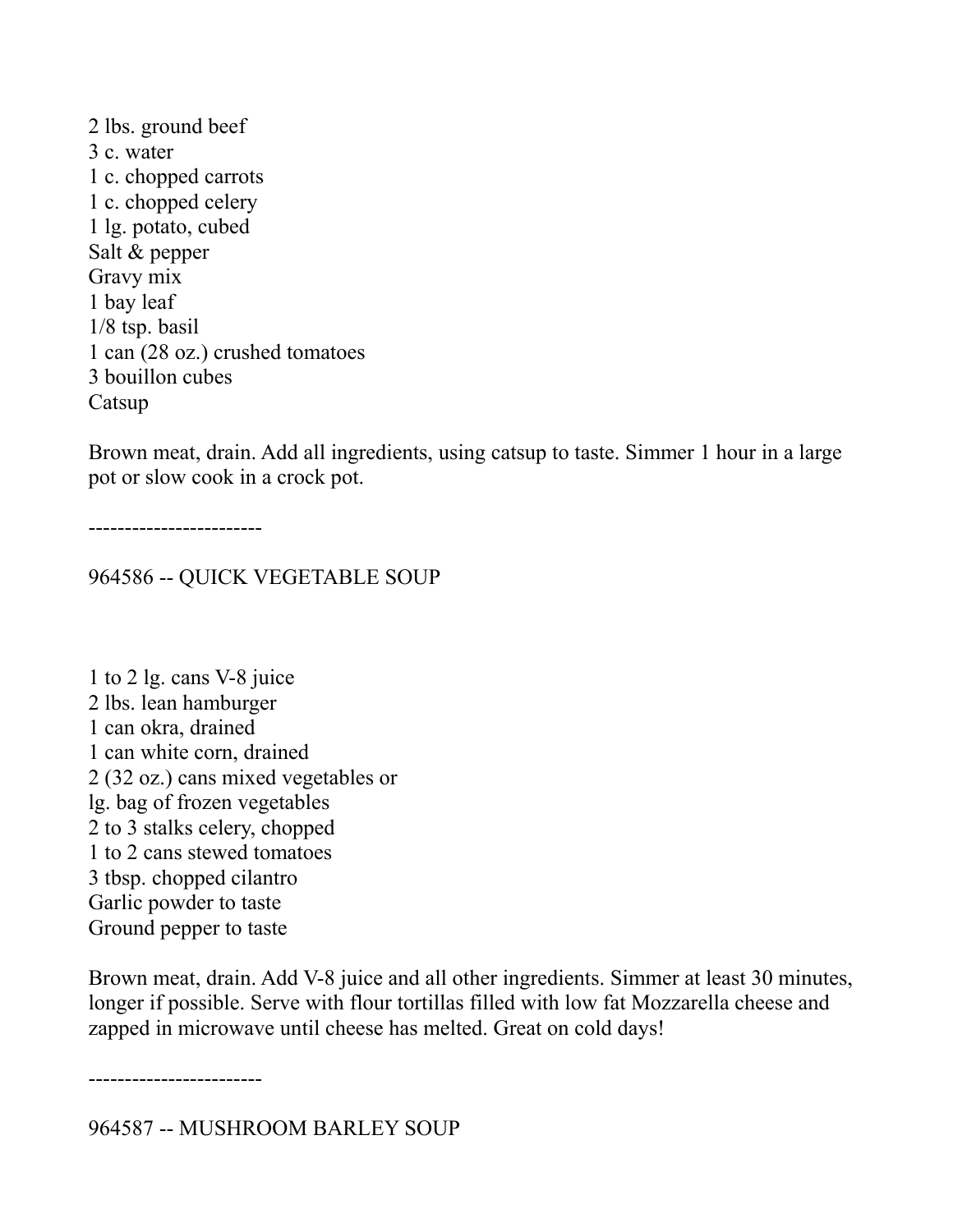2 lbs. ground beef 3 c. water 1 c. chopped carrots 1 c. chopped celery 1 lg. potato, cubed Salt & pepper Gravy mix 1 bay leaf 1/8 tsp. basil 1 can (28 oz.) crushed tomatoes 3 bouillon cubes Catsup

Brown meat, drain. Add all ingredients, using catsup to taste. Simmer 1 hour in a large pot or slow cook in a crock pot.

------------------------

964586 -- QUICK VEGETABLE SOUP

1 to 2 lg. cans V-8 juice 2 lbs. lean hamburger 1 can okra, drained 1 can white corn, drained 2 (32 oz.) cans mixed vegetables or lg. bag of frozen vegetables 2 to 3 stalks celery, chopped 1 to 2 cans stewed tomatoes 3 tbsp. chopped cilantro Garlic powder to taste Ground pepper to taste

Brown meat, drain. Add V-8 juice and all other ingredients. Simmer at least 30 minutes, longer if possible. Serve with flour tortillas filled with low fat Mozzarella cheese and zapped in microwave until cheese has melted. Great on cold days!

------------------------

964587 -- MUSHROOM BARLEY SOUP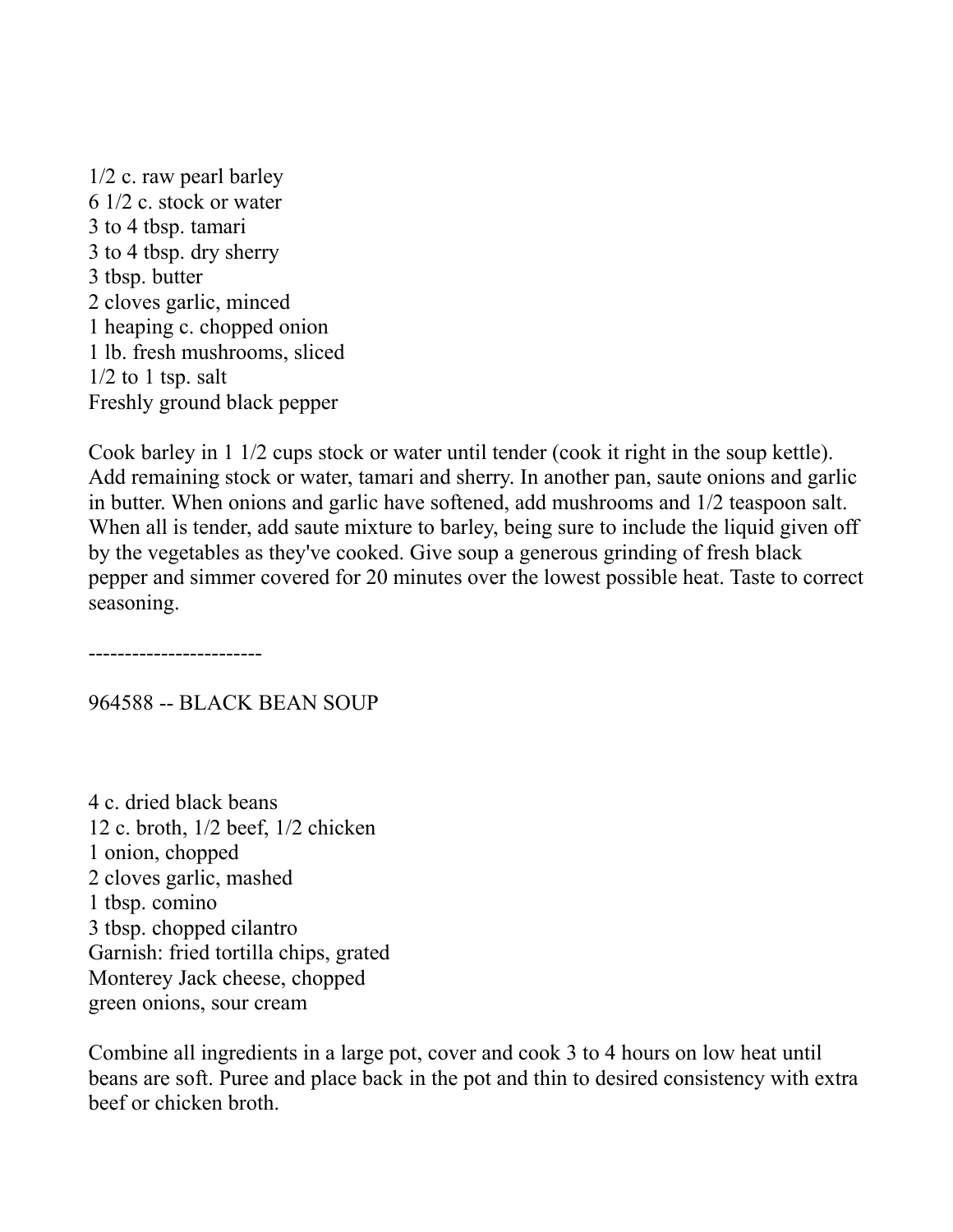1/2 c. raw pearl barley 6 1/2 c. stock or water 3 to 4 tbsp. tamari 3 to 4 tbsp. dry sherry 3 tbsp. butter 2 cloves garlic, minced 1 heaping c. chopped onion 1 lb. fresh mushrooms, sliced  $1/2$  to 1 tsp. salt Freshly ground black pepper

Cook barley in 1 1/2 cups stock or water until tender (cook it right in the soup kettle). Add remaining stock or water, tamari and sherry. In another pan, saute onions and garlic in butter. When onions and garlic have softened, add mushrooms and 1/2 teaspoon salt. When all is tender, add saute mixture to barley, being sure to include the liquid given off by the vegetables as they've cooked. Give soup a generous grinding of fresh black pepper and simmer covered for 20 minutes over the lowest possible heat. Taste to correct seasoning.

------------------------

964588 -- BLACK BEAN SOUP

4 c. dried black beans 12 c. broth, 1/2 beef, 1/2 chicken 1 onion, chopped 2 cloves garlic, mashed 1 tbsp. comino 3 tbsp. chopped cilantro Garnish: fried tortilla chips, grated Monterey Jack cheese, chopped green onions, sour cream

Combine all ingredients in a large pot, cover and cook 3 to 4 hours on low heat until beans are soft. Puree and place back in the pot and thin to desired consistency with extra beef or chicken broth.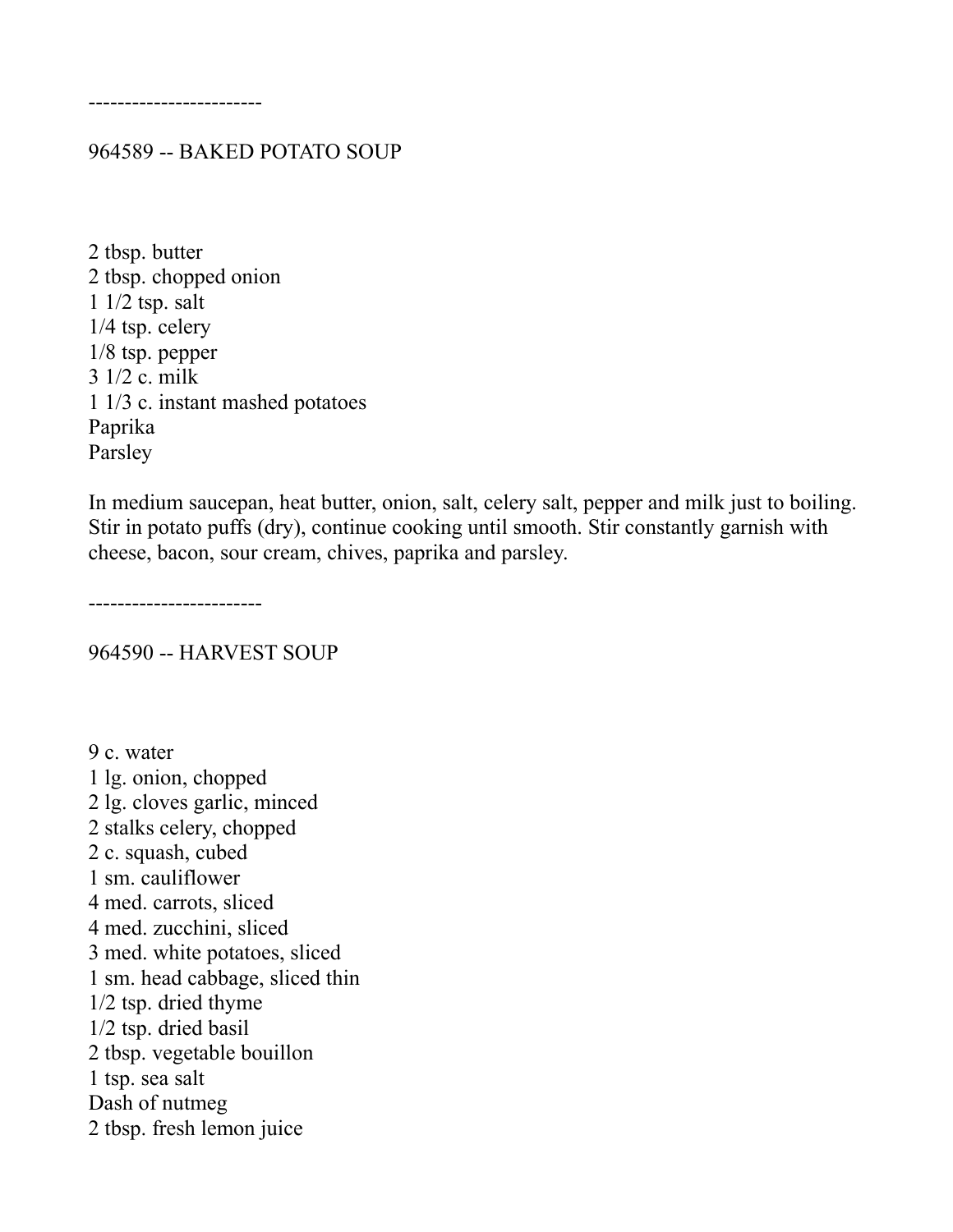------------------------

#### 964589 -- BAKED POTATO SOUP

2 tbsp. butter 2 tbsp. chopped onion 1 1/2 tsp. salt 1/4 tsp. celery 1/8 tsp. pepper 3 1/2 c. milk 1 1/3 c. instant mashed potatoes Paprika Parsley

In medium saucepan, heat butter, onion, salt, celery salt, pepper and milk just to boiling. Stir in potato puffs (dry), continue cooking until smooth. Stir constantly garnish with cheese, bacon, sour cream, chives, paprika and parsley.

------------------------

964590 -- HARVEST SOUP

9 c. water 1 lg. onion, chopped 2 lg. cloves garlic, minced 2 stalks celery, chopped 2 c. squash, cubed 1 sm. cauliflower 4 med. carrots, sliced 4 med. zucchini, sliced 3 med. white potatoes, sliced 1 sm. head cabbage, sliced thin 1/2 tsp. dried thyme 1/2 tsp. dried basil 2 tbsp. vegetable bouillon 1 tsp. sea salt Dash of nutmeg 2 tbsp. fresh lemon juice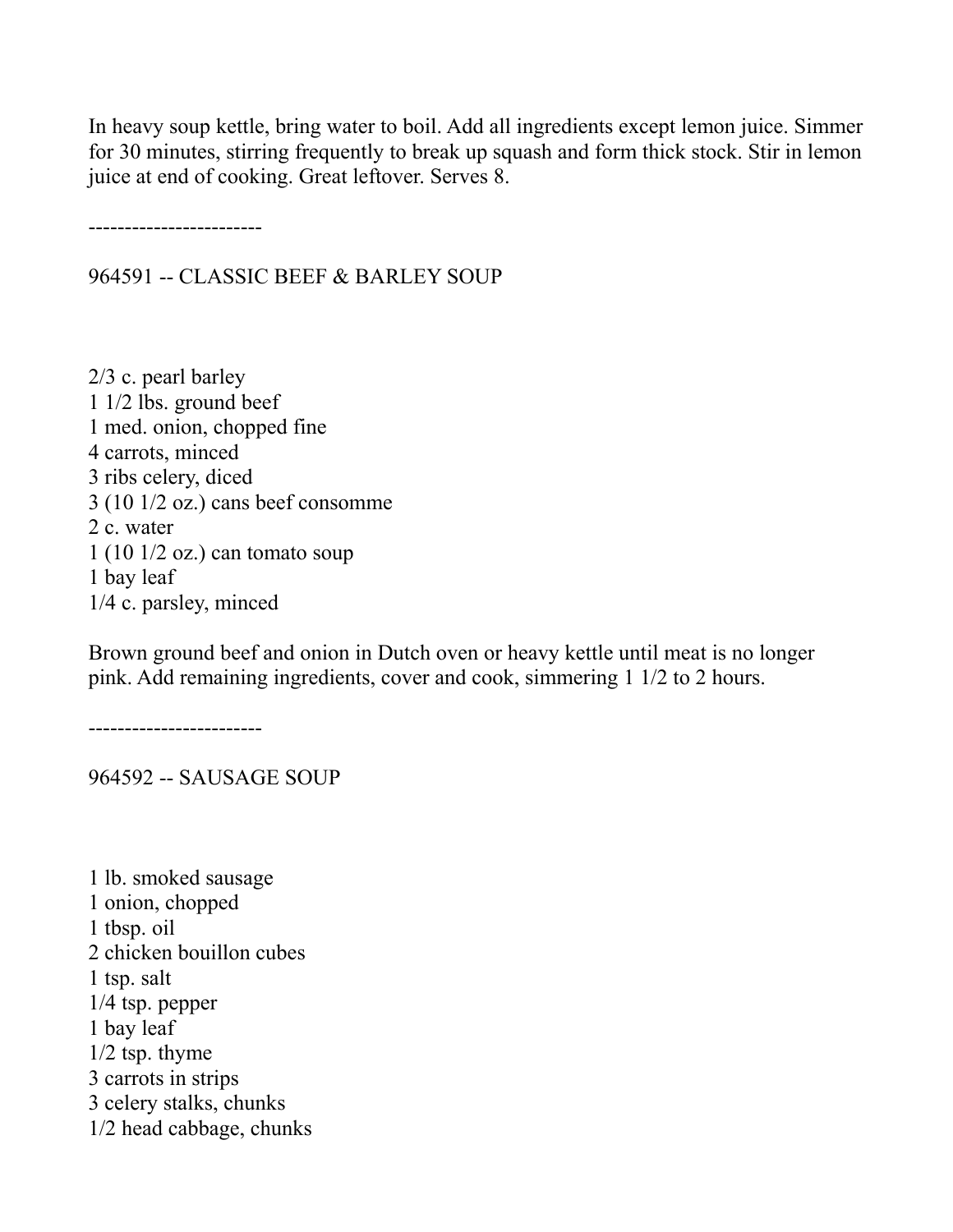In heavy soup kettle, bring water to boil. Add all ingredients except lemon juice. Simmer for 30 minutes, stirring frequently to break up squash and form thick stock. Stir in lemon juice at end of cooking. Great leftover. Serves 8.

------------------------

964591 -- CLASSIC BEEF & BARLEY SOUP

2/3 c. pearl barley 1 1/2 lbs. ground beef 1 med. onion, chopped fine 4 carrots, minced 3 ribs celery, diced 3 (10 1/2 oz.) cans beef consomme 2 c. water 1 (10 1/2 oz.) can tomato soup 1 bay leaf 1/4 c. parsley, minced

Brown ground beef and onion in Dutch oven or heavy kettle until meat is no longer pink. Add remaining ingredients, cover and cook, simmering 1 1/2 to 2 hours.

------------------------

964592 -- SAUSAGE SOUP

1 lb. smoked sausage 1 onion, chopped 1 tbsp. oil 2 chicken bouillon cubes 1 tsp. salt 1/4 tsp. pepper 1 bay leaf 1/2 tsp. thyme 3 carrots in strips 3 celery stalks, chunks 1/2 head cabbage, chunks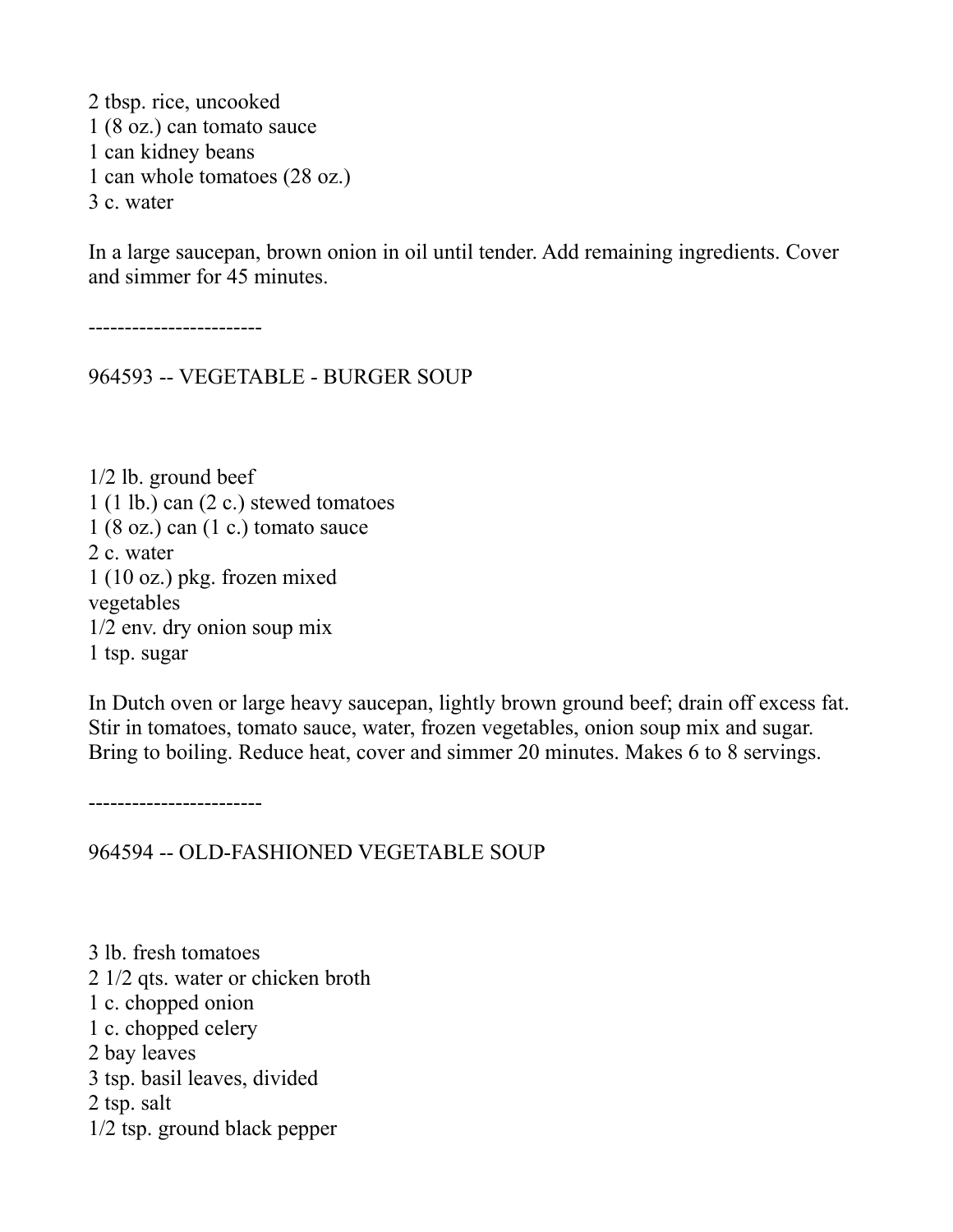2 tbsp. rice, uncooked 1 (8 oz.) can tomato sauce 1 can kidney beans 1 can whole tomatoes (28 oz.) 3 c. water

In a large saucepan, brown onion in oil until tender. Add remaining ingredients. Cover and simmer for 45 minutes.

------------------------

964593 -- VEGETABLE - BURGER SOUP

1/2 lb. ground beef 1 (1 lb.) can (2 c.) stewed tomatoes  $1 (8 oz.)$  can  $(1 c.)$  tomato sauce 2 c. water 1 (10 oz.) pkg. frozen mixed vegetables 1/2 env. dry onion soup mix 1 tsp. sugar

In Dutch oven or large heavy saucepan, lightly brown ground beef; drain off excess fat. Stir in tomatoes, tomato sauce, water, frozen vegetables, onion soup mix and sugar. Bring to boiling. Reduce heat, cover and simmer 20 minutes. Makes 6 to 8 servings.

------------------------

964594 -- OLD-FASHIONED VEGETABLE SOUP

3 lb. fresh tomatoes 2 1/2 qts. water or chicken broth 1 c. chopped onion 1 c. chopped celery 2 bay leaves 3 tsp. basil leaves, divided 2 tsp. salt 1/2 tsp. ground black pepper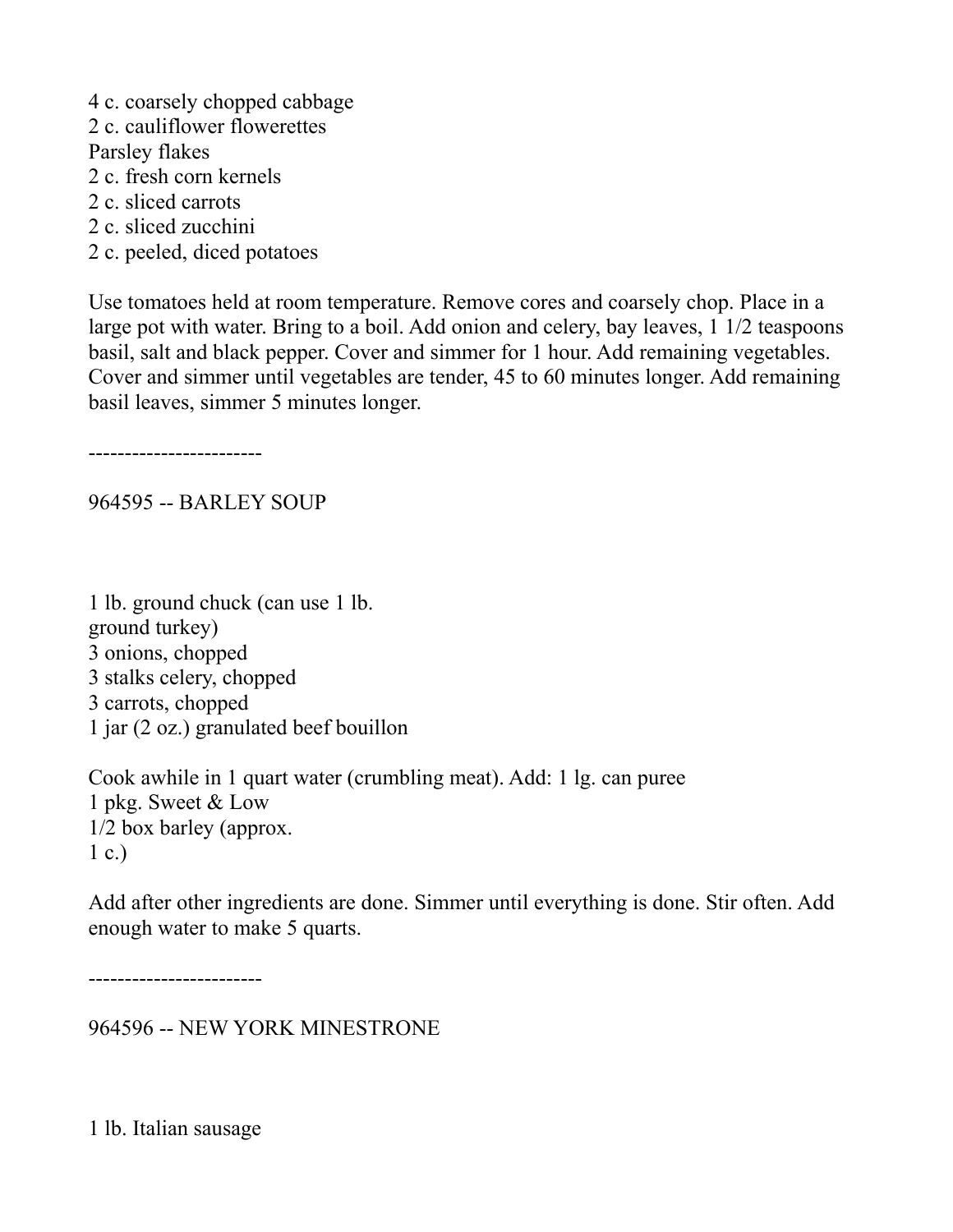- 4 c. coarsely chopped cabbage
- 2 c. cauliflower flowerettes
- Parsley flakes
- 2 c. fresh corn kernels
- 2 c. sliced carrots
- 2 c. sliced zucchini
- 2 c. peeled, diced potatoes

Use tomatoes held at room temperature. Remove cores and coarsely chop. Place in a large pot with water. Bring to a boil. Add onion and celery, bay leaves, 1 1/2 teaspoons basil, salt and black pepper. Cover and simmer for 1 hour. Add remaining vegetables. Cover and simmer until vegetables are tender, 45 to 60 minutes longer. Add remaining basil leaves, simmer 5 minutes longer.

------------------------

964595 -- BARLEY SOUP

1 lb. ground chuck (can use 1 lb. ground turkey) 3 onions, chopped 3 stalks celery, chopped 3 carrots, chopped 1 jar (2 oz.) granulated beef bouillon

Cook awhile in 1 quart water (crumbling meat). Add: 1 lg. can puree 1 pkg. Sweet & Low 1/2 box barley (approx.  $1 c.$ )

Add after other ingredients are done. Simmer until everything is done. Stir often. Add enough water to make 5 quarts.

------------------------

964596 -- NEW YORK MINESTRONE

1 lb. Italian sausage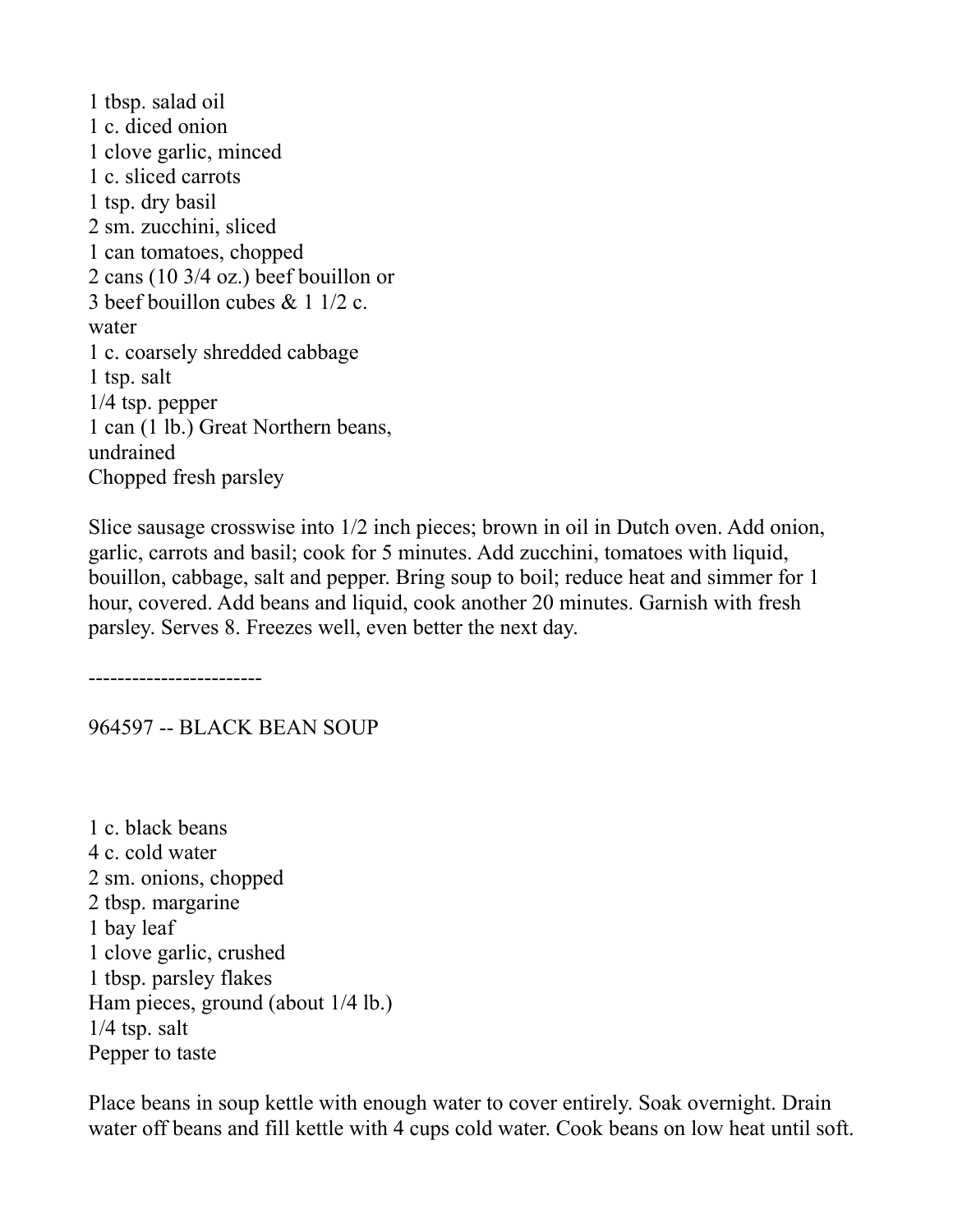1 tbsp. salad oil 1 c. diced onion 1 clove garlic, minced 1 c. sliced carrots 1 tsp. dry basil 2 sm. zucchini, sliced 1 can tomatoes, chopped 2 cans (10 3/4 oz.) beef bouillon or 3 beef bouillon cubes & 1 1/2 c. water 1 c. coarsely shredded cabbage 1 tsp. salt 1/4 tsp. pepper 1 can (1 lb.) Great Northern beans, undrained Chopped fresh parsley

Slice sausage crosswise into 1/2 inch pieces; brown in oil in Dutch oven. Add onion, garlic, carrots and basil; cook for 5 minutes. Add zucchini, tomatoes with liquid, bouillon, cabbage, salt and pepper. Bring soup to boil; reduce heat and simmer for 1 hour, covered. Add beans and liquid, cook another 20 minutes. Garnish with fresh parsley. Serves 8. Freezes well, even better the next day.

------------------------

964597 -- BLACK BEAN SOUP

1 c. black beans 4 c. cold water 2 sm. onions, chopped 2 tbsp. margarine 1 bay leaf 1 clove garlic, crushed 1 tbsp. parsley flakes Ham pieces, ground (about 1/4 lb.) 1/4 tsp. salt Pepper to taste

Place beans in soup kettle with enough water to cover entirely. Soak overnight. Drain water off beans and fill kettle with 4 cups cold water. Cook beans on low heat until soft.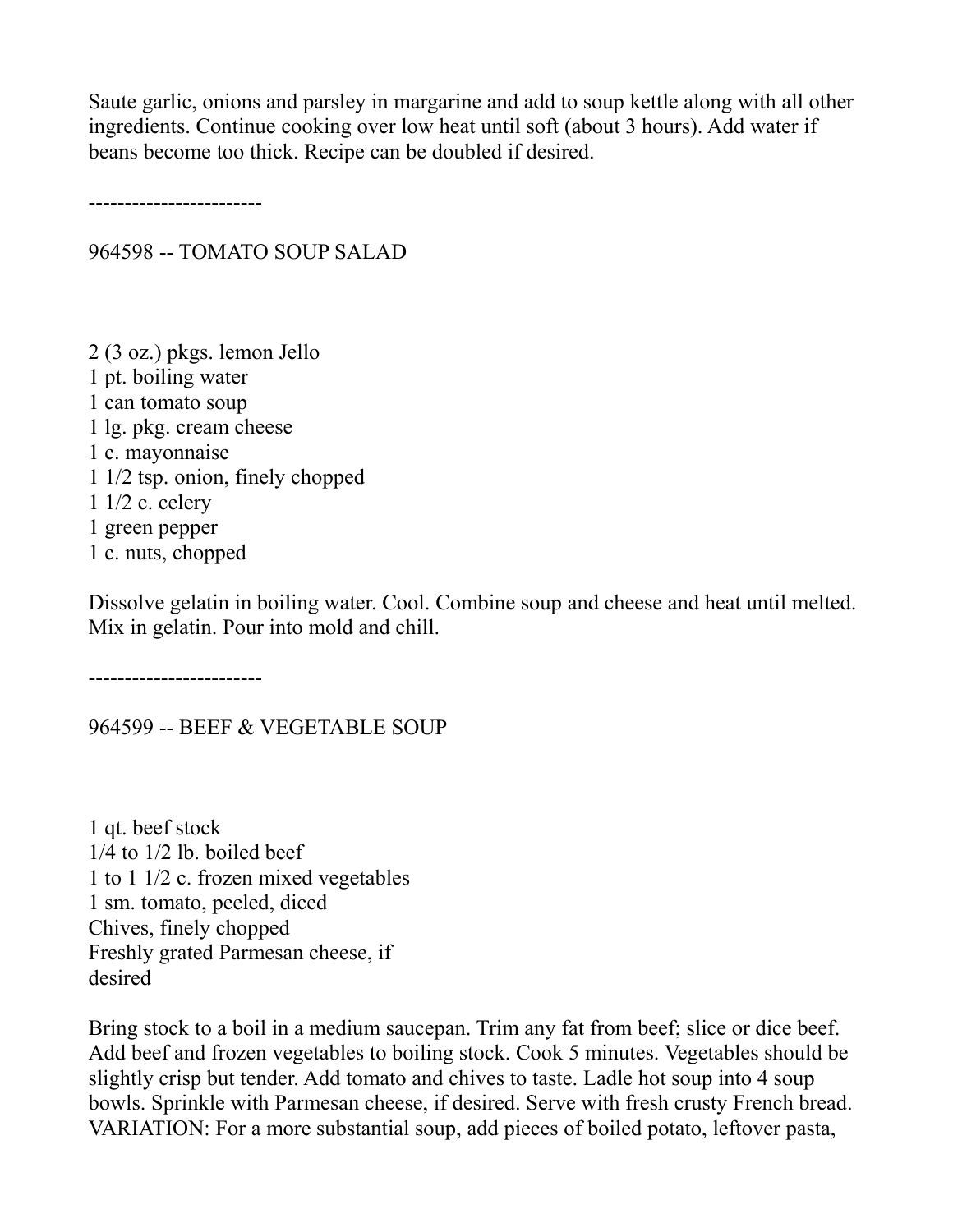Saute garlic, onions and parsley in margarine and add to soup kettle along with all other ingredients. Continue cooking over low heat until soft (about 3 hours). Add water if beans become too thick. Recipe can be doubled if desired.

------------------------

964598 -- TOMATO SOUP SALAD

2 (3 oz.) pkgs. lemon Jello 1 pt. boiling water 1 can tomato soup 1 lg. pkg. cream cheese 1 c. mayonnaise 1 1/2 tsp. onion, finely chopped 1 1/2 c. celery 1 green pepper 1 c. nuts, chopped

Dissolve gelatin in boiling water. Cool. Combine soup and cheese and heat until melted. Mix in gelatin. Pour into mold and chill.

------------------------

964599 -- BEEF & VEGETABLE SOUP

1 qt. beef stock 1/4 to 1/2 lb. boiled beef 1 to 1 1/2 c. frozen mixed vegetables 1 sm. tomato, peeled, diced Chives, finely chopped Freshly grated Parmesan cheese, if desired

Bring stock to a boil in a medium saucepan. Trim any fat from beef; slice or dice beef. Add beef and frozen vegetables to boiling stock. Cook 5 minutes. Vegetables should be slightly crisp but tender. Add tomato and chives to taste. Ladle hot soup into 4 soup bowls. Sprinkle with Parmesan cheese, if desired. Serve with fresh crusty French bread. VARIATION: For a more substantial soup, add pieces of boiled potato, leftover pasta,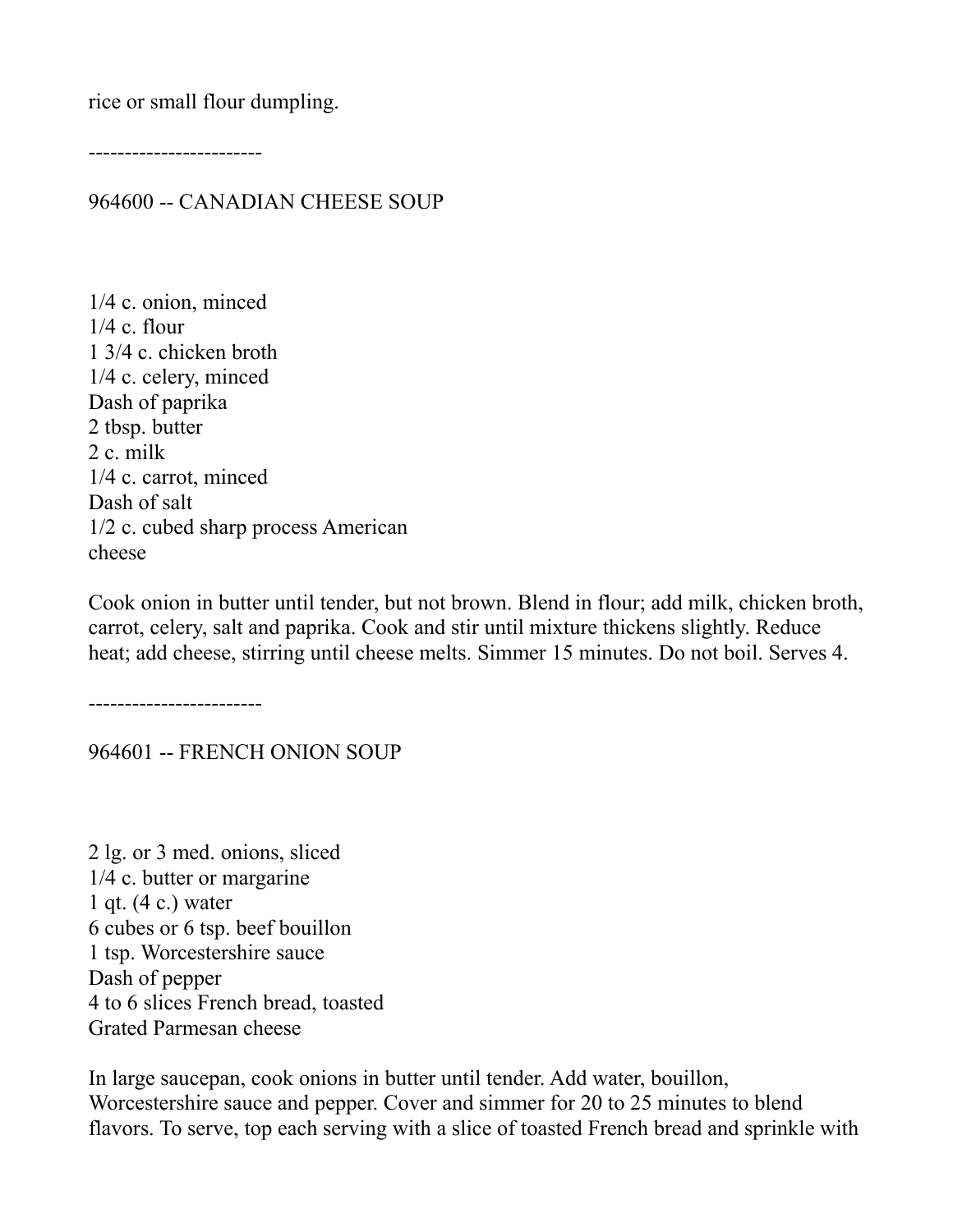rice or small flour dumpling.

------------------------

964600 -- CANADIAN CHEESE SOUP

1/4 c. onion, minced  $1/4$  c. flour 1 3/4 c. chicken broth 1/4 c. celery, minced Dash of paprika 2 tbsp. butter 2 c. milk 1/4 c. carrot, minced Dash of salt 1/2 c. cubed sharp process American cheese

Cook onion in butter until tender, but not brown. Blend in flour; add milk, chicken broth, carrot, celery, salt and paprika. Cook and stir until mixture thickens slightly. Reduce heat; add cheese, stirring until cheese melts. Simmer 15 minutes. Do not boil. Serves 4.

------------------------

964601 -- FRENCH ONION SOUP

2 lg. or 3 med. onions, sliced 1/4 c. butter or margarine 1 qt. (4 c.) water 6 cubes or 6 tsp. beef bouillon 1 tsp. Worcestershire sauce Dash of pepper 4 to 6 slices French bread, toasted Grated Parmesan cheese

In large saucepan, cook onions in butter until tender. Add water, bouillon, Worcestershire sauce and pepper. Cover and simmer for 20 to 25 minutes to blend flavors. To serve, top each serving with a slice of toasted French bread and sprinkle with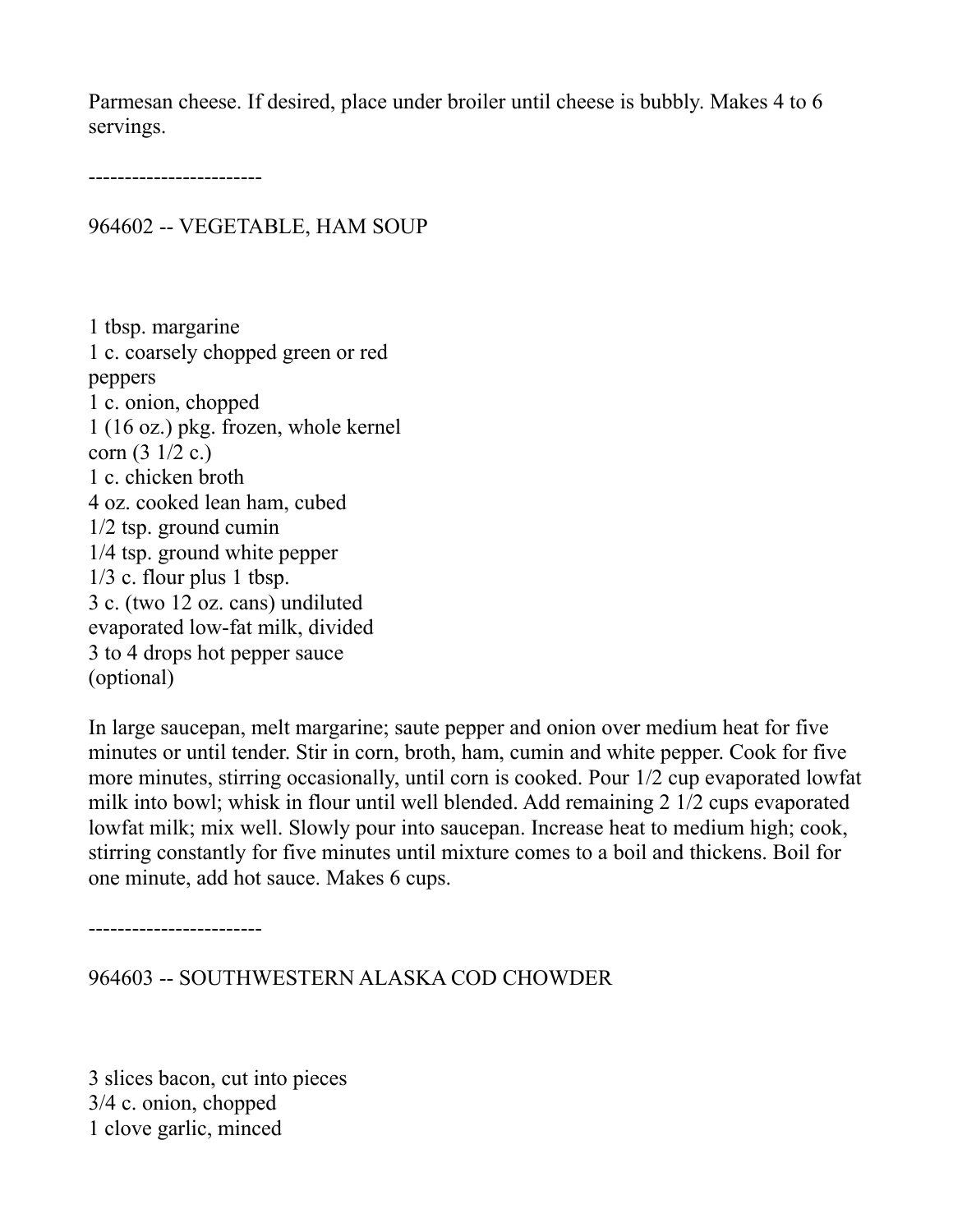Parmesan cheese. If desired, place under broiler until cheese is bubbly. Makes 4 to 6 servings.

------------------------

964602 -- VEGETABLE, HAM SOUP

1 tbsp. margarine 1 c. coarsely chopped green or red peppers 1 c. onion, chopped 1 (16 oz.) pkg. frozen, whole kernel corn (3 1/2 c.) 1 c. chicken broth 4 oz. cooked lean ham, cubed 1/2 tsp. ground cumin 1/4 tsp. ground white pepper 1/3 c. flour plus 1 tbsp. 3 c. (two 12 oz. cans) undiluted evaporated low-fat milk, divided 3 to 4 drops hot pepper sauce (optional)

In large saucepan, melt margarine; saute pepper and onion over medium heat for five minutes or until tender. Stir in corn, broth, ham, cumin and white pepper. Cook for five more minutes, stirring occasionally, until corn is cooked. Pour 1/2 cup evaporated lowfat milk into bowl; whisk in flour until well blended. Add remaining 2 1/2 cups evaporated lowfat milk; mix well. Slowly pour into saucepan. Increase heat to medium high; cook, stirring constantly for five minutes until mixture comes to a boil and thickens. Boil for one minute, add hot sauce. Makes 6 cups.

------------------------

964603 -- SOUTHWESTERN ALASKA COD CHOWDER

3 slices bacon, cut into pieces 3/4 c. onion, chopped 1 clove garlic, minced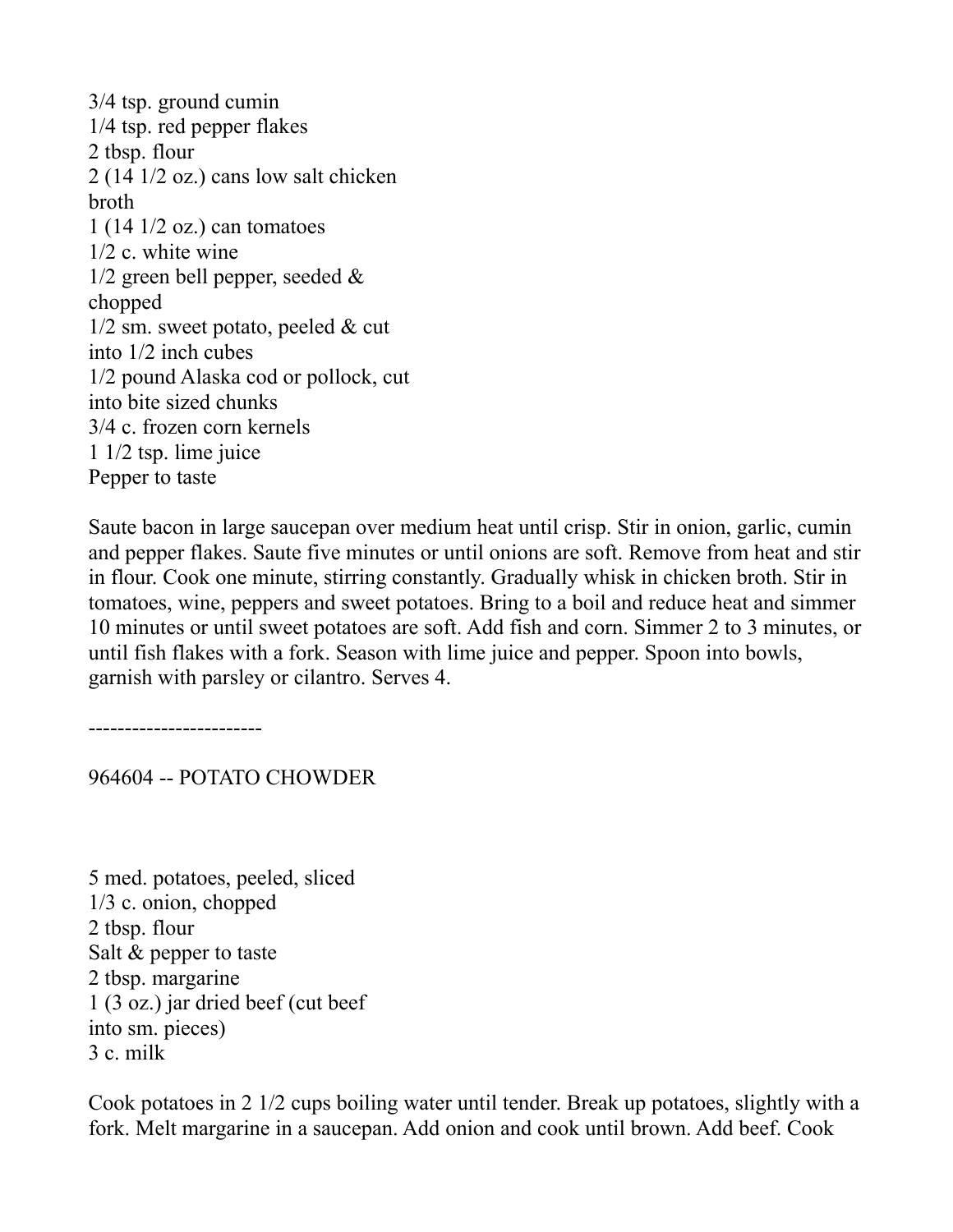3/4 tsp. ground cumin 1/4 tsp. red pepper flakes 2 tbsp. flour 2 (14 1/2 oz.) cans low salt chicken broth 1 (14 1/2 oz.) can tomatoes 1/2 c. white wine  $1/2$  green bell pepper, seeded  $\&$ chopped 1/2 sm. sweet potato, peeled & cut into 1/2 inch cubes 1/2 pound Alaska cod or pollock, cut into bite sized chunks 3/4 c. frozen corn kernels 1 1/2 tsp. lime juice Pepper to taste

Saute bacon in large saucepan over medium heat until crisp. Stir in onion, garlic, cumin and pepper flakes. Saute five minutes or until onions are soft. Remove from heat and stir in flour. Cook one minute, stirring constantly. Gradually whisk in chicken broth. Stir in tomatoes, wine, peppers and sweet potatoes. Bring to a boil and reduce heat and simmer 10 minutes or until sweet potatoes are soft. Add fish and corn. Simmer 2 to 3 minutes, or until fish flakes with a fork. Season with lime juice and pepper. Spoon into bowls, garnish with parsley or cilantro. Serves 4.

------------------------

964604 -- POTATO CHOWDER

5 med. potatoes, peeled, sliced 1/3 c. onion, chopped 2 tbsp. flour Salt & pepper to taste 2 tbsp. margarine 1 (3 oz.) jar dried beef (cut beef into sm. pieces) 3 c. milk

Cook potatoes in 2 1/2 cups boiling water until tender. Break up potatoes, slightly with a fork. Melt margarine in a saucepan. Add onion and cook until brown. Add beef. Cook